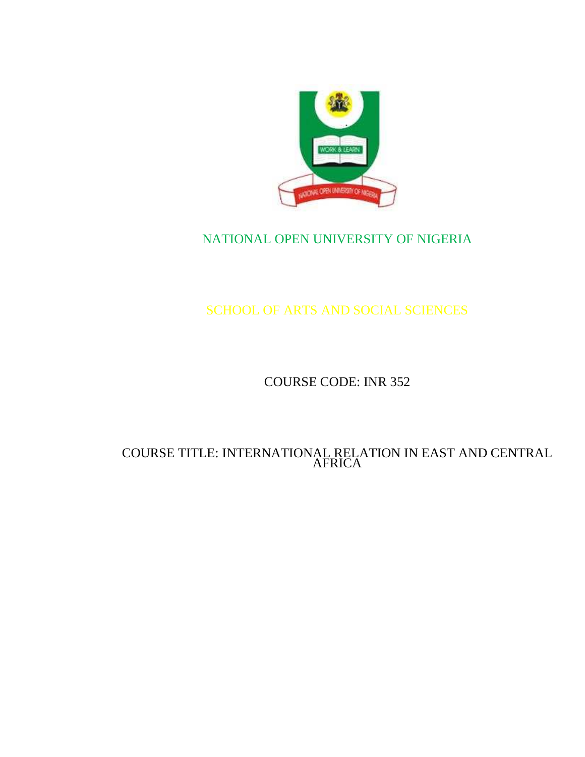

## NATIONAL OPEN UNIVERSITY OF NIGERIA

# SCHOOL OF ARTS AND SOCIAL SCIENCES

## COURSE CODE: INR 352

#### COURSE TITLE: INTERNATIONAL RELATION IN EAST AND CENTRAL AFRICA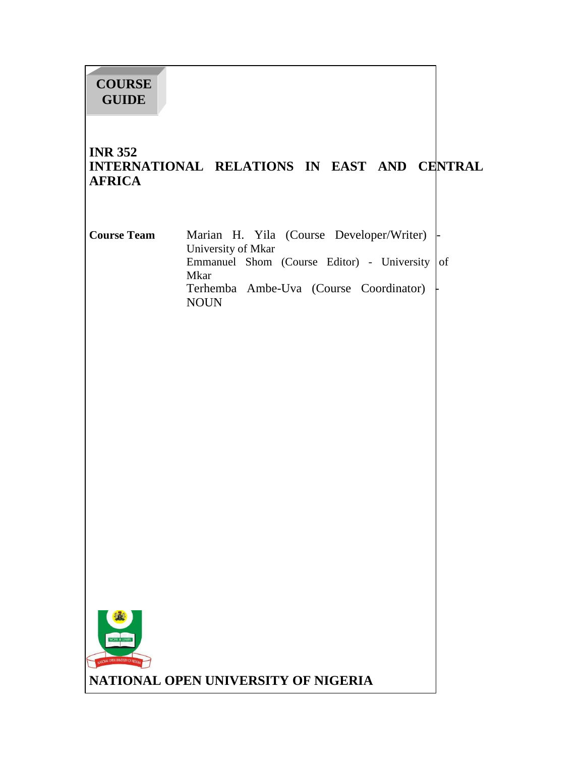# **COURSE GUIDE**

#### **INR 352 INTERNATIONAL RELATIONS IN EAST AND CENTRAL AFRICA**

| <b>Course Team</b> | Marian H. Yila (Course Developer/Writer)  -   |
|--------------------|-----------------------------------------------|
|                    | University of Mkar                            |
|                    | Emmanuel Shom (Course Editor) - University of |
|                    | Mkar                                          |
|                    | Terhemba Ambe-Uva (Course Coordinator)        |
|                    | NOUN                                          |

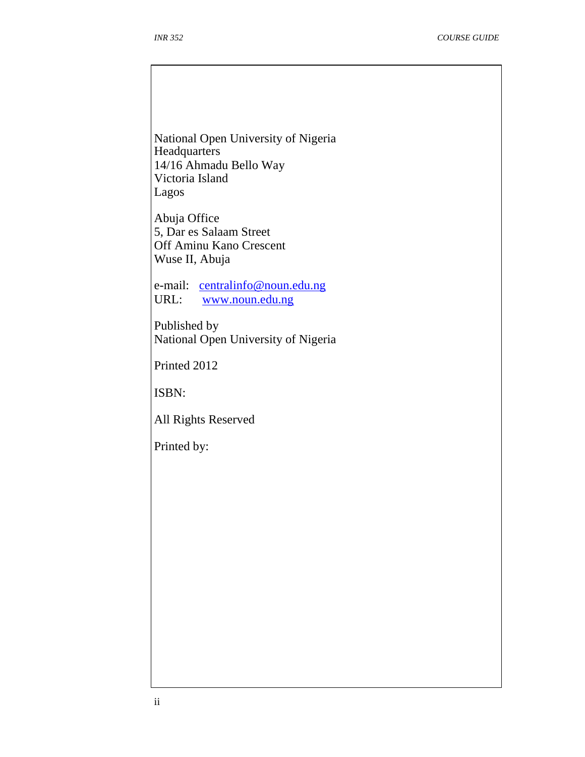National Open University of Nigeria **Headquarters** 14/16 Ahmadu Bello Way Victoria Island Lagos

Abuja Office 5, Dar es Salaam Street Off Aminu Kano Crescent Wuse II, Abuja

e-mail: centralinfo@noun.edu.ng URL: www.noun.edu.ng

Published by National Open University of Nigeria

Printed 2012

ISBN:

All Rights Reserved

Printed by: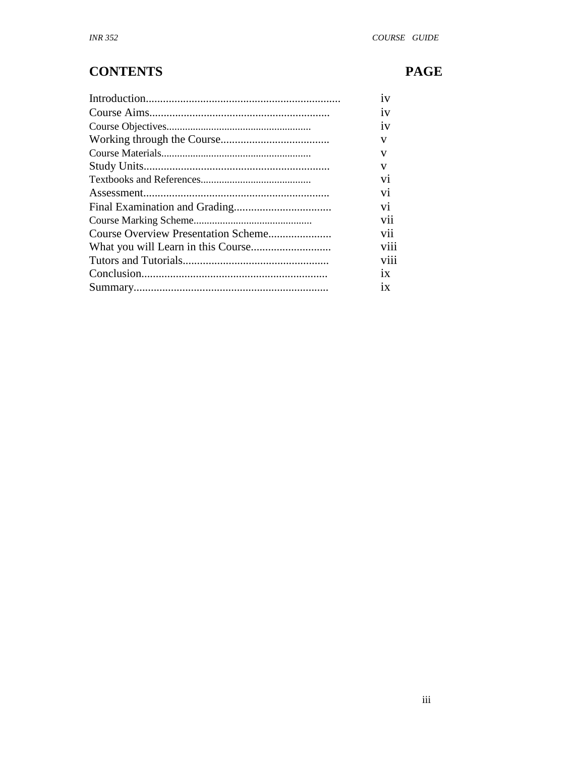# **CONTENTS**

# **PAGE**

| 1V             |
|----------------|
| 1V             |
| 1V             |
| v              |
| v              |
| V              |
| V <sub>1</sub> |
| V <sub>1</sub> |
| V1             |
| V11            |
| V11            |
| V111           |
| V111           |
| 1X             |
| 1X             |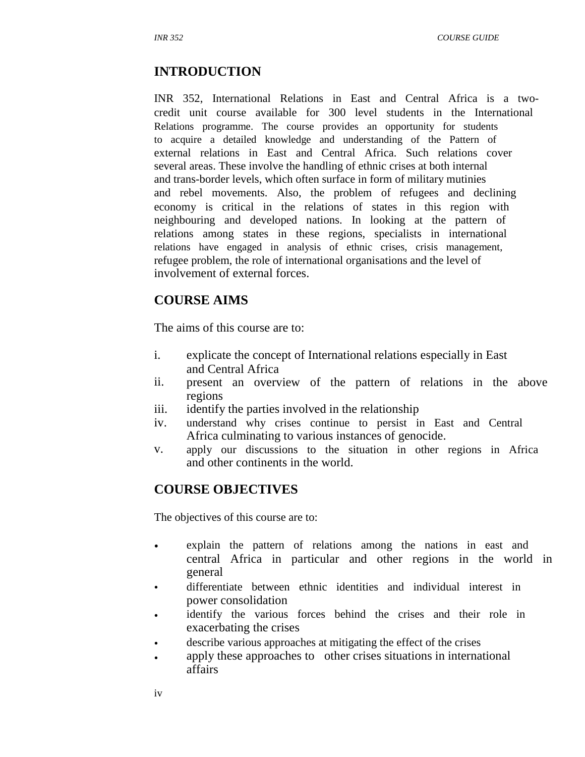#### **INTRODUCTION**

INR 352, International Relations in East and Central Africa is a twocredit unit course available for 300 level students in the International Relations programme. The course provides an opportunity for students to acquire a detailed knowledge and understanding of the Pattern of external relations in East and Central Africa. Such relations cover several areas. These involve the handling of ethnic crises at both internal and trans-border levels, which often surface in form of military mutinies and rebel movements. Also, the problem of refugees and declining economy is critical in the relations of states in this region with neighbouring and developed nations. In looking at the pattern of relations among states in these regions, specialists in international relations have engaged in analysis of ethnic crises, crisis management, refugee problem, the role of international organisations and the level of involvement of external forces.

#### **COURSE AIMS**

The aims of this course are to:

- i. explicate the concept of International relations especially in East and Central Africa
- ii. present an overview of the pattern of relations in the above regions
- iii. identify the parties involved in the relationship
- iv. understand why crises continue to persist in East and Central Africa culminating to various instances of genocide.
- v. apply our discussions to the situation in other regions in Africa and other continents in the world.

#### **COURSE OBJECTIVES**

The objectives of this course are to:

- explain the pattern of relations among the nations in east and central Africa in particular and other regions in the world in general
- differentiate between ethnic identities and individual interest in power consolidation
- identify the various forces behind the crises and their role in exacerbating the crises
- describe various approaches at mitigating the effect of the crises
- apply these approaches to other crises situations in international affairs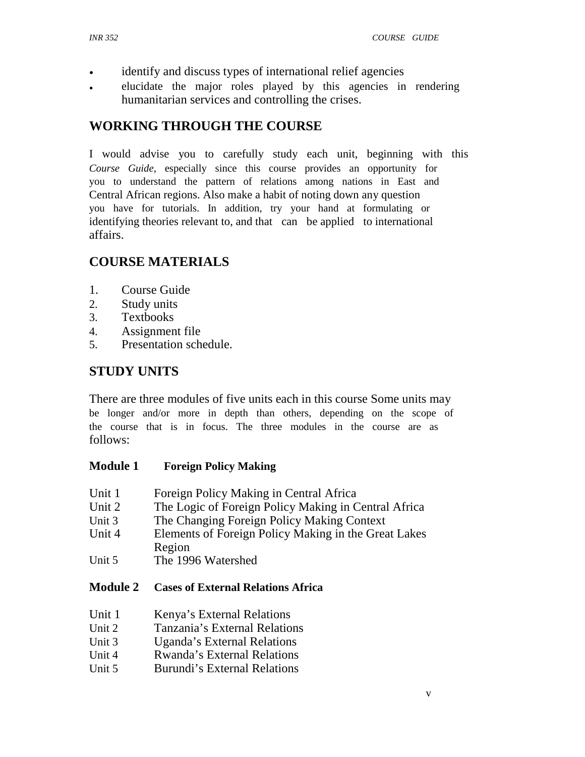- identify and discuss types of international relief agencies
- elucidate the major roles played by this agencies in rendering humanitarian services and controlling the crises.

## **WORKING THROUGH THE COURSE**

I would advise you to carefully study each unit, beginning with this *Course Guide*, especially since this course provides an opportunity for you to understand the pattern of relations among nations in East and Central African regions. Also make a habit of noting down any question you have for tutorials. In addition, try your hand at formulating or identifying theories relevant to, and that can be applied to international affairs.

## **COURSE MATERIALS**

- 1. Course Guide
- 2. Study units
- 3. Textbooks
- 4. Assignment file
- 5. Presentation schedule.

## **STUDY UNITS**

There are three modules of five units each in this course Some units may be longer and/or more in depth than others, depending on the scope of the course that is in focus. The three modules in the course are as follows:

#### **Module 1 Foreign Policy Making**

- Unit 1 Foreign Policy Making in Central Africa
- Unit 2 The Logic of Foreign Policy Making in Central Africa
- Unit 3 The Changing Foreign Policy Making Context
- Unit 4 Elements of Foreign Policy Making in the Great Lakes Region
- Unit 5 The 1996 Watershed

#### **Module 2 Cases of External Relations Africa**

- Unit 1 Kenya's External Relations
- Unit  $2$ Tanzania's External Relations
- Unit 3 Uganda's External Relations
- Unit 4 Rwanda's External Relations
- Unit 5 Burundi's External Relations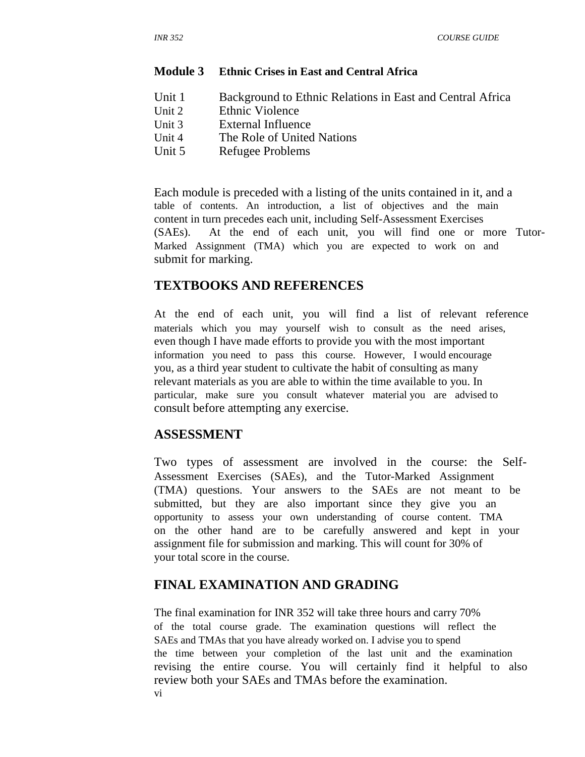#### **Module 3 Ethnic Crises in East and Central Africa**

- Unit 1 Unit 2 Unit 3 Background to Ethnic Relations in East and Central Africa Ethnic Violence External Influence
- 
- Unit 4 The Role of United Nations
- Unit 5 Refugee Problems

Each module is preceded with a listing of the units contained in it, and a table of contents. An introduction, a list of objectives and the main content in turn precedes each unit, including Self-Assessment Exercises (SAEs). At the end of each unit, you will find one or more Tutor-Marked Assignment (TMA) which you are expected to work on and submit for marking.

#### **TEXTBOOKS AND REFERENCES**

At the end of each unit, you will find a list of relevant reference materials which you may yourself wish to consult as the need arises, even though I have made efforts to provide you with the most important information you need to pass this course. However, I would encourage you, as a third year student to cultivate the habit of consulting as many relevant materials as you are able to within the time available to you. In particular, make sure you consult whatever material you are advised to consult before attempting any exercise.

#### **ASSESSMENT**

Two types of assessment are involved in the course: the Self-Assessment Exercises (SAEs), and the Tutor-Marked Assignment (TMA) questions. Your answers to the SAEs are not meant to be submitted, but they are also important since they give you an opportunity to assess your own understanding of course content. TMA on the other hand are to be carefully answered and kept in your assignment file for submission and marking. This will count for 30% of your total score in the course.

#### **FINAL EXAMINATION AND GRADING**

The final examination for INR 352 will take three hours and carry 70% of the total course grade. The examination questions will reflect the SAEs and TMAs that you have already worked on. I advise you to spend the time between your completion of the last unit and the examination revising the entire course. You will certainly find it helpful to also review both your SAEs and TMAs before the examination. vi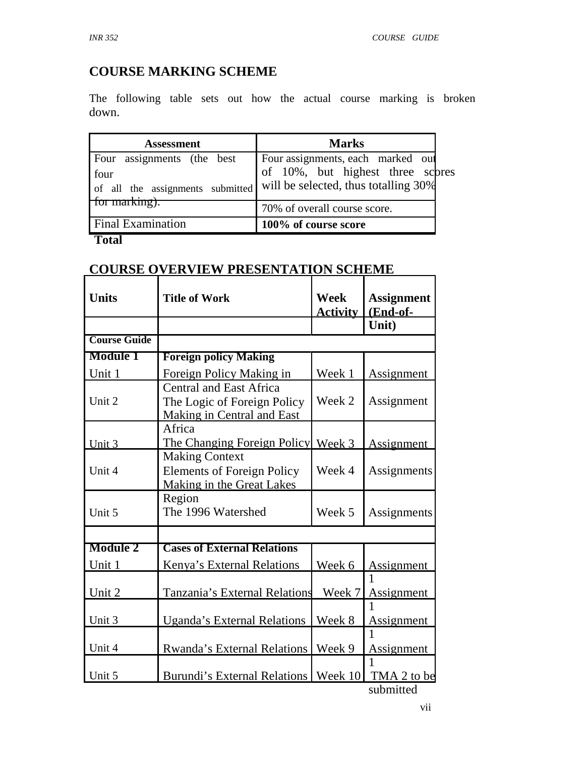# **COURSE MARKING SCHEME**

The following table sets out how the actual course marking is broken down.

| <b>Assessment</b>   | <b>Marks</b>                                                                                                                                        |
|---------------------|-----------------------------------------------------------------------------------------------------------------------------------------------------|
|                     | Four assignments (the best Four assignments, each marked our four assignments of all the assignments submitted will be selected, thus totalling 30% |
| $\pm$ tor marking). | 70% of overall course score.                                                                                                                        |
| Final Examination   | 100% of course score                                                                                                                                |

#### **Total**

#### **COURSE OVERVIEW PRESENTATION SCHEME**

| <b>Units</b>        | <b>Title of Work</b>                                                                               | <b>Week</b>     | <b>Assignment</b> |
|---------------------|----------------------------------------------------------------------------------------------------|-----------------|-------------------|
|                     |                                                                                                    | <u>Activity</u> | (End-of-          |
|                     |                                                                                                    |                 | Unit)             |
| <b>Course Guide</b> |                                                                                                    |                 |                   |
| <b>Module 1</b>     | <b>Foreign policy Making</b>                                                                       |                 |                   |
| Unit 1              | Foreign Policy Making in                                                                           | Week 1          | Assignment        |
| Unit 2              | <b>Central and East Africa</b><br>The Logic of Foreign Policy<br><b>Making in Central and East</b> | Week 2          | Assignment        |
| Unit 3              | Africa<br>The Changing Foreign Policy Week 3                                                       |                 | <b>Assignment</b> |
| Unit 4              | <b>Making Context</b><br><b>Elements of Foreign Policy</b><br>Making in the Great Lakes            | Week 4          | Assignments       |
| Unit 5              | Region<br>The 1996 Watershed                                                                       | Week 5          | Assignments       |
|                     |                                                                                                    |                 |                   |
| <b>Module 2</b>     | <b>Cases of External Relations</b>                                                                 |                 |                   |
| Unit 1              | Kenya's External Relations                                                                         | Week 6          | <b>Assignment</b> |
| Unit 2              | Tanzania's External Relations                                                                      | Week 7          | Assignment        |
| Unit 3              | <b>Uganda's External Relations</b>                                                                 | Week 8          | Assignment        |
| Unit 4              | Rwanda's External Relations                                                                        | Week 9          | 1<br>Assignment   |
| Unit 5              | Burundi's External Relations   Week 10                                                             |                 | TMA 2 to be       |
|                     |                                                                                                    |                 | submitted         |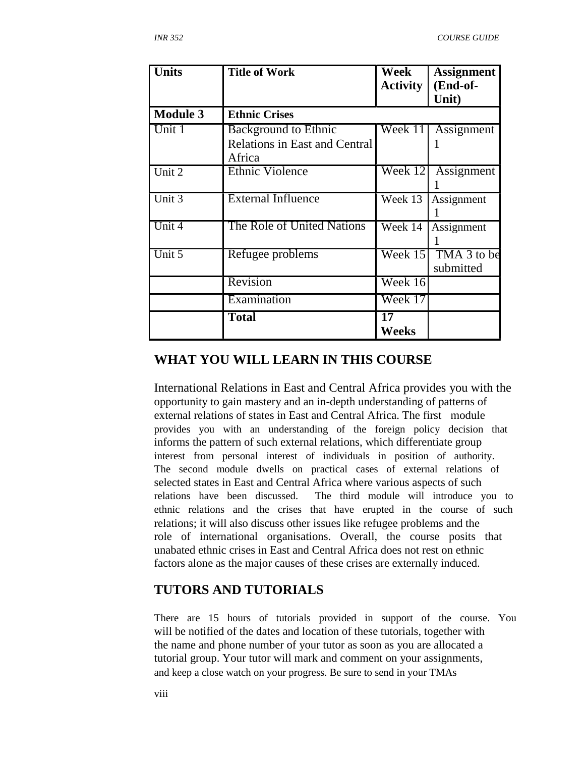| <b>Units</b>    | <b>Title of Work</b>                 | Week<br><b>Activity</b> | <b>Assignment</b><br>(End-of-<br>Unit) |
|-----------------|--------------------------------------|-------------------------|----------------------------------------|
| <b>Module 3</b> | <b>Ethnic Crises</b>                 |                         |                                        |
| Unit 1          | <b>Background to Ethnic</b>          | Week 11                 | Assignment                             |
|                 | <b>Relations in East and Central</b> |                         |                                        |
|                 | Africa                               |                         |                                        |
| Unit 2          | <b>Ethnic Violence</b>               | Week 12                 | Assignment                             |
|                 |                                      |                         |                                        |
| Unit $3$        | <b>External Influence</b>            | Week 13                 | Assignment                             |
|                 |                                      |                         |                                        |
| Unit 4          | The Role of United Nations           | Week 14                 | Assignment                             |
|                 |                                      |                         |                                        |
| Unit 5          | Refugee problems                     | Week 15                 | TMA 3 to be                            |
|                 |                                      |                         | submitted                              |
|                 | Revision                             | Week 16                 |                                        |
|                 | Examination                          | Week 17                 |                                        |
|                 | <b>Total</b>                         | $\overline{17}$         |                                        |
|                 |                                      | Weeks                   |                                        |

#### **WHAT YOU WILL LEARN IN THIS COURSE**

International Relations in East and Central Africa provides you with the opportunity to gain mastery and an in-depth understanding of patterns of external relations of states in East and Central Africa. The first module provides you with an understanding of the foreign policy decision that informs the pattern of such external relations, which differentiate group interest from personal interest of individuals in position of authority. The second module dwells on practical cases of external relations of selected states in East and Central Africa where various aspects of such relations have been discussed. The third module will introduce you to ethnic relations and the crises that have erupted in the course of such relations; it will also discuss other issues like refugee problems and the role of international organisations. Overall, the course posits that unabated ethnic crises in East and Central Africa does not rest on ethnic factors alone as the major causes of these crises are externally induced.

## **TUTORS AND TUTORIALS**

There are 15 hours of tutorials provided in support of the course. You will be notified of the dates and location of these tutorials, together with the name and phone number of your tutor as soon as you are allocated a tutorial group. Your tutor will mark and comment on your assignments, and keep a close watch on your progress. Be sure to send in your TMAs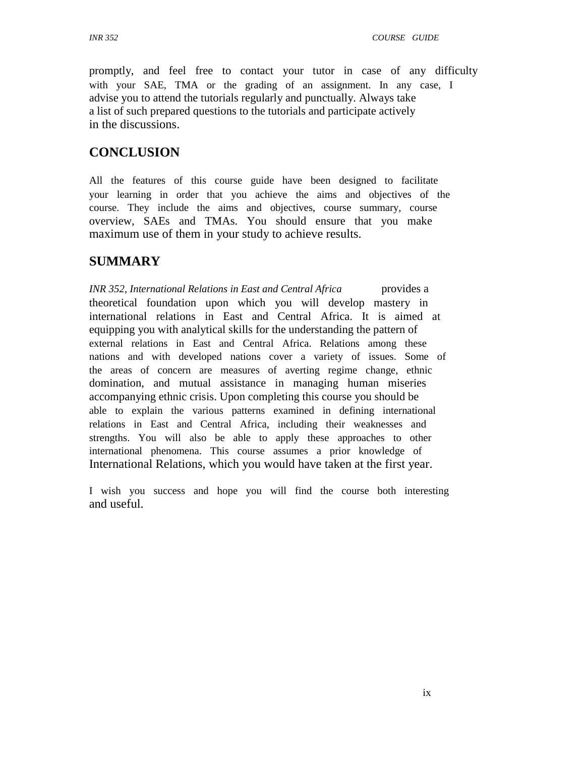promptly, and feel free to contact your tutor in case of any difficulty with your SAE, TMA or the grading of an assignment. In any case, I advise you to attend the tutorials regularly and punctually. Always take a list of such prepared questions to the tutorials and participate actively in the discussions.

## **CONCLUSION**

All the features of this course guide have been designed to facilitate your learning in order that you achieve the aims and objectives of the course. They include the aims and objectives, course summary, course overview, SAEs and TMAs. You should ensure that you make maximum use of them in your study to achieve results.

## **SUMMARY**

*INR 352, International Relations in East and Central Africa* provides a theoretical foundation upon which you will develop mastery in international relations in East and Central Africa. It is aimed at equipping you with analytical skills for the understanding the pattern of external relations in East and Central Africa. Relations among these nations and with developed nations cover a variety of issues. Some of the areas of concern are measures of averting regime change, ethnic domination, and mutual assistance in managing human miseries accompanying ethnic crisis. Upon completing this course you should be able to explain the various patterns examined in defining international relations in East and Central Africa, including their weaknesses and strengths. You will also be able to apply these approaches to other international phenomena. This course assumes a prior knowledge of International Relations, which you would have taken at the first year.

I wish you success and hope you will find the course both interesting and useful.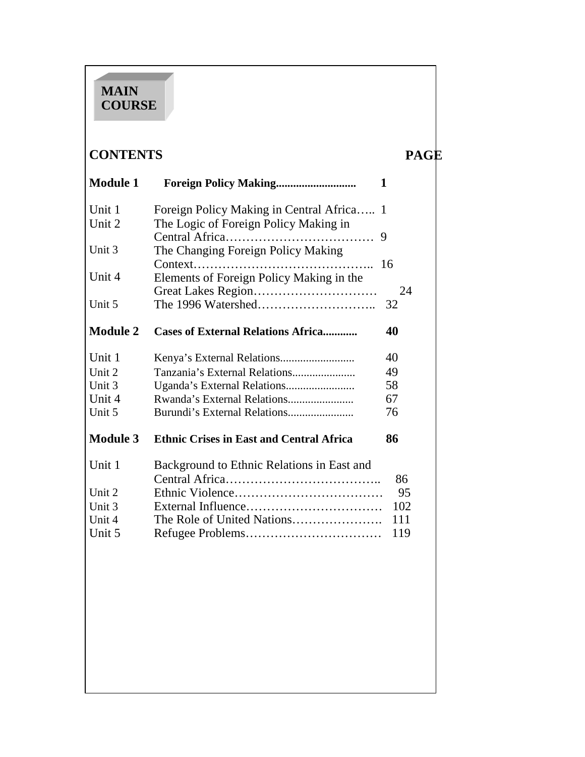# **MAIN COURSE**

# **CONTENTS PAGE**

| <b>Module 1</b> | <b>Foreign Policy Making</b>                    | 1        |
|-----------------|-------------------------------------------------|----------|
| Unit 1          | Foreign Policy Making in Central Africa         | -1       |
| Unit 2          | The Logic of Foreign Policy Making in           | 9        |
| Unit 3          | The Changing Foreign Policy Making              |          |
| Unit 4          | Elements of Foreign Policy Making in the        | 16       |
| Unit 5          |                                                 | 24<br>32 |
| <b>Module 2</b> | <b>Cases of External Relations Africa</b>       | 40       |
| Unit 1          |                                                 | 40       |
| Unit 2          | Tanzania's External Relations                   | 49       |
| Unit 3          |                                                 | 58       |
| Unit 4          |                                                 | 67       |
| Unit 5          | Burundi's External Relations                    | 76       |
| <b>Module 3</b> | <b>Ethnic Crises in East and Central Africa</b> | 86       |
| Unit 1          | Background to Ethnic Relations in East and      |          |
|                 |                                                 | 86       |
| Unit 2          |                                                 | 95       |
| Unit 3          |                                                 | 102      |
| Unit 4          | The Role of United Nations                      | 111      |
| Unit 5          |                                                 | 119      |
|                 |                                                 |          |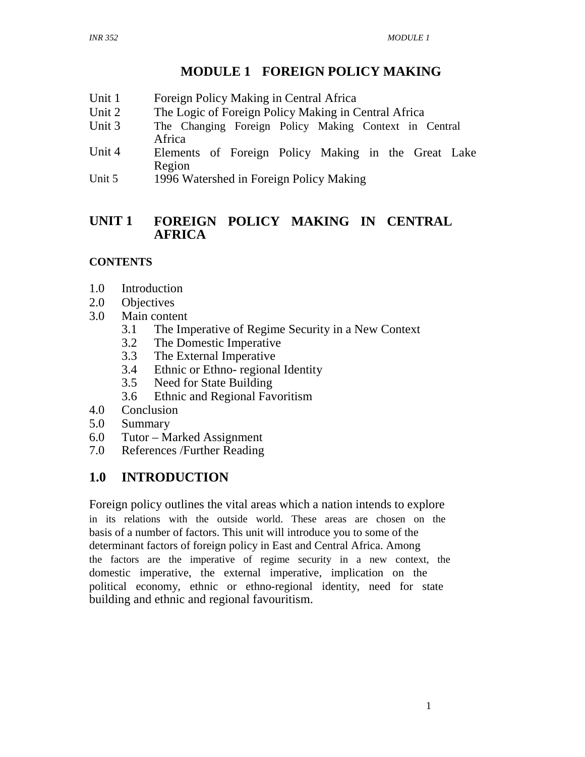## **MODULE 1 FOREIGN POLICY MAKING**

- Unit 1 Foreign Policy Making in Central Africa
- Unit 2 The Logic of Foreign Policy Making in Central Africa
- Unit 3 The Changing Foreign Policy Making Context in Central Africa
- Unit 4 Elements of Foreign Policy Making in the Great Lake Region
- Unit 5 1996 Watershed in Foreign Policy Making

#### **UNIT 1 FOREIGN POLICY MAKING IN CENTRAL AFRICA**

#### **CONTENTS**

- 1.0 Introduction
- 2.0 Objectives<br>3.0 Main conte
- Main content
	- 3.1 The Imperative of Regime Security in a New Context
	- 3.2 The Domestic Imperative
	- 3.3 The External Imperative
	- 3.4 Ethnic or Ethno- regional Identity
	- 3.5 Need for State Building
	- 3.6 Ethnic and Regional Favoritism
- 4.0 Conclusion
- 5.0 Summary
- 6.0 Tutor Marked Assignment
- 7.0 References /Further Reading

## **1.0 INTRODUCTION**

Foreign policy outlines the vital areas which a nation intends to explore in its relations with the outside world. These areas are chosen on the basis of a number of factors. This unit will introduce you to some of the determinant factors of foreign policy in East and Central Africa. Among the factors are the imperative of regime security in a new context, the domestic imperative, the external imperative, implication on the political economy, ethnic or ethno-regional identity, need for state building and ethnic and regional favouritism.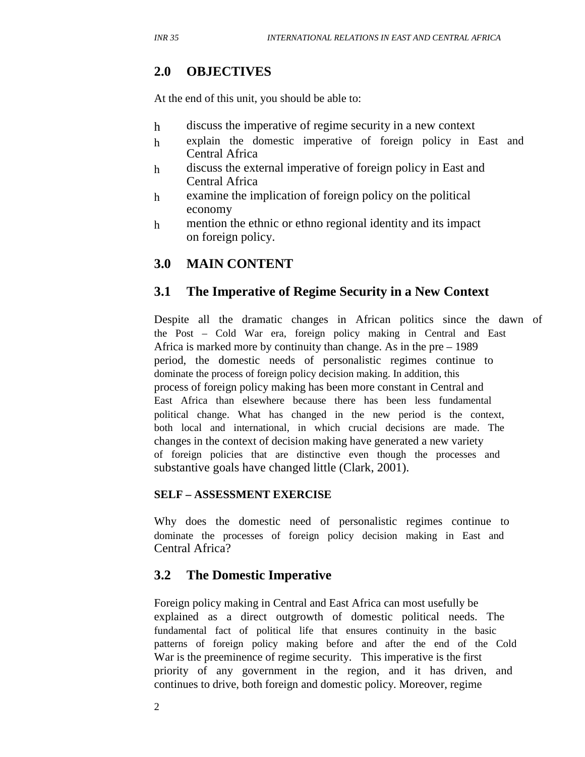## **2.0 OBJECTIVES**

At the end of this unit, you should be able to:

- h discuss the imperative of regime security in a new context
- h explain the domestic imperative of foreign policy in East and Central Africa
- h discuss the external imperative of foreign policy in East and Central Africa
- h examine the implication of foreign policy on the political economy
- h mention the ethnic or ethno regional identity and its impact on foreign policy.

## **3.0 MAIN CONTENT**

## **3.1 The Imperative of Regime Security in a New Context**

Despite all the dramatic changes in African politics since the dawn of the Post – Cold War era, foreign policy making in Central and East Africa is marked more by continuity than change. As in the pre – 1989 period, the domestic needs of personalistic regimes continue to dominate the process of foreign policy decision making. In addition, this process of foreign policy making has been more constant in Central and East Africa than elsewhere because there has been less fundamental political change. What has changed in the new period is the context, both local and international, in which crucial decisions are made. The changes in the context of decision making have generated a new variety of foreign policies that are distinctive even though the processes and substantive goals have changed little (Clark, 2001).

#### **SELF – ASSESSMENT EXERCISE**

Why does the domestic need of personalistic regimes continue to dominate the processes of foreign policy decision making in East and Central Africa?

## **3.2 The Domestic Imperative**

Foreign policy making in Central and East Africa can most usefully be explained as a direct outgrowth of domestic political needs. The fundamental fact of political life that ensures continuity in the basic patterns of foreign policy making before and after the end of the Cold War is the preeminence of regime security. This imperative is the first priority of any government in the region, and it has driven, and continues to drive, both foreign and domestic policy. Moreover, regime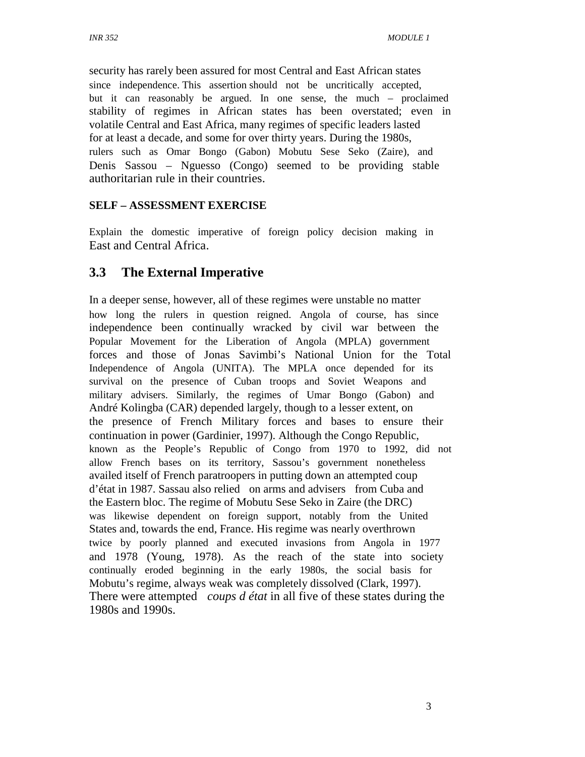security has rarely been assured for most Central and East African states since independence. This assertion should not be uncritically accepted, but it can reasonably be argued. In one sense, the much – proclaimed stability of regimes in African states has been overstated; even in volatile Central and East Africa, many regimes of specific leaders lasted for at least a decade, and some for over thirty years. During the 1980s, rulers such as Omar Bongo (Gabon) Mobutu Sese Seko (Zaire), and Denis Sassou – Nguesso (Congo) seemed to be providing stable authoritarian rule in their countries.

#### **SELF – ASSESSMENT EXERCISE**

Explain the domestic imperative of foreign policy decision making in East and Central Africa.

## **3.3 The External Imperative**

In a deeper sense, however, all of these regimes were unstable no matter how long the rulers in question reigned. Angola of course, has since independence been continually wracked by civil war between the Popular Movement for the Liberation of Angola (MPLA) government forces and those of Jonas Savimbi's National Union for the Total Independence of Angola (UNITA). The MPLA once depended for its survival on the presence of Cuban troops and Soviet Weapons and military advisers. Similarly, the regimes of Umar Bongo (Gabon) and André Kolingba (CAR) depended largely, though to a lesser extent, on the presence of French Military forces and bases to ensure their continuation in power (Gardinier, 1997). Although the Congo Republic, known as the People's Republic of Congo from 1970 to 1992, did not allow French bases on its territory, Sassou's government nonetheless availed itself of French paratroopers in putting down an attempted coup d'état in 1987. Sassau also relied on arms and advisers from Cuba and the Eastern bloc. The regime of Mobutu Sese Seko in Zaire (the DRC) was likewise dependent on foreign support, notably from the United States and, towards the end, France. His regime was nearly overthrown twice by poorly planned and executed invasions from Angola in 1977 and 1978 (Young, 1978). As the reach of the state into society continually eroded beginning in the early 1980s, the social basis for Mobutu's regime, always weak was completely dissolved (Clark, 1997). There were attempted *coups d état* in all five of these states during the 1980s and 1990s.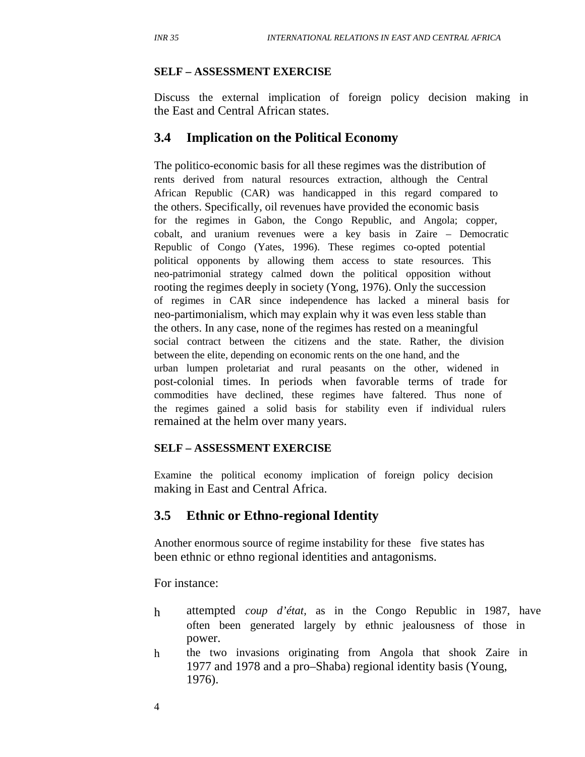#### **SELF – ASSESSMENT EXERCISE**

Discuss the external implication of foreign policy decision making in the East and Central African states.

#### **3.4 Implication on the Political Economy**

The politico-economic basis for all these regimes was the distribution of rents derived from natural resources extraction, although the Central African Republic (CAR) was handicapped in this regard compared to the others. Specifically, oil revenues have provided the economic basis for the regimes in Gabon, the Congo Republic, and Angola; copper, cobalt, and uranium revenues were a key basis in Zaire – Democratic Republic of Congo (Yates, 1996). These regimes co-opted potential political opponents by allowing them access to state resources. This neo-patrimonial strategy calmed down the political opposition without rooting the regimes deeply in society (Yong, 1976). Only the succession of regimes in CAR since independence has lacked a mineral basis for neo-partimonialism, which may explain why it was even less stable than the others. In any case, none of the regimes has rested on a meaningful social contract between the citizens and the state. Rather, the division between the elite, depending on economic rents on the one hand, and the urban lumpen proletariat and rural peasants on the other, widened in post-colonial times. In periods when favorable terms of trade for commodities have declined, these regimes have faltered. Thus none of the regimes gained a solid basis for stability even if individual rulers remained at the helm over many years.

#### **SELF – ASSESSMENT EXERCISE**

Examine the political economy implication of foreign policy decision making in East and Central Africa.

#### **3.5 Ethnic or Ethno-regional Identity**

Another enormous source of regime instability for these five states has been ethnic or ethno regional identities and antagonisms.

For instance:

- h attempted *coup d'état,* as in the Congo Republic in 1987, have often been generated largely by ethnic jealousness of those in power.
- h the two invasions originating from Angola that shook Zaire in 1977 and 1978 and a pro–Shaba) regional identity basis (Young, 1976).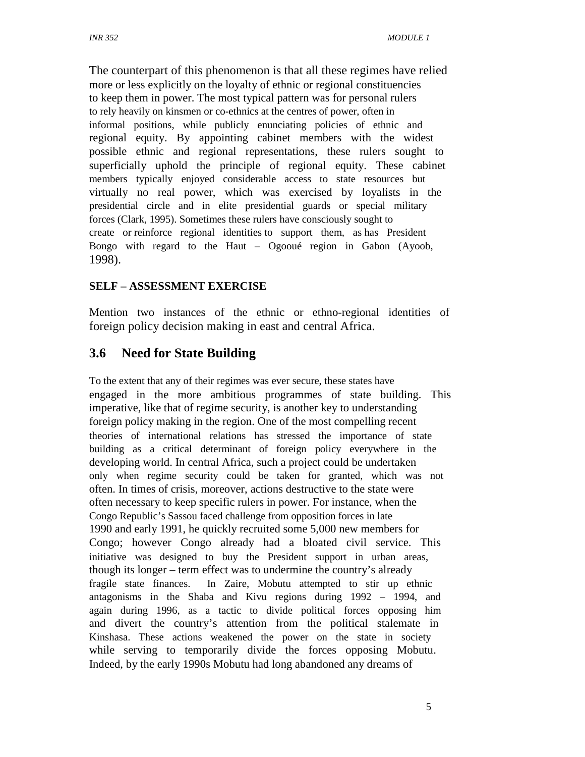The counterpart of this phenomenon is that all these regimes have relied more or less explicitly on the loyalty of ethnic or regional constituencies to keep them in power. The most typical pattern was for personal rulers to rely heavily on kinsmen or co-ethnics at the centres of power, often in informal positions, while publicly enunciating policies of ethnic and regional equity. By appointing cabinet members with the widest possible ethnic and regional representations, these rulers sought to superficially uphold the principle of regional equity. These cabinet members typically enjoyed considerable access to state resources but virtually no real power, which was exercised by loyalists in the presidential circle and in elite presidential guards or special military forces (Clark, 1995). Sometimes these rulers have consciously sought to create or reinforce regional identities to support them, as has President Bongo with regard to the Haut – Ogooué region in Gabon (Ayoob, 1998).

#### **SELF – ASSESSMENT EXERCISE**

Mention two instances of the ethnic or ethno-regional identities of foreign policy decision making in east and central Africa.

## **3.6 Need for State Building**

To the extent that any of their regimes was ever secure, these states have engaged in the more ambitious programmes of state building. This imperative, like that of regime security, is another key to understanding foreign policy making in the region. One of the most compelling recent theories of international relations has stressed the importance of state building as a critical determinant of foreign policy everywhere in the developing world. In central Africa, such a project could be undertaken only when regime security could be taken for granted, which was not often. In times of crisis, moreover, actions destructive to the state were often necessary to keep specific rulers in power. For instance, when the Congo Republic's Sassou faced challenge from opposition forces in late 1990 and early 1991, he quickly recruited some 5,000 new members for Congo; however Congo already had a bloated civil service. This initiative was designed to buy the President support in urban areas, though its longer – term effect was to undermine the country's already fragile state finances. In Zaire, Mobutu attempted to stir up ethnic antagonisms in the Shaba and Kivu regions during 1992 – 1994, and again during 1996, as a tactic to divide political forces opposing him and divert the country's attention from the political stalemate in Kinshasa. These actions weakened the power on the state in society while serving to temporarily divide the forces opposing Mobutu. Indeed, by the early 1990s Mobutu had long abandoned any dreams of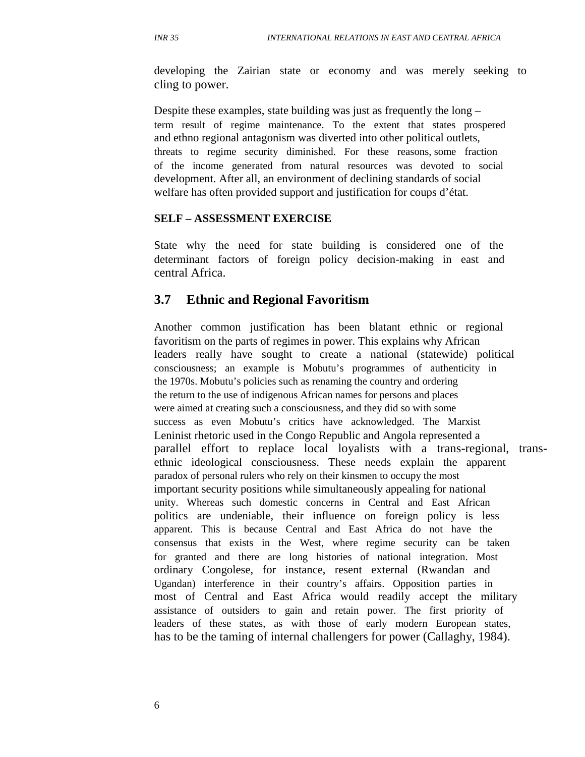developing the Zairian state or economy and was merely seeking to cling to power.

Despite these examples, state building was just as frequently the long – term result of regime maintenance. To the extent that states prospered and ethno regional antagonism was diverted into other political outlets, threats to regime security diminished. For these reasons, some fraction of the income generated from natural resources was devoted to social development. After all, an environment of declining standards of social welfare has often provided support and justification for coups d'état.

#### **SELF – ASSESSMENT EXERCISE**

State why the need for state building is considered one of the determinant factors of foreign policy decision-making in east and central Africa.

#### **3.7 Ethnic and Regional Favoritism**

Another common justification has been blatant ethnic or regional favoritism on the parts of regimes in power. This explains why African leaders really have sought to create a national (statewide) political consciousness; an example is Mobutu's programmes of authenticity in the 1970s. Mobutu's policies such as renaming the country and ordering the return to the use of indigenous African names for persons and places were aimed at creating such a consciousness, and they did so with some success as even Mobutu's critics have acknowledged. The Marxist Leninist rhetoric used in the Congo Republic and Angola represented a parallel effort to replace local loyalists with a trans-regional, transethnic ideological consciousness. These needs explain the apparent paradox of personal rulers who rely on their kinsmen to occupy the most important security positions while simultaneously appealing for national unity. Whereas such domestic concerns in Central and East African politics are undeniable, their influence on foreign policy is less apparent. This is because Central and East Africa do not have the consensus that exists in the West, where regime security can be taken for granted and there are long histories of national integration. Most ordinary Congolese, for instance, resent external (Rwandan and Ugandan) interference in their country's affairs. Opposition parties in most of Central and East Africa would readily accept the military assistance of outsiders to gain and retain power. The first priority of leaders of these states, as with those of early modern European states, has to be the taming of internal challengers for power (Callaghy, 1984).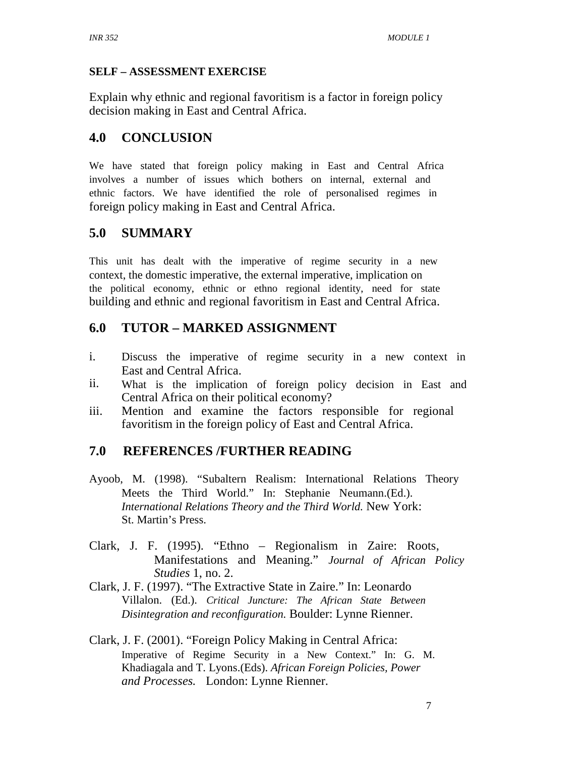#### **SELF – ASSESSMENT EXERCISE**

Explain why ethnic and regional favoritism is a factor in foreign policy decision making in East and Central Africa.

## **4.0 CONCLUSION**

We have stated that foreign policy making in East and Central Africa involves a number of issues which bothers on internal, external and ethnic factors. We have identified the role of personalised regimes in foreign policy making in East and Central Africa.

## **5.0 SUMMARY**

This unit has dealt with the imperative of regime security in a new context, the domestic imperative, the external imperative, implication on the political economy, ethnic or ethno regional identity, need for state building and ethnic and regional favoritism in East and Central Africa.

## **6.0 TUTOR – MARKED ASSIGNMENT**

- i. Discuss the imperative of regime security in a new context in East and Central Africa.
- ii. What is the implication of foreign policy decision in East and Central Africa on their political economy?
- iii. Mention and examine the factors responsible for regional favoritism in the foreign policy of East and Central Africa.

## **7.0 REFERENCES /FURTHER READING**

- Ayoob, M. (1998). "Subaltern Realism: International Relations Theory Meets the Third World." In: Stephanie Neumann.(Ed.). *International Relations Theory and the Third World.* New York: St. Martin's Press.
- Clark, J. F. (1995). "Ethno Regionalism in Zaire: Roots, Manifestations and Meaning." *Journal of African Policy Studies* 1, no. 2.
- Clark, J. F. (1997). "The Extractive State in Zaire." In: Leonardo Villalon. (Ed.). *Critical Juncture: The African State Between Disintegration and reconfiguration.* Boulder: Lynne Rienner.
- Clark, J. F. (2001). "Foreign Policy Making in Central Africa: Imperative of Regime Security in a New Context." In: G. M. Khadiagala and T. Lyons.(Eds). *African Foreign Policies, Power and Processes.* London: Lynne Rienner.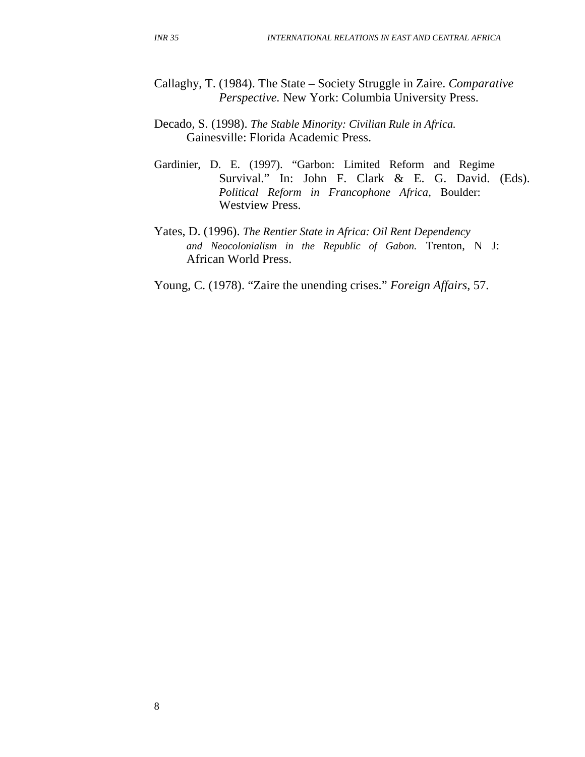- Callaghy, T. (1984). The State Society Struggle in Zaire. *Comparative Perspective.* New York: Columbia University Press.
- Decado, S. (1998). *The Stable Minority: Civilian Rule in Africa.* Gainesville: Florida Academic Press.
- Gardinier, D. E. (1997). "Garbon: Limited Reform and Regime Survival." In: John F. Clark & E. G. David. (Eds). *Political Reform in Francophone Africa,* Boulder: Westview Press.
- Yates, D. (1996). *The Rentier State in Africa: Oil Rent Dependency and Neocolonialism in the Republic of Gabon.* Trenton, N J: African World Press.
- Young, C. (1978). "Zaire the unending crises." *Foreign Affairs,* 57.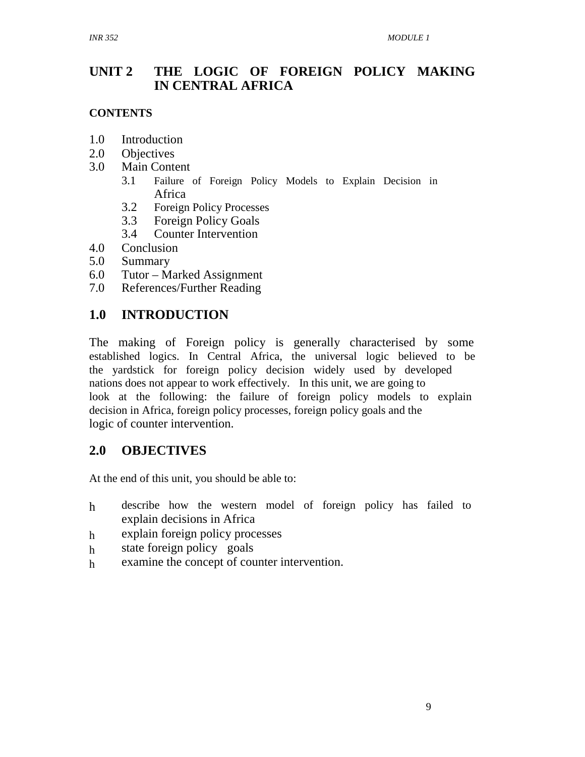## **UNIT 2 THE LOGIC OF FOREIGN POLICY MAKING IN CENTRAL AFRICA**

#### **CONTENTS**

- 1.0 Introduction
- 2.0 Objectives
- 3.0 Main Content
	- 3.1 Failure of Foreign Policy Models to Explain Decision in Africa
	- 3.2 Foreign Policy Processes
	- 3.3 Foreign Policy Goals
	- 3.4 Counter Intervention
- 4.0 Conclusion
- 5.0 Summary
- 6.0 Tutor Marked Assignment
- 7.0 References/Further Reading

## **1.0 INTRODUCTION**

The making of Foreign policy is generally characterised by some established logics. In Central Africa, the universal logic believed to be the yardstick for foreign policy decision widely used by developed nations does not appear to work effectively. In this unit, we are going to look at the following: the failure of foreign policy models to explain decision in Africa, foreign policy processes, foreign policy goals and the logic of counter intervention.

## **2.0 OBJECTIVES**

At the end of this unit, you should be able to:

- h describe how the western model of foreign policy has failed to explain decisions in Africa
- h explain foreign policy processes
- h state foreign policy goals
- h examine the concept of counter intervention.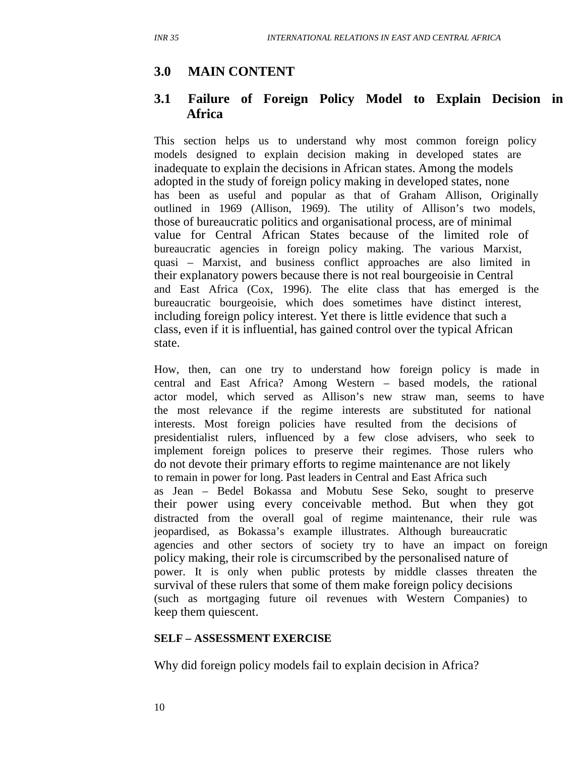## **3.0 MAIN CONTENT**

#### **3.1 Failure of Foreign Policy Model to Explain Decision in Africa**

This section helps us to understand why most common foreign policy models designed to explain decision making in developed states are inadequate to explain the decisions in African states. Among the models adopted in the study of foreign policy making in developed states, none has been as useful and popular as that of Graham Allison, Originally outlined in 1969 (Allison, 1969). The utility of Allison's two models, those of bureaucratic politics and organisational process, are of minimal value for Central African States because of the limited role of bureaucratic agencies in foreign policy making. The various Marxist, quasi – Marxist, and business conflict approaches are also limited in their explanatory powers because there is not real bourgeoisie in Central and East Africa (Cox, 1996). The elite class that has emerged is the bureaucratic bourgeoisie, which does sometimes have distinct interest, including foreign policy interest. Yet there is little evidence that such a class, even if it is influential, has gained control over the typical African state.

How, then, can one try to understand how foreign policy is made in central and East Africa? Among Western – based models, the rational actor model, which served as Allison's new straw man, seems to have the most relevance if the regime interests are substituted for national interests. Most foreign policies have resulted from the decisions of presidentialist rulers, influenced by a few close advisers, who seek to implement foreign polices to preserve their regimes. Those rulers who do not devote their primary efforts to regime maintenance are not likely to remain in power for long. Past leaders in Central and East Africa such as Jean – Bedel Bokassa and Mobutu Sese Seko, sought to preserve their power using every conceivable method. But when they got distracted from the overall goal of regime maintenance, their rule was jeopardised, as Bokassa's example illustrates. Although bureaucratic agencies and other sectors of society try to have an impact on foreign policy making, their role is circumscribed by the personalised nature of power. It is only when public protests by middle classes threaten the survival of these rulers that some of them make foreign policy decisions (such as mortgaging future oil revenues with Western Companies) to keep them quiescent.

#### **SELF – ASSESSMENT EXERCISE**

Why did foreign policy models fail to explain decision in Africa?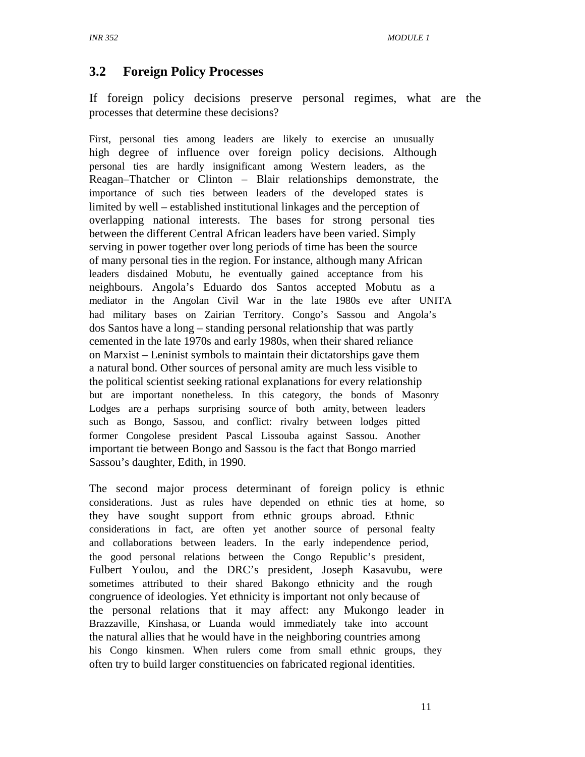## **3.2 Foreign Policy Processes**

If foreign policy decisions preserve personal regimes, what are the processes that determine these decisions?

First, personal ties among leaders are likely to exercise an unusually high degree of influence over foreign policy decisions. Although personal ties are hardly insignificant among Western leaders, as the Reagan–Thatcher or Clinton – Blair relationships demonstrate, the importance of such ties between leaders of the developed states is limited by well – established institutional linkages and the perception of overlapping national interests. The bases for strong personal ties between the different Central African leaders have been varied. Simply serving in power together over long periods of time has been the source of many personal ties in the region. For instance, although many African leaders disdained Mobutu, he eventually gained acceptance from his neighbours. Angola's Eduardo dos Santos accepted Mobutu as a mediator in the Angolan Civil War in the late 1980s eve after UNITA had military bases on Zairian Territory. Congo's Sassou and Angola's dos Santos have a long – standing personal relationship that was partly cemented in the late 1970s and early 1980s, when their shared reliance on Marxist – Leninist symbols to maintain their dictatorships gave them a natural bond. Other sources of personal amity are much less visible to the political scientist seeking rational explanations for every relationship but are important nonetheless. In this category, the bonds of Masonry Lodges are a perhaps surprising source of both amity, between leaders such as Bongo, Sassou, and conflict: rivalry between lodges pitted former Congolese president Pascal Lissouba against Sassou. Another important tie between Bongo and Sassou is the fact that Bongo married Sassou's daughter, Edith, in 1990.

The second major process determinant of foreign policy is ethnic considerations. Just as rules have depended on ethnic ties at home, so they have sought support from ethnic groups abroad. Ethnic considerations in fact, are often yet another source of personal fealty and collaborations between leaders. In the early independence period, the good personal relations between the Congo Republic's president, Fulbert Youlou, and the DRC's president, Joseph Kasavubu, were sometimes attributed to their shared Bakongo ethnicity and the rough congruence of ideologies. Yet ethnicity is important not only because of the personal relations that it may affect: any Mukongo leader in Brazzaville, Kinshasa, or Luanda would immediately take into account the natural allies that he would have in the neighboring countries among his Congo kinsmen. When rulers come from small ethnic groups, they often try to build larger constituencies on fabricated regional identities.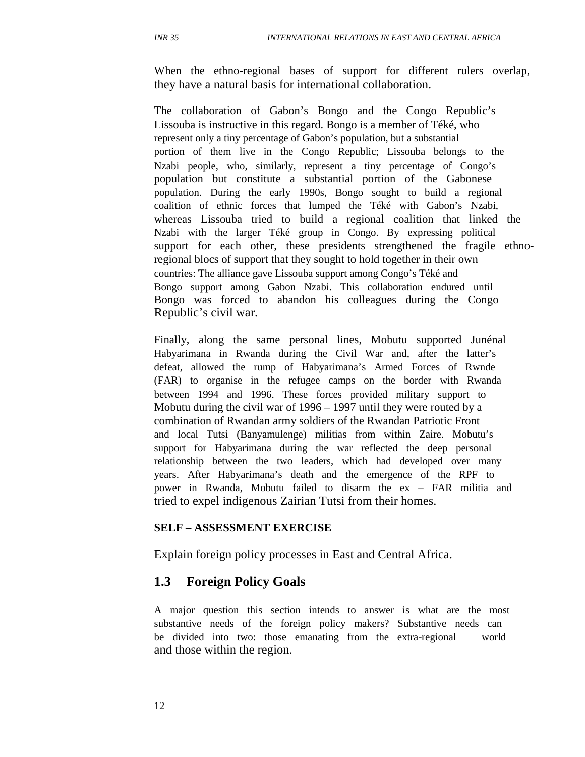When the ethno-regional bases of support for different rulers overlap, they have a natural basis for international collaboration.

The collaboration of Gabon's Bongo and the Congo Republic's Lissouba is instructive in this regard. Bongo is a member of Téké, who represent only a tiny percentage of Gabon's population, but a substantial portion of them live in the Congo Republic; Lissouba belongs to the Nzabi people, who, similarly, represent a tiny percentage of Congo's population but constitute a substantial portion of the Gabonese population. During the early 1990s, Bongo sought to build a regional coalition of ethnic forces that lumped the Téké with Gabon's Nzabi, whereas Lissouba tried to build a regional coalition that linked the Nzabi with the larger Téké group in Congo. By expressing political support for each other, these presidents strengthened the fragile ethnoregional blocs of support that they sought to hold together in their own countries: The alliance gave Lissouba support among Congo's Téké and Bongo support among Gabon Nzabi. This collaboration endured until Bongo was forced to abandon his colleagues during the Congo Republic's civil war.

Finally, along the same personal lines, Mobutu supported Junénal Habyarimana in Rwanda during the Civil War and, after the latter's defeat, allowed the rump of Habyarimana's Armed Forces of Rwnde (FAR) to organise in the refugee camps on the border with Rwanda between 1994 and 1996. These forces provided military support to Mobutu during the civil war of 1996 – 1997 until they were routed by a combination of Rwandan army soldiers of the Rwandan Patriotic Front and local Tutsi (Banyamulenge) militias from within Zaire. Mobutu's support for Habyarimana during the war reflected the deep personal relationship between the two leaders, which had developed over many years. After Habyarimana's death and the emergence of the RPF to power in Rwanda, Mobutu failed to disarm the ex – FAR militia and tried to expel indigenous Zairian Tutsi from their homes.

#### **SELF – ASSESSMENT EXERCISE**

Explain foreign policy processes in East and Central Africa.

#### **1.3 Foreign Policy Goals**

A major question this section intends to answer is what are the most substantive needs of the foreign policy makers? Substantive needs can be divided into two: those emanating from the extra-regional world and those within the region.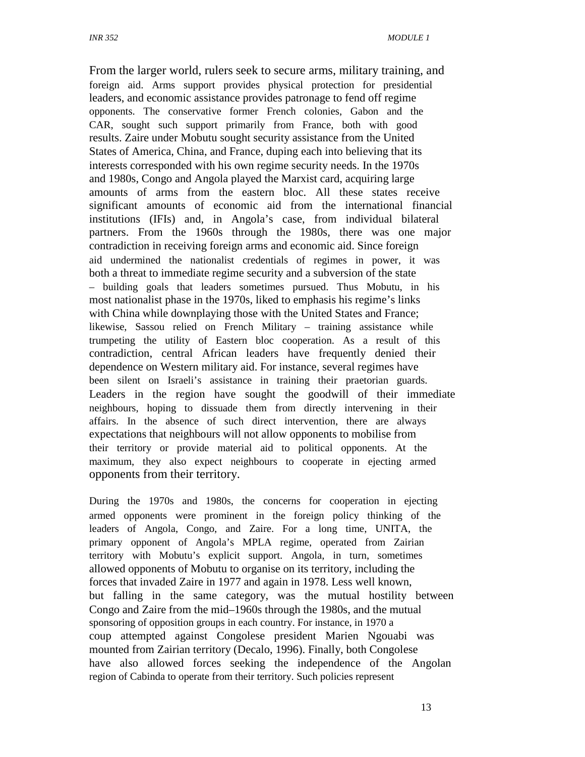From the larger world, rulers seek to secure arms, military training, and foreign aid. Arms support provides physical protection for presidential leaders, and economic assistance provides patronage to fend off regime opponents. The conservative former French colonies, Gabon and the CAR, sought such support primarily from France, both with good results. Zaire under Mobutu sought security assistance from the United States of America, China, and France, duping each into believing that its interests corresponded with his own regime security needs. In the 1970s and 1980s, Congo and Angola played the Marxist card, acquiring large amounts of arms from the eastern bloc. All these states receive significant amounts of economic aid from the international financial institutions (IFIs) and, in Angola's case, from individual bilateral partners. From the 1960s through the 1980s, there was one major contradiction in receiving foreign arms and economic aid. Since foreign aid undermined the nationalist credentials of regimes in power, it was both a threat to immediate regime security and a subversion of the state – building goals that leaders sometimes pursued. Thus Mobutu, in his most nationalist phase in the 1970s, liked to emphasis his regime's links with China while downplaying those with the United States and France; likewise, Sassou relied on French Military – training assistance while trumpeting the utility of Eastern bloc cooperation. As a result of this contradiction, central African leaders have frequently denied their dependence on Western military aid. For instance, several regimes have been silent on Israeli's assistance in training their praetorian guards. Leaders in the region have sought the goodwill of their immediate neighbours, hoping to dissuade them from directly intervening in their affairs. In the absence of such direct intervention, there are always expectations that neighbours will not allow opponents to mobilise from their territory or provide material aid to political opponents. At the maximum, they also expect neighbours to cooperate in ejecting armed opponents from their territory.

During the 1970s and 1980s, the concerns for cooperation in ejecting armed opponents were prominent in the foreign policy thinking of the leaders of Angola, Congo, and Zaire. For a long time, UNITA, the primary opponent of Angola's MPLA regime, operated from Zairian territory with Mobutu's explicit support. Angola, in turn, sometimes allowed opponents of Mobutu to organise on its territory, including the forces that invaded Zaire in 1977 and again in 1978. Less well known, but falling in the same category, was the mutual hostility between Congo and Zaire from the mid–1960s through the 1980s, and the mutual sponsoring of opposition groups in each country. For instance, in 1970 a coup attempted against Congolese president Marien Ngouabi was mounted from Zairian territory (Decalo, 1996). Finally, both Congolese have also allowed forces seeking the independence of the Angolan region of Cabinda to operate from their territory. Such policies represent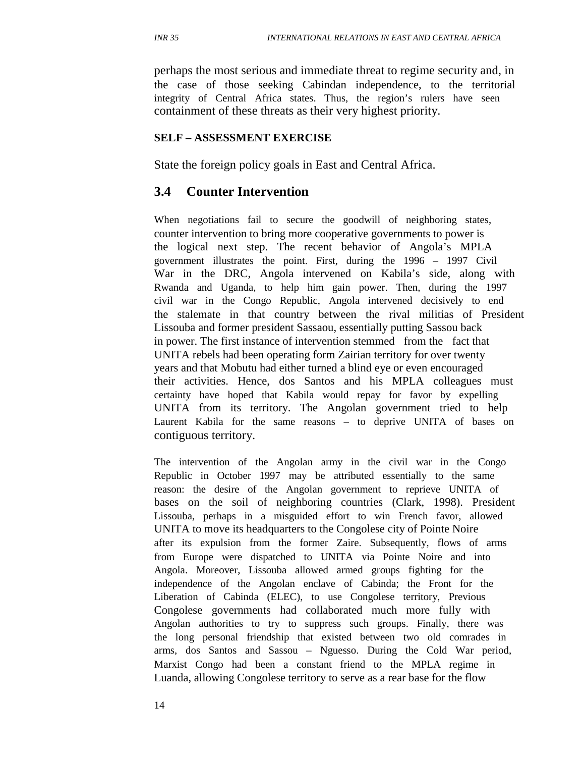perhaps the most serious and immediate threat to regime security and, in the case of those seeking Cabindan independence, to the territorial integrity of Central Africa states. Thus, the region's rulers have seen containment of these threats as their very highest priority.

#### **SELF – ASSESSMENT EXERCISE**

State the foreign policy goals in East and Central Africa.

#### **3.4 Counter Intervention**

When negotiations fail to secure the goodwill of neighboring states, counter intervention to bring more cooperative governments to power is the logical next step. The recent behavior of Angola's MPLA government illustrates the point. First, during the 1996 – 1997 Civil War in the DRC, Angola intervened on Kabila's side, along with Rwanda and Uganda, to help him gain power. Then, during the 1997 civil war in the Congo Republic, Angola intervened decisively to end the stalemate in that country between the rival militias of President Lissouba and former president Sassaou, essentially putting Sassou back in power. The first instance of intervention stemmed from the fact that UNITA rebels had been operating form Zairian territory for over twenty years and that Mobutu had either turned a blind eye or even encouraged their activities. Hence, dos Santos and his MPLA colleagues must certainty have hoped that Kabila would repay for favor by expelling UNITA from its territory. The Angolan government tried to help Laurent Kabila for the same reasons – to deprive UNITA of bases on contiguous territory.

The intervention of the Angolan army in the civil war in the Congo Republic in October 1997 may be attributed essentially to the same reason: the desire of the Angolan government to reprieve UNITA of bases on the soil of neighboring countries (Clark, 1998). President Lissouba, perhaps in a misguided effort to win French favor, allowed UNITA to move its headquarters to the Congolese city of Pointe Noire after its expulsion from the former Zaire. Subsequently, flows of arms from Europe were dispatched to UNITA via Pointe Noire and into Angola. Moreover, Lissouba allowed armed groups fighting for the independence of the Angolan enclave of Cabinda; the Front for the Liberation of Cabinda (ELEC), to use Congolese territory, Previous Congolese governments had collaborated much more fully with Angolan authorities to try to suppress such groups. Finally, there was the long personal friendship that existed between two old comrades in arms, dos Santos and Sassou – Nguesso. During the Cold War period, Marxist Congo had been a constant friend to the MPLA regime in Luanda, allowing Congolese territory to serve as a rear base for the flow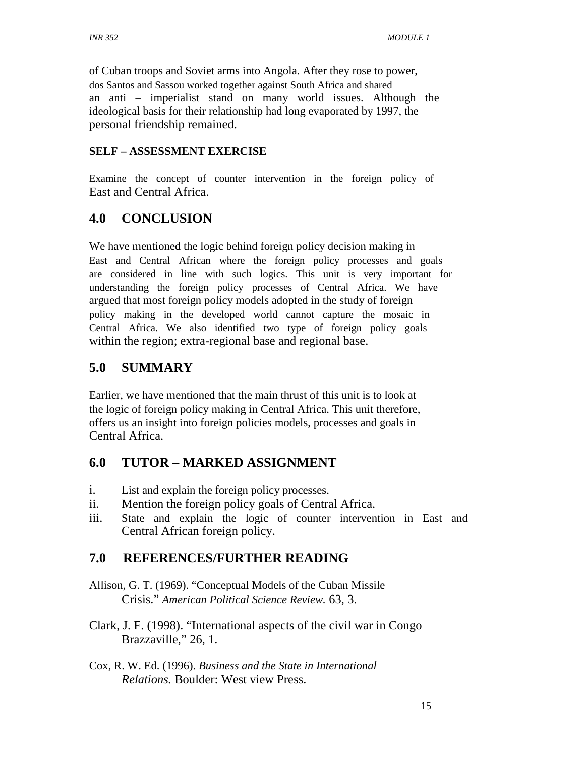of Cuban troops and Soviet arms into Angola. After they rose to power, dos Santos and Sassou worked together against South Africa and shared an anti – imperialist stand on many world issues. Although the ideological basis for their relationship had long evaporated by 1997, the personal friendship remained.

#### **SELF – ASSESSMENT EXERCISE**

Examine the concept of counter intervention in the foreign policy of East and Central Africa.

## **4.0 CONCLUSION**

We have mentioned the logic behind foreign policy decision making in East and Central African where the foreign policy processes and goals are considered in line with such logics. This unit is very important for understanding the foreign policy processes of Central Africa. We have argued that most foreign policy models adopted in the study of foreign policy making in the developed world cannot capture the mosaic in Central Africa. We also identified two type of foreign policy goals within the region; extra-regional base and regional base.

## **5.0 SUMMARY**

Earlier, we have mentioned that the main thrust of this unit is to look at the logic of foreign policy making in Central Africa. This unit therefore, offers us an insight into foreign policies models, processes and goals in Central Africa.

## **6.0 TUTOR – MARKED ASSIGNMENT**

- i. List and explain the foreign policy processes.
- ii. Mention the foreign policy goals of Central Africa.
- iii. State and explain the logic of counter intervention in East and Central African foreign policy.

## **7.0 REFERENCES/FURTHER READING**

- Allison, G. T. (1969). "Conceptual Models of the Cuban Missile Crisis." *American Political Science Review.* 63, 3.
- Clark, J. F. (1998). "International aspects of the civil war in Congo Brazzaville," 26, 1.
- Cox, R. W. Ed. (1996). *Business and the State in International Relations.* Boulder: West view Press.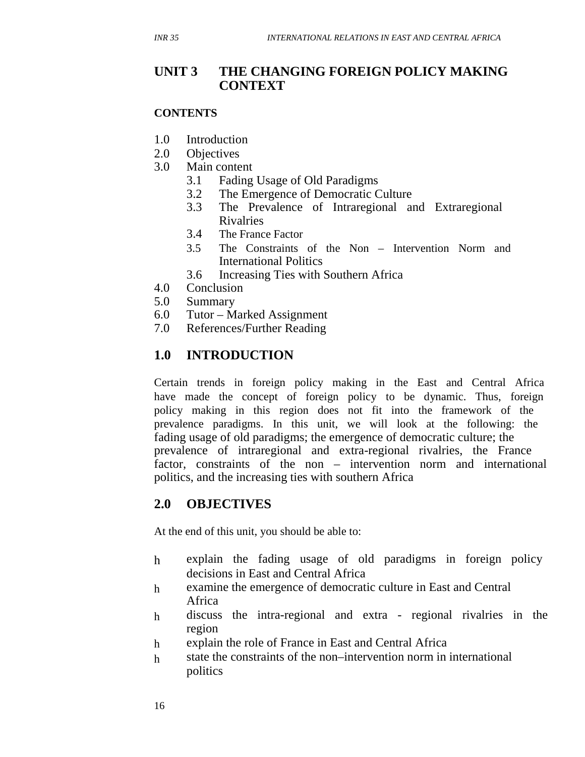#### **UNIT 3 THE CHANGING FOREIGN POLICY MAKING CONTEXT**

#### **CONTENTS**

- 1.0 Introduction
- 2.0 Objectives
- 3.0 Main content
	- 3.1 Fading Usage of Old Paradigms
	- 3.2 The Emergence of Democratic Culture
	- 3.3 The Prevalence of Intraregional and Extraregional Rivalries
	- 3.4 The France Factor
	- 3.5 The Constraints of the Non Intervention Norm and International Politics
	- 3.6 Increasing Ties with Southern Africa
- 4.0 Conclusion
- 5.0 Summary
- 6.0 Tutor Marked Assignment
- 7.0 References/Further Reading

## **1.0 INTRODUCTION**

Certain trends in foreign policy making in the East and Central Africa have made the concept of foreign policy to be dynamic. Thus, foreign policy making in this region does not fit into the framework of the prevalence paradigms. In this unit, we will look at the following: the fading usage of old paradigms; the emergence of democratic culture; the prevalence of intraregional and extra-regional rivalries, the France factor, constraints of the non – intervention norm and international politics, and the increasing ties with southern Africa

## **2.0 OBJECTIVES**

At the end of this unit, you should be able to:

- h explain the fading usage of old paradigms in foreign policy decisions in East and Central Africa
- h examine the emergence of democratic culture in East and Central Africa
- h discuss the intra-regional and extra - regional rivalries in the region
- h explain the role of France in East and Central Africa
- h state the constraints of the non–intervention norm in international politics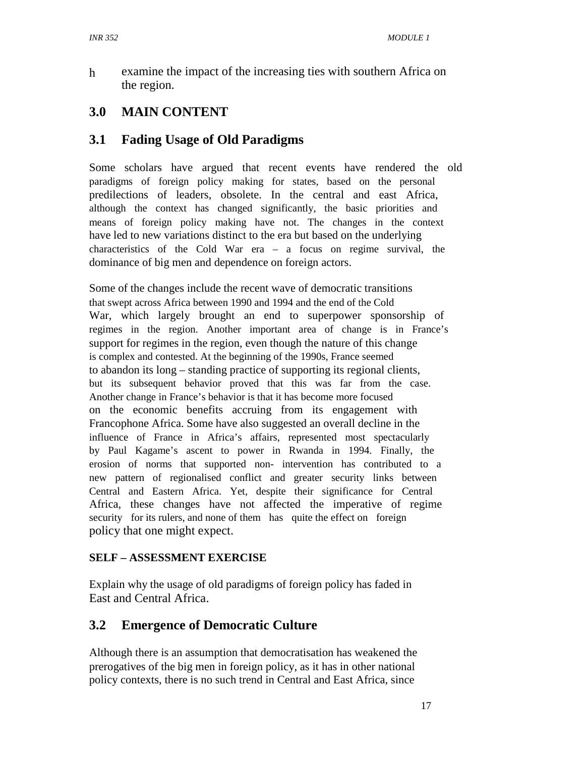h examine the impact of the increasing ties with southern Africa on the region.

# **3.0 MAIN CONTENT**

## **3.1 Fading Usage of Old Paradigms**

Some scholars have argued that recent events have rendered the old paradigms of foreign policy making for states, based on the personal predilections of leaders, obsolete. In the central and east Africa, although the context has changed significantly, the basic priorities and means of foreign policy making have not. The changes in the context have led to new variations distinct to the era but based on the underlying characteristics of the Cold War era – a focus on regime survival, the dominance of big men and dependence on foreign actors.

Some of the changes include the recent wave of democratic transitions that swept across Africa between 1990 and 1994 and the end of the Cold War, which largely brought an end to superpower sponsorship of regimes in the region. Another important area of change is in France's support for regimes in the region, even though the nature of this change is complex and contested. At the beginning of the 1990s, France seemed to abandon its long – standing practice of supporting its regional clients, but its subsequent behavior proved that this was far from the case. Another change in France's behavior is that it has become more focused on the economic benefits accruing from its engagement with Francophone Africa. Some have also suggested an overall decline in the influence of France in Africa's affairs, represented most spectacularly by Paul Kagame's ascent to power in Rwanda in 1994. Finally, the erosion of norms that supported non- intervention has contributed to a new pattern of regionalised conflict and greater security links between Central and Eastern Africa. Yet, despite their significance for Central Africa, these changes have not affected the imperative of regime security for its rulers, and none of them has quite the effect on foreign policy that one might expect.

#### **SELF – ASSESSMENT EXERCISE**

Explain why the usage of old paradigms of foreign policy has faded in East and Central Africa.

## **3.2 Emergence of Democratic Culture**

Although there is an assumption that democratisation has weakened the prerogatives of the big men in foreign policy, as it has in other national policy contexts, there is no such trend in Central and East Africa, since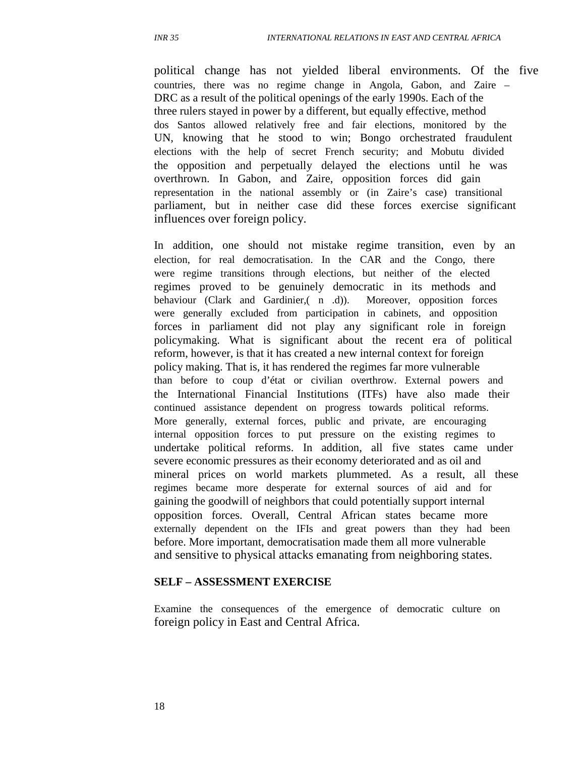political change has not yielded liberal environments. Of the five countries, there was no regime change in Angola, Gabon, and Zaire – DRC as a result of the political openings of the early 1990s. Each of the three rulers stayed in power by a different, but equally effective, method dos Santos allowed relatively free and fair elections, monitored by the UN, knowing that he stood to win; Bongo orchestrated fraudulent elections with the help of secret French security; and Mobutu divided the opposition and perpetually delayed the elections until he was overthrown. In Gabon, and Zaire, opposition forces did gain representation in the national assembly or (in Zaire's case) transitional parliament, but in neither case did these forces exercise significant influences over foreign policy.

In addition, one should not mistake regime transition, even by an election, for real democratisation. In the CAR and the Congo, there were regime transitions through elections, but neither of the elected regimes proved to be genuinely democratic in its methods and behaviour (Clark and Gardinier,( n .d)). Moreover, opposition forces were generally excluded from participation in cabinets, and opposition forces in parliament did not play any significant role in foreign policymaking. What is significant about the recent era of political reform, however, is that it has created a new internal context for foreign policy making. That is, it has rendered the regimes far more vulnerable than before to coup d'état or civilian overthrow. External powers and the International Financial Institutions (ITFs) have also made their continued assistance dependent on progress towards political reforms. More generally, external forces, public and private, are encouraging internal opposition forces to put pressure on the existing regimes to undertake political reforms. In addition, all five states came under severe economic pressures as their economy deteriorated and as oil and mineral prices on world markets plummeted. As a result, all these regimes became more desperate for external sources of aid and for gaining the goodwill of neighbors that could potentially support internal opposition forces. Overall, Central African states became more externally dependent on the IFIs and great powers than they had been before. More important, democratisation made them all more vulnerable and sensitive to physical attacks emanating from neighboring states.

#### **SELF – ASSESSMENT EXERCISE**

Examine the consequences of the emergence of democratic culture on foreign policy in East and Central Africa.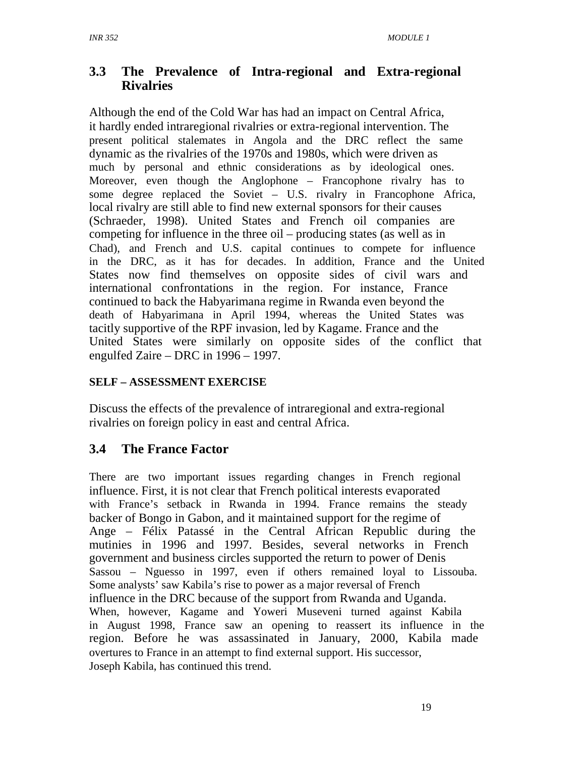## **3.3 The Prevalence of Intra-regional and Extra-regional Rivalries**

Although the end of the Cold War has had an impact on Central Africa, it hardly ended intraregional rivalries or extra-regional intervention. The present political stalemates in Angola and the DRC reflect the same dynamic as the rivalries of the 1970s and 1980s, which were driven as much by personal and ethnic considerations as by ideological ones. Moreover, even though the Anglophone – Francophone rivalry has to some degree replaced the Soviet – U.S. rivalry in Francophone Africa, local rivalry are still able to find new external sponsors for their causes (Schraeder, 1998). United States and French oil companies are competing for influence in the three oil – producing states (as well as in Chad), and French and U.S. capital continues to compete for influence in the DRC, as it has for decades. In addition, France and the United States now find themselves on opposite sides of civil wars and international confrontations in the region. For instance, France continued to back the Habyarimana regime in Rwanda even beyond the death of Habyarimana in April 1994, whereas the United States was tacitly supportive of the RPF invasion, led by Kagame. France and the United States were similarly on opposite sides of the conflict that engulfed Zaire – DRC in 1996 – 1997.

#### **SELF – ASSESSMENT EXERCISE**

Discuss the effects of the prevalence of intraregional and extra-regional rivalries on foreign policy in east and central Africa.

## **3.4 The France Factor**

There are two important issues regarding changes in French regional influence. First, it is not clear that French political interests evaporated with France's setback in Rwanda in 1994. France remains the steady backer of Bongo in Gabon, and it maintained support for the regime of Ange – Félix Patassé in the Central African Republic during the mutinies in 1996 and 1997. Besides, several networks in French government and business circles supported the return to power of Denis Sassou – Nguesso in 1997, even if others remained loyal to Lissouba. Some analysts' saw Kabila's rise to power as a major reversal of French influence in the DRC because of the support from Rwanda and Uganda. When, however, Kagame and Yoweri Museveni turned against Kabila in August 1998, France saw an opening to reassert its influence in the region. Before he was assassinated in January, 2000, Kabila made overtures to France in an attempt to find external support. His successor, Joseph Kabila, has continued this trend.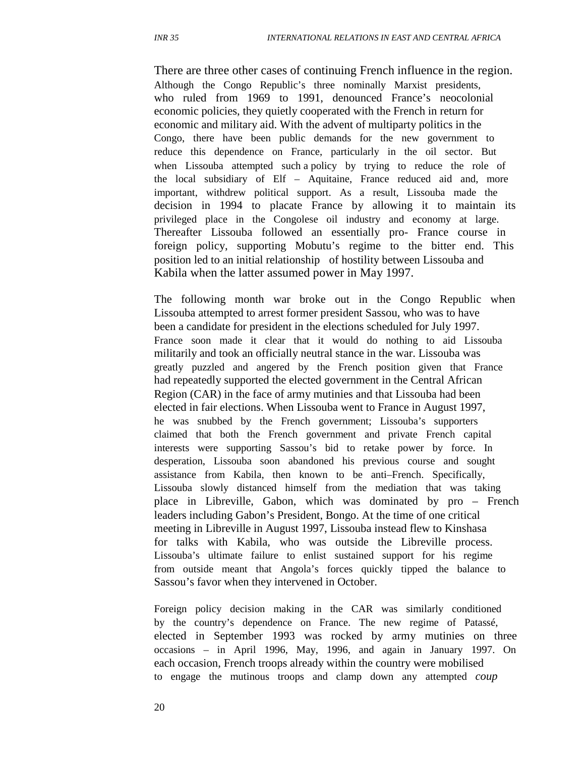There are three other cases of continuing French influence in the region. Although the Congo Republic's three nominally Marxist presidents, who ruled from 1969 to 1991, denounced France's neocolonial economic policies, they quietly cooperated with the French in return for economic and military aid. With the advent of multiparty politics in the Congo, there have been public demands for the new government to reduce this dependence on France, particularly in the oil sector. But when Lissouba attempted such a policy by trying to reduce the role of the local subsidiary of Elf – Aquitaine, France reduced aid and, more important, withdrew political support. As a result, Lissouba made the decision in 1994 to placate France by allowing it to maintain its privileged place in the Congolese oil industry and economy at large. Thereafter Lissouba followed an essentially pro- France course in foreign policy, supporting Mobutu's regime to the bitter end. This position led to an initial relationship of hostility between Lissouba and Kabila when the latter assumed power in May 1997.

The following month war broke out in the Congo Republic when Lissouba attempted to arrest former president Sassou, who was to have been a candidate for president in the elections scheduled for July 1997. France soon made it clear that it would do nothing to aid Lissouba militarily and took an officially neutral stance in the war. Lissouba was greatly puzzled and angered by the French position given that France had repeatedly supported the elected government in the Central African Region (CAR) in the face of army mutinies and that Lissouba had been elected in fair elections. When Lissouba went to France in August 1997, he was snubbed by the French government; Lissouba's supporters claimed that both the French government and private French capital interests were supporting Sassou's bid to retake power by force. In desperation, Lissouba soon abandoned his previous course and sought assistance from Kabila, then known to be anti–French. Specifically, Lissouba slowly distanced himself from the mediation that was taking place in Libreville, Gabon, which was dominated by pro – French leaders including Gabon's President, Bongo. At the time of one critical meeting in Libreville in August 1997, Lissouba instead flew to Kinshasa for talks with Kabila, who was outside the Libreville process. Lissouba's ultimate failure to enlist sustained support for his regime from outside meant that Angola's forces quickly tipped the balance to Sassou's favor when they intervened in October.

Foreign policy decision making in the CAR was similarly conditioned by the country's dependence on France. The new regime of Patassé, elected in September 1993 was rocked by army mutinies on three occasions – in April 1996, May, 1996, and again in January 1997. On each occasion, French troops already within the country were mobilised to engage the mutinous troops and clamp down any attempted *coup*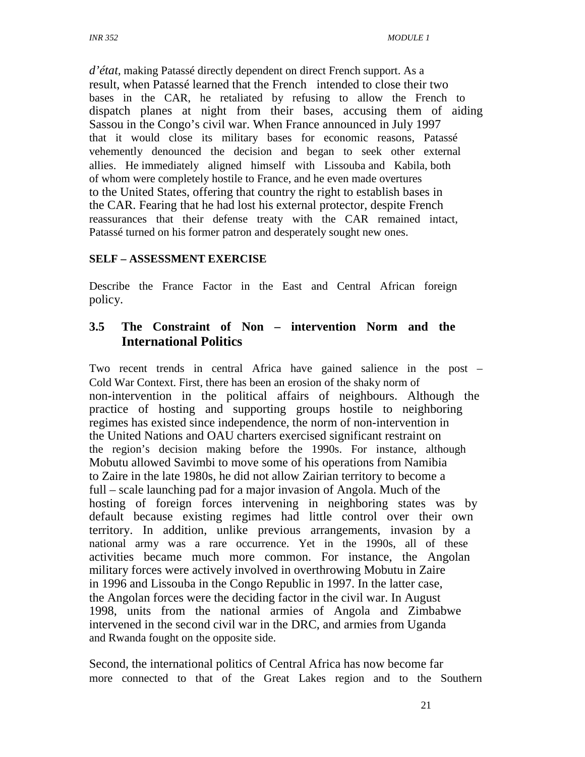*d'état*, making Patassé directly dependent on direct French support. As a result, when Patassé learned that the French intended to close their two bases in the CAR, he retaliated by refusing to allow the French to dispatch planes at night from their bases, accusing them of aiding Sassou in the Congo's civil war. When France announced in July 1997 that it would close its military bases for economic reasons, Patassé vehemently denounced the decision and began to seek other external allies. He immediately aligned himself with Lissouba and Kabila, both of whom were completely hostile to France, and he even made overtures to the United States, offering that country the right to establish bases in the CAR. Fearing that he had lost his external protector, despite French reassurances that their defense treaty with the CAR remained intact, Patassé turned on his former patron and desperately sought new ones.

#### **SELF – ASSESSMENT EXERCISE**

Describe the France Factor in the East and Central African foreign policy.

#### **3.5 The Constraint of Non – intervention Norm and the International Politics**

Two recent trends in central Africa have gained salience in the post – Cold War Context. First, there has been an erosion of the shaky norm of non-intervention in the political affairs of neighbours. Although the practice of hosting and supporting groups hostile to neighboring regimes has existed since independence, the norm of non-intervention in the United Nations and OAU charters exercised significant restraint on the region's decision making before the 1990s. For instance, although Mobutu allowed Savimbi to move some of his operations from Namibia to Zaire in the late 1980s, he did not allow Zairian territory to become a full – scale launching pad for a major invasion of Angola. Much of the hosting of foreign forces intervening in neighboring states was by default because existing regimes had little control over their own territory. In addition, unlike previous arrangements, invasion by a national army was a rare occurrence. Yet in the 1990s, all of these activities became much more common. For instance, the Angolan military forces were actively involved in overthrowing Mobutu in Zaire in 1996 and Lissouba in the Congo Republic in 1997. In the latter case, the Angolan forces were the deciding factor in the civil war. In August 1998, units from the national armies of Angola and Zimbabwe intervened in the second civil war in the DRC, and armies from Uganda and Rwanda fought on the opposite side.

Second, the international politics of Central Africa has now become far more connected to that of the Great Lakes region and to the Southern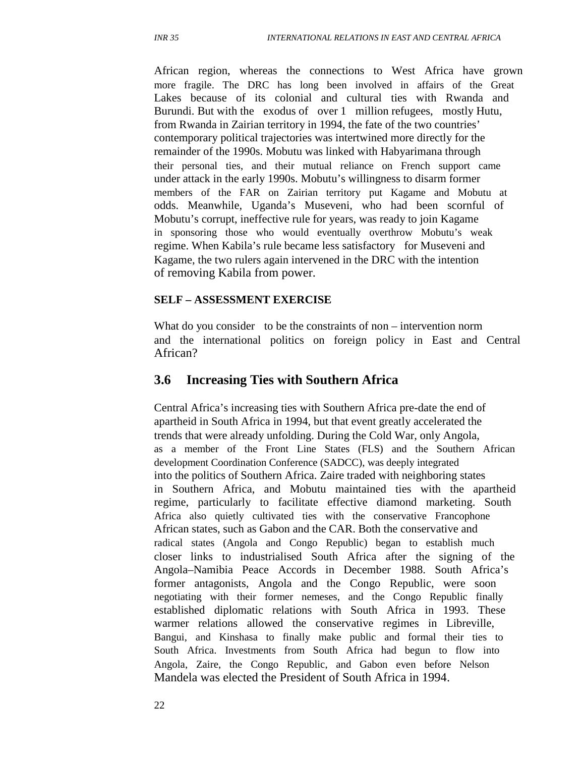African region, whereas the connections to West Africa have grown more fragile. The DRC has long been involved in affairs of the Great Lakes because of its colonial and cultural ties with Rwanda and Burundi. But with the exodus of over 1 million refugees, mostly Hutu, from Rwanda in Zairian territory in 1994, the fate of the two countries' contemporary political trajectories was intertwined more directly for the remainder of the 1990s. Mobutu was linked with Habyarimana through their personal ties, and their mutual reliance on French support came under attack in the early 1990s. Mobutu's willingness to disarm former members of the FAR on Zairian territory put Kagame and Mobutu at odds. Meanwhile, Uganda's Museveni, who had been scornful of Mobutu's corrupt, ineffective rule for years, was ready to join Kagame in sponsoring those who would eventually overthrow Mobutu's weak regime. When Kabila's rule became less satisfactory for Museveni and Kagame, the two rulers again intervened in the DRC with the intention of removing Kabila from power.

#### **SELF – ASSESSMENT EXERCISE**

What do you consider to be the constraints of non – intervention norm and the international politics on foreign policy in East and Central African?

#### **3.6 Increasing Ties with Southern Africa**

Central Africa's increasing ties with Southern Africa pre-date the end of apartheid in South Africa in 1994, but that event greatly accelerated the trends that were already unfolding. During the Cold War, only Angola, as a member of the Front Line States (FLS) and the Southern African development Coordination Conference (SADCC), was deeply integrated into the politics of Southern Africa. Zaire traded with neighboring states in Southern Africa, and Mobutu maintained ties with the apartheid regime, particularly to facilitate effective diamond marketing. South Africa also quietly cultivated ties with the conservative Francophone African states, such as Gabon and the CAR. Both the conservative and radical states (Angola and Congo Republic) began to establish much closer links to industrialised South Africa after the signing of the Angola–Namibia Peace Accords in December 1988. South Africa's former antagonists, Angola and the Congo Republic, were soon negotiating with their former nemeses, and the Congo Republic finally established diplomatic relations with South Africa in 1993. These warmer relations allowed the conservative regimes in Libreville, Bangui, and Kinshasa to finally make public and formal their ties to South Africa. Investments from South Africa had begun to flow into Angola, Zaire, the Congo Republic, and Gabon even before Nelson Mandela was elected the President of South Africa in 1994.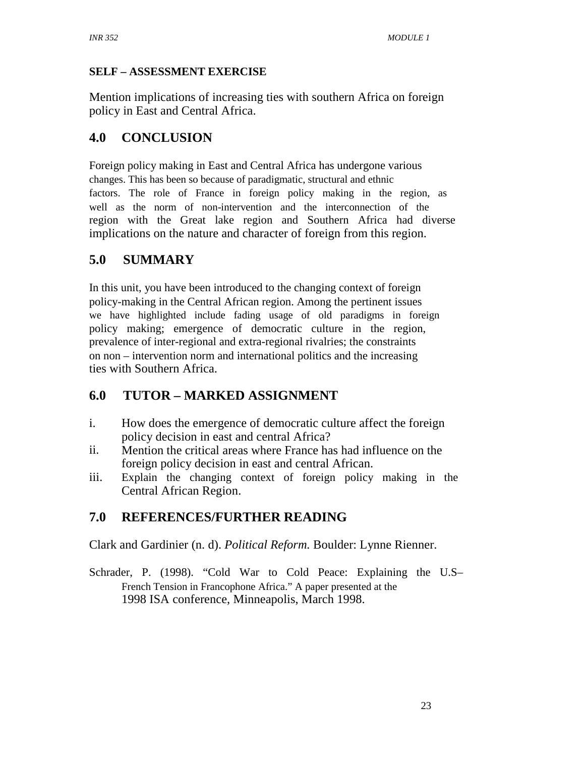#### **SELF – ASSESSMENT EXERCISE**

Mention implications of increasing ties with southern Africa on foreign policy in East and Central Africa.

## **4.0 CONCLUSION**

Foreign policy making in East and Central Africa has undergone various changes. This has been so because of paradigmatic, structural and ethnic factors. The role of France in foreign policy making in the region, as well as the norm of non-intervention and the interconnection of the region with the Great lake region and Southern Africa had diverse implications on the nature and character of foreign from this region.

## **5.0 SUMMARY**

In this unit, you have been introduced to the changing context of foreign policy-making in the Central African region. Among the pertinent issues we have highlighted include fading usage of old paradigms in foreign policy making; emergence of democratic culture in the region, prevalence of inter-regional and extra-regional rivalries; the constraints on non – intervention norm and international politics and the increasing ties with Southern Africa.

## **6.0 TUTOR – MARKED ASSIGNMENT**

- i. How does the emergence of democratic culture affect the foreign policy decision in east and central Africa?
- ii. Mention the critical areas where France has had influence on the foreign policy decision in east and central African.
- iii. Explain the changing context of foreign policy making in the Central African Region.

## **7.0 REFERENCES/FURTHER READING**

Clark and Gardinier (n. d). *Political Reform.* Boulder: Lynne Rienner.

Schrader, P. (1998). "Cold War to Cold Peace: Explaining the U.S– French Tension in Francophone Africa." A paper presented at the 1998 ISA conference, Minneapolis, March 1998.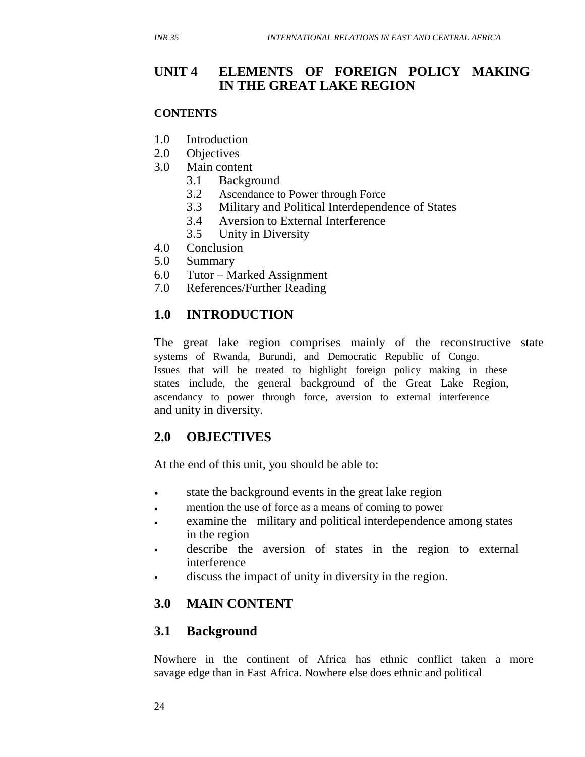#### **CONTENTS**

- 1.0 Introduction
- 2.0 Objectives
- 3.0 Main content
	- 3.1 Background
	- 3.2 Ascendance to Power through Force
	- 3.3 Military and Political Interdependence of States
	- 3.4 Aversion to External Interference
	- 3.5 Unity in Diversity
- 4.0 Conclusion
- 5.0 Summary
- 6.0 Tutor Marked Assignment
- 7.0 References/Further Reading

## **1.0 INTRODUCTION**

The great lake region comprises mainly of the reconstructive state systems of Rwanda, Burundi, and Democratic Republic of Congo. Issues that will be treated to highlight foreign policy making in these states include, the general background of the Great Lake Region, ascendancy to power through force, aversion to external interference and unity in diversity.

## **2.0 OBJECTIVES**

At the end of this unit, you should be able to:

- state the background events in the great lake region
- mention the use of force as a means of coming to power
- examine the military and political interdependence among states in the region
- describe the aversion of states in the region to external interference
- discuss the impact of unity in diversity in the region.

## **3.0 MAIN CONTENT**

## **3.1 Background**

Nowhere in the continent of Africa has ethnic conflict taken a more savage edge than in East Africa. Nowhere else does ethnic and political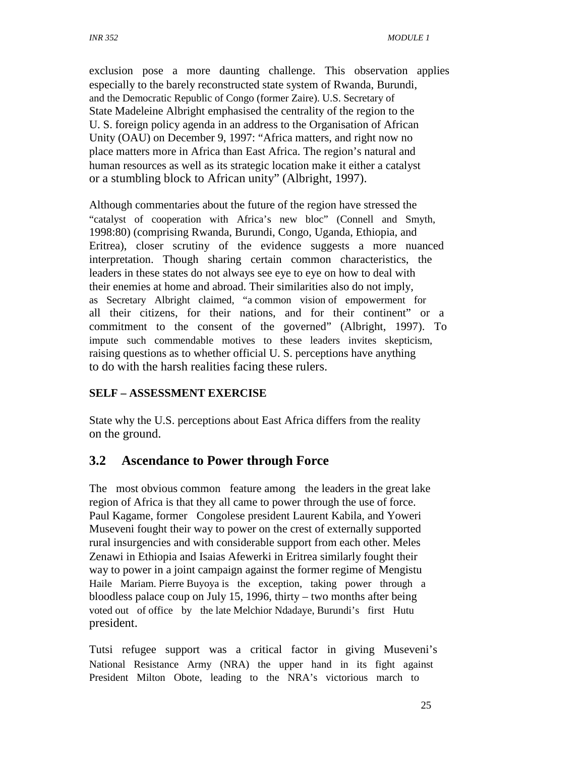exclusion pose a more daunting challenge. This observation applies especially to the barely reconstructed state system of Rwanda, Burundi, and the Democratic Republic of Congo (former Zaire). U.S. Secretary of State Madeleine Albright emphasised the centrality of the region to the U. S. foreign policy agenda in an address to the Organisation of African Unity (OAU) on December 9, 1997: "Africa matters, and right now no place matters more in Africa than East Africa. The region's natural and human resources as well as its strategic location make it either a catalyst or a stumbling block to African unity" (Albright, 1997).

Although commentaries about the future of the region have stressed the "catalyst of cooperation with Africa's new bloc" (Connell and Smyth, 1998:80) (comprising Rwanda, Burundi, Congo, Uganda, Ethiopia, and Eritrea), closer scrutiny of the evidence suggests a more nuanced interpretation. Though sharing certain common characteristics, the leaders in these states do not always see eye to eye on how to deal with their enemies at home and abroad. Their similarities also do not imply, as Secretary Albright claimed, "a common vision of empowerment for all their citizens, for their nations, and for their continent" or a commitment to the consent of the governed" (Albright, 1997). To impute such commendable motives to these leaders invites skepticism, raising questions as to whether official U. S. perceptions have anything to do with the harsh realities facing these rulers.

#### **SELF – ASSESSMENT EXERCISE**

State why the U.S. perceptions about East Africa differs from the reality on the ground.

## **3.2 Ascendance to Power through Force**

The most obvious common feature among the leaders in the great lake region of Africa is that they all came to power through the use of force. Paul Kagame, former Congolese president Laurent Kabila, and Yoweri Museveni fought their way to power on the crest of externally supported rural insurgencies and with considerable support from each other. Meles Zenawi in Ethiopia and Isaias Afewerki in Eritrea similarly fought their way to power in a joint campaign against the former regime of Mengistu Haile Mariam. Pierre Buyoya is the exception, taking power through a bloodless palace coup on July 15, 1996, thirty – two months after being voted out of office by the late Melchior Ndadaye, Burundi's first Hutu president.

Tutsi refugee support was a critical factor in giving Museveni's National Resistance Army (NRA) the upper hand in its fight against President Milton Obote, leading to the NRA's victorious march to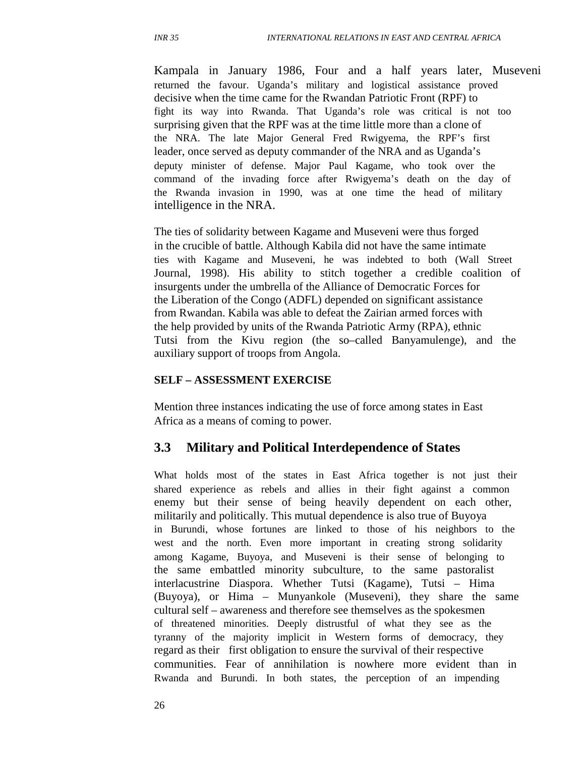Kampala in January 1986, Four and a half years later, Museveni returned the favour. Uganda's military and logistical assistance proved decisive when the time came for the Rwandan Patriotic Front (RPF) to fight its way into Rwanda. That Uganda's role was critical is not too surprising given that the RPF was at the time little more than a clone of the NRA. The late Major General Fred Rwigyema, the RPF's first leader, once served as deputy commander of the NRA and as Uganda's deputy minister of defense. Major Paul Kagame, who took over the command of the invading force after Rwigyema's death on the day of the Rwanda invasion in 1990, was at one time the head of military intelligence in the NRA.

The ties of solidarity between Kagame and Museveni were thus forged in the crucible of battle. Although Kabila did not have the same intimate ties with Kagame and Museveni, he was indebted to both (Wall Street Journal, 1998). His ability to stitch together a credible coalition of insurgents under the umbrella of the Alliance of Democratic Forces for the Liberation of the Congo (ADFL) depended on significant assistance from Rwandan. Kabila was able to defeat the Zairian armed forces with the help provided by units of the Rwanda Patriotic Army (RPA), ethnic Tutsi from the Kivu region (the so–called Banyamulenge), and the auxiliary support of troops from Angola.

#### **SELF – ASSESSMENT EXERCISE**

Mention three instances indicating the use of force among states in East Africa as a means of coming to power.

#### **3.3 Military and Political Interdependence of States**

What holds most of the states in East Africa together is not just their shared experience as rebels and allies in their fight against a common enemy but their sense of being heavily dependent on each other, militarily and politically. This mutual dependence is also true of Buyoya in Burundi, whose fortunes are linked to those of his neighbors to the west and the north. Even more important in creating strong solidarity among Kagame, Buyoya, and Museveni is their sense of belonging to the same embattled minority subculture, to the same pastoralist interlacustrine Diaspora. Whether Tutsi (Kagame), Tutsi – Hima (Buyoya), or Hima – Munyankole (Museveni), they share the same cultural self – awareness and therefore see themselves as the spokesmen of threatened minorities. Deeply distrustful of what they see as the tyranny of the majority implicit in Western forms of democracy, they regard as their first obligation to ensure the survival of their respective communities. Fear of annihilation is nowhere more evident than in Rwanda and Burundi. In both states, the perception of an impending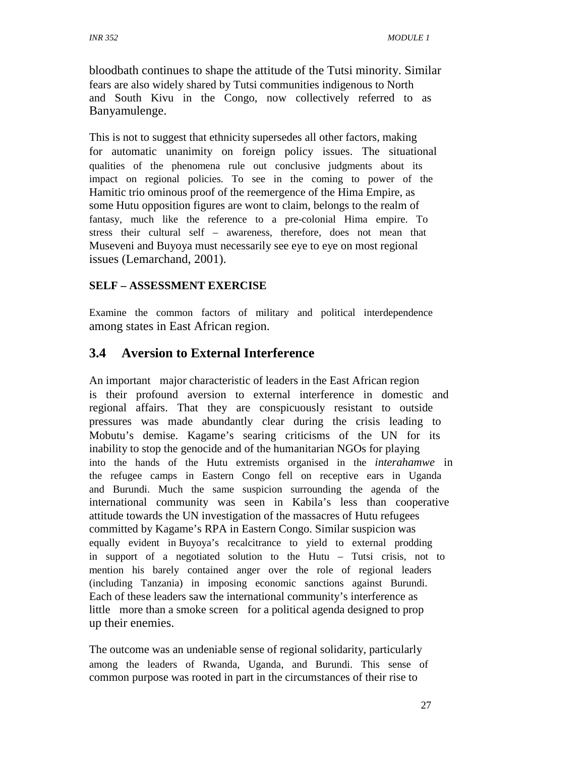bloodbath continues to shape the attitude of the Tutsi minority. Similar fears are also widely shared by Tutsi communities indigenous to North and South Kivu in the Congo, now collectively referred to as Banyamulenge.

This is not to suggest that ethnicity supersedes all other factors, making for automatic unanimity on foreign policy issues. The situational qualities of the phenomena rule out conclusive judgments about its impact on regional policies. To see in the coming to power of the Hamitic trio ominous proof of the reemergence of the Hima Empire, as some Hutu opposition figures are wont to claim, belongs to the realm of fantasy, much like the reference to a pre-colonial Hima empire. To stress their cultural self – awareness, therefore, does not mean that Museveni and Buyoya must necessarily see eye to eye on most regional issues (Lemarchand, 2001).

#### **SELF – ASSESSMENT EXERCISE**

Examine the common factors of military and political interdependence among states in East African region.

# **3.4 Aversion to External Interference**

An important major characteristic of leaders in the East African region is their profound aversion to external interference in domestic and regional affairs. That they are conspicuously resistant to outside pressures was made abundantly clear during the crisis leading to Mobutu's demise. Kagame's searing criticisms of the UN for its inability to stop the genocide and of the humanitarian NGOs for playing into the hands of the Hutu extremists organised in the *interahamwe* in the refugee camps in Eastern Congo fell on receptive ears in Uganda and Burundi. Much the same suspicion surrounding the agenda of the international community was seen in Kabila's less than cooperative attitude towards the UN investigation of the massacres of Hutu refugees committed by Kagame's RPA in Eastern Congo. Similar suspicion was equally evident in Buyoya's recalcitrance to yield to external prodding in support of a negotiated solution to the Hutu – Tutsi crisis, not to mention his barely contained anger over the role of regional leaders (including Tanzania) in imposing economic sanctions against Burundi. Each of these leaders saw the international community's interference as little more than a smoke screen for a political agenda designed to prop up their enemies.

The outcome was an undeniable sense of regional solidarity, particularly among the leaders of Rwanda, Uganda, and Burundi. This sense of common purpose was rooted in part in the circumstances of their rise to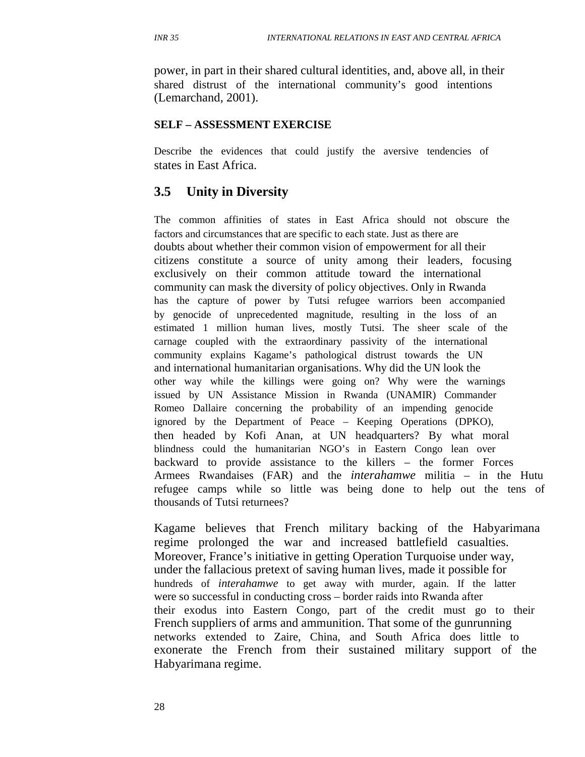power, in part in their shared cultural identities, and, above all, in their shared distrust of the international community's good intentions (Lemarchand, 2001).

#### **SELF – ASSESSMENT EXERCISE**

Describe the evidences that could justify the aversive tendencies of states in East Africa.

# **3.5 Unity in Diversity**

The common affinities of states in East Africa should not obscure the factors and circumstances that are specific to each state. Just as there are doubts about whether their common vision of empowerment for all their citizens constitute a source of unity among their leaders, focusing exclusively on their common attitude toward the international community can mask the diversity of policy objectives. Only in Rwanda has the capture of power by Tutsi refugee warriors been accompanied by genocide of unprecedented magnitude, resulting in the loss of an estimated 1 million human lives, mostly Tutsi. The sheer scale of the carnage coupled with the extraordinary passivity of the international community explains Kagame's pathological distrust towards the UN and international humanitarian organisations. Why did the UN look the other way while the killings were going on? Why were the warnings issued by UN Assistance Mission in Rwanda (UNAMIR) Commander Romeo Dallaire concerning the probability of an impending genocide ignored by the Department of Peace – Keeping Operations (DPKO), then headed by Kofi Anan, at UN headquarters? By what moral blindness could the humanitarian NGO's in Eastern Congo lean over backward to provide assistance to the killers – the former Forces Armees Rwandaises (FAR) and the *interahamwe* militia – in the Hutu refugee camps while so little was being done to help out the tens of thousands of Tutsi returnees?

Kagame believes that French military backing of the Habyarimana regime prolonged the war and increased battlefield casualties. Moreover, France's initiative in getting Operation Turquoise under way, under the fallacious pretext of saving human lives, made it possible for hundreds of *interahamwe* to get away with murder, again. If the latter were so successful in conducting cross – border raids into Rwanda after their exodus into Eastern Congo, part of the credit must go to their French suppliers of arms and ammunition. That some of the gunrunning networks extended to Zaire, China, and South Africa does little to exonerate the French from their sustained military support of the Habyarimana regime.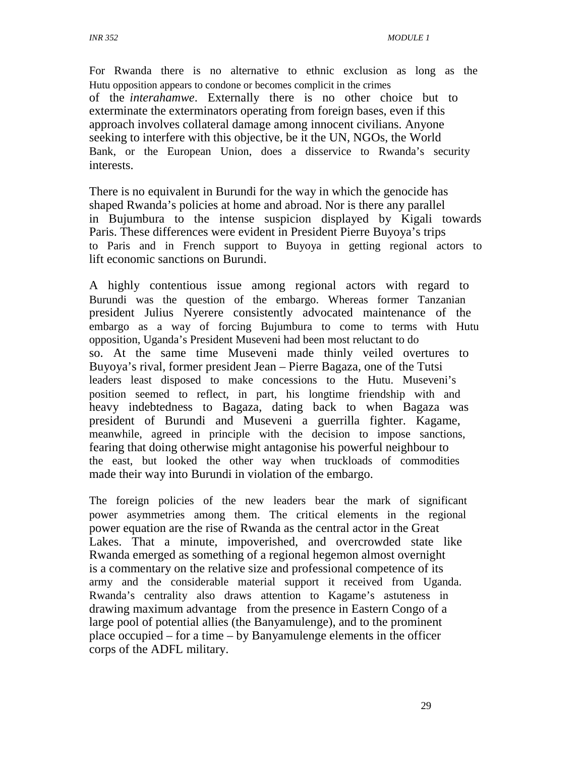For Rwanda there is no alternative to ethnic exclusion as long as the Hutu opposition appears to condone or becomes complicit in the crimes of the *interahamwe*. Externally there is no other choice but to exterminate the exterminators operating from foreign bases, even if this approach involves collateral damage among innocent civilians. Anyone seeking to interfere with this objective, be it the UN, NGOs, the World Bank, or the European Union, does a disservice to Rwanda's security interests.

There is no equivalent in Burundi for the way in which the genocide has shaped Rwanda's policies at home and abroad. Nor is there any parallel in Bujumbura to the intense suspicion displayed by Kigali towards Paris. These differences were evident in President Pierre Buyoya's trips to Paris and in French support to Buyoya in getting regional actors to lift economic sanctions on Burundi.

A highly contentious issue among regional actors with regard to Burundi was the question of the embargo. Whereas former Tanzanian president Julius Nyerere consistently advocated maintenance of the embargo as a way of forcing Bujumbura to come to terms with Hutu opposition, Uganda's President Museveni had been most reluctant to do so. At the same time Museveni made thinly veiled overtures to Buyoya's rival, former president Jean – Pierre Bagaza, one of the Tutsi leaders least disposed to make concessions to the Hutu. Museveni's position seemed to reflect, in part, his longtime friendship with and heavy indebtedness to Bagaza, dating back to when Bagaza was president of Burundi and Museveni a guerrilla fighter. Kagame, meanwhile, agreed in principle with the decision to impose sanctions, fearing that doing otherwise might antagonise his powerful neighbour to the east, but looked the other way when truckloads of commodities made their way into Burundi in violation of the embargo.

The foreign policies of the new leaders bear the mark of significant power asymmetries among them. The critical elements in the regional power equation are the rise of Rwanda as the central actor in the Great Lakes. That a minute, impoverished, and overcrowded state like Rwanda emerged as something of a regional hegemon almost overnight is a commentary on the relative size and professional competence of its army and the considerable material support it received from Uganda. Rwanda's centrality also draws attention to Kagame's astuteness in drawing maximum advantage from the presence in Eastern Congo of a large pool of potential allies (the Banyamulenge), and to the prominent place occupied – for a time – by Banyamulenge elements in the officer corps of the ADFL military.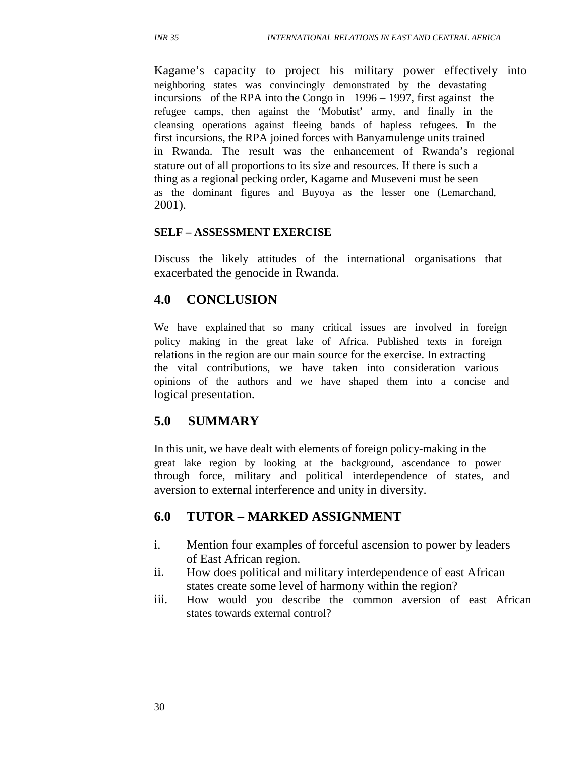Kagame's capacity to project his military power effectively into neighboring states was convincingly demonstrated by the devastating incursions of the RPA into the Congo in 1996 – 1997, first against the refugee camps, then against the 'Mobutist' army, and finally in the cleansing operations against fleeing bands of hapless refugees. In the first incursions, the RPA joined forces with Banyamulenge units trained in Rwanda. The result was the enhancement of Rwanda's regional stature out of all proportions to its size and resources. If there is such a thing as a regional pecking order, Kagame and Museveni must be seen as the dominant figures and Buyoya as the lesser one (Lemarchand, 2001).

#### **SELF – ASSESSMENT EXERCISE**

Discuss the likely attitudes of the international organisations that exacerbated the genocide in Rwanda.

#### **4.0 CONCLUSION**

We have explained that so many critical issues are involved in foreign policy making in the great lake of Africa. Published texts in foreign relations in the region are our main source for the exercise. In extracting the vital contributions, we have taken into consideration various opinions of the authors and we have shaped them into a concise and logical presentation.

#### **5.0 SUMMARY**

In this unit, we have dealt with elements of foreign policy-making in the great lake region by looking at the background, ascendance to power through force, military and political interdependence of states, and aversion to external interference and unity in diversity.

# **6.0 TUTOR – MARKED ASSIGNMENT**

- i. Mention four examples of forceful ascension to power by leaders of East African region.
- ii. How does political and military interdependence of east African states create some level of harmony within the region?
- iii. How would you describe the common aversion of east African states towards external control?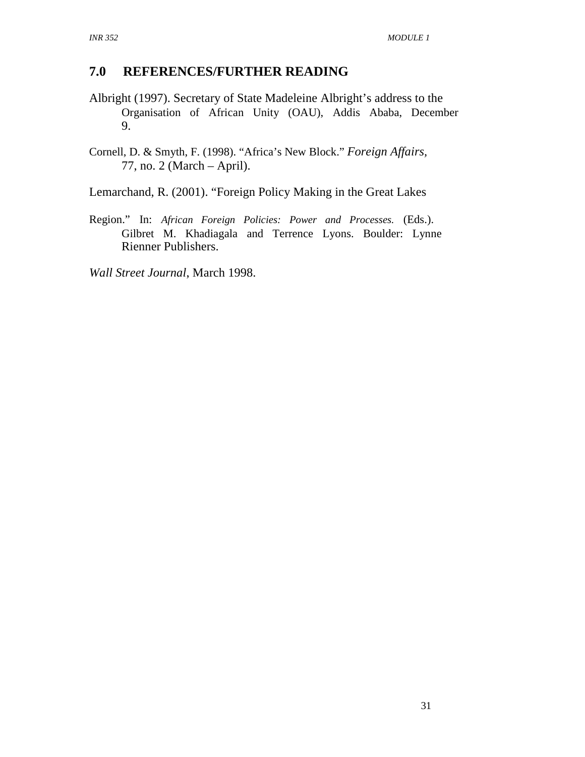# **7.0 REFERENCES/FURTHER READING**

- Albright (1997). Secretary of State Madeleine Albright's address to the Organisation of African Unity (OAU), Addis Ababa, December 9.
- Cornell, D. & Smyth, F. (1998). "Africa's New Block." *Foreign Affairs,* 77, no. 2 (March – April).
- Lemarchand, R. (2001). "Foreign Policy Making in the Great Lakes
- Region." In: *African Foreign Policies: Power and Processes.* (Eds.). Gilbret M. Khadiagala and Terrence Lyons. Boulder: Lynne Rienner Publishers.
- *Wall Street Journal*, March 1998.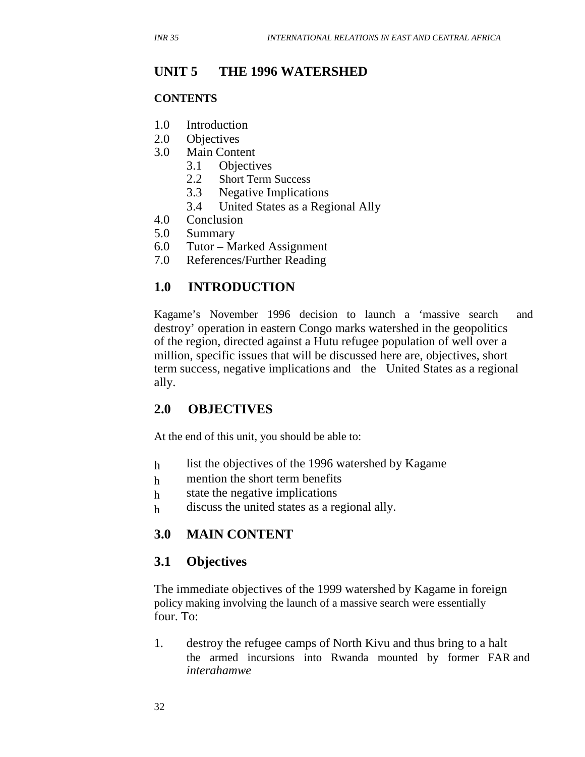#### **UNIT 5 THE 1996 WATERSHED**

#### **CONTENTS**

- 1.0 Introduction
- 2.0 Objectives
- 3.0 Main Content
	- 3.1 Objectives
	- 2.2 Short Term Success
	- 3.3 Negative Implications
	- 3.4 United States as a Regional Ally
- 4.0 Conclusion
- 5.0 Summary
- 6.0 Tutor Marked Assignment
- 7.0 References/Further Reading

# **1.0 INTRODUCTION**

Kagame's November 1996 decision to launch a 'massive search and destroy' operation in eastern Congo marks watershed in the geopolitics of the region, directed against a Hutu refugee population of well over a million, specific issues that will be discussed here are, objectives, short term success, negative implications and the United States as a regional ally.

# **2.0 OBJECTIVES**

At the end of this unit, you should be able to:

- h list the objectives of the 1996 watershed by Kagame
- h mention the short term benefits
- h state the negative implications
- h discuss the united states as a regional ally.

# **3.0 MAIN CONTENT**

#### **3.1 Objectives**

The immediate objectives of the 1999 watershed by Kagame in foreign policy making involving the launch of a massive search were essentially four. To:

1. destroy the refugee camps of North Kivu and thus bring to a halt the armed incursions into Rwanda mounted by former FAR and *interahamwe*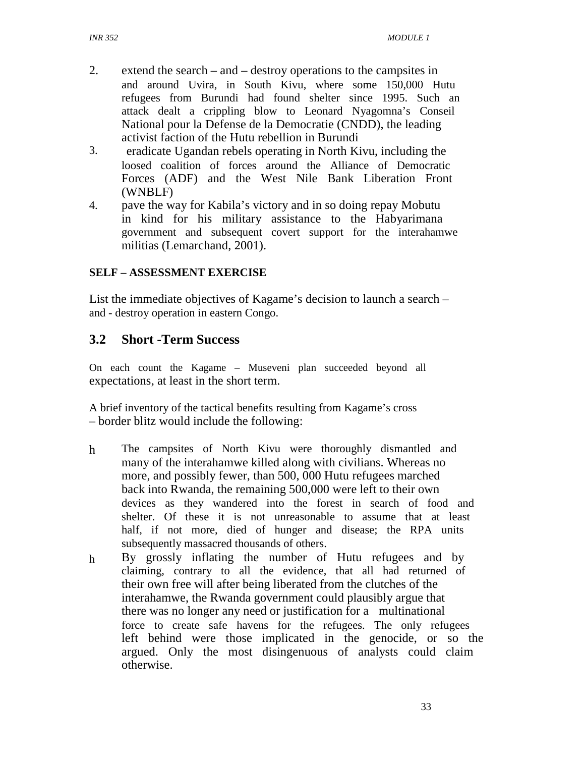- 2. extend the search – and – destroy operations to the campsites in and around Uvira, in South Kivu, where some 150,000 Hutu refugees from Burundi had found shelter since 1995. Such an attack dealt a crippling blow to Leonard Nyagomna's Conseil National pour la Defense de la Democratie (CNDD), the leading activist faction of the Hutu rebellion in Burundi
- 3. eradicate Ugandan rebels operating in North Kivu, including the loosed coalition of forces around the Alliance of Democratic Forces (ADF) and the West Nile Bank Liberation Front (WNBLF)
- 4. pave the way for Kabila's victory and in so doing repay Mobutu in kind for his military assistance to the Habyarimana government and subsequent covert support for the interahamwe militias (Lemarchand, 2001).

#### **SELF – ASSESSMENT EXERCISE**

List the immediate objectives of Kagame's decision to launch a search – and - destroy operation in eastern Congo.

# **3.2 Short -Term Success**

On each count the Kagame – Museveni plan succeeded beyond all expectations, at least in the short term.

A brief inventory of the tactical benefits resulting from Kagame's cross – border blitz would include the following:

- h The campsites of North Kivu were thoroughly dismantled and many of the interahamwe killed along with civilians. Whereas no more, and possibly fewer, than 500, 000 Hutu refugees marched back into Rwanda, the remaining 500,000 were left to their own devices as they wandered into the forest in search of food and shelter. Of these it is not unreasonable to assume that at least half, if not more, died of hunger and disease; the RPA units subsequently massacred thousands of others.
- h By grossly inflating the number of Hutu refugees and by claiming, contrary to all the evidence, that all had returned of their own free will after being liberated from the clutches of the interahamwe, the Rwanda government could plausibly argue that there was no longer any need or justification for a multinational force to create safe havens for the refugees. The only refugees left behind were those implicated in the genocide, or so the argued. Only the most disingenuous of analysts could claim otherwise.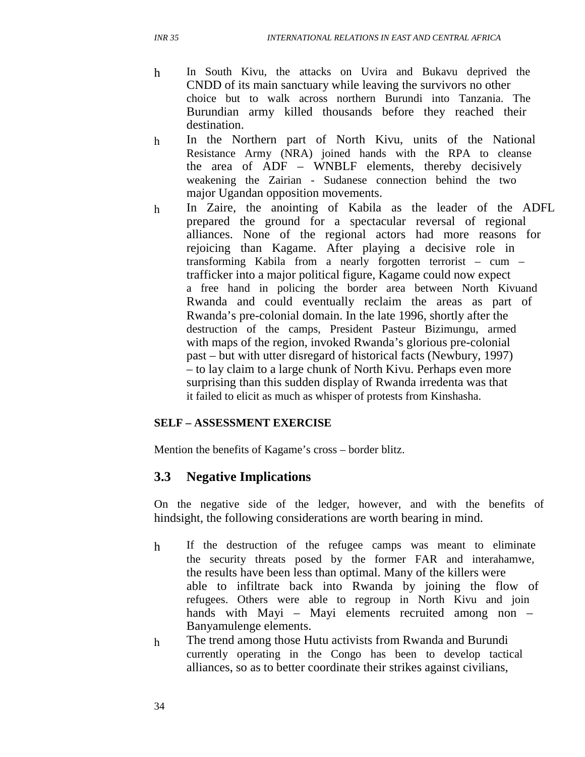- h In South Kivu, the attacks on Uvira and Bukavu deprived the CNDD of its main sanctuary while leaving the survivors no other choice but to walk across northern Burundi into Tanzania. The Burundian army killed thousands before they reached their destination.
- h In the Northern part of North Kivu, units of the National Resistance Army (NRA) joined hands with the RPA to cleanse the area of ADF – WNBLF elements, thereby decisively weakening the Zairian - Sudanese connection behind the two major Ugandan opposition movements.
- h In Zaire, the anointing of Kabila as the leader of the ADFL prepared the ground for a spectacular reversal of regional alliances. None of the regional actors had more reasons for rejoicing than Kagame. After playing a decisive role in transforming Kabila from a nearly forgotten terrorist – cum – trafficker into a major political figure, Kagame could now expect a free hand in policing the border area between North Kivuand Rwanda and could eventually reclaim the areas as part of Rwanda's pre-colonial domain. In the late 1996, shortly after the destruction of the camps, President Pasteur Bizimungu, armed with maps of the region, invoked Rwanda's glorious pre-colonial past – but with utter disregard of historical facts (Newbury, 1997) – to lay claim to a large chunk of North Kivu. Perhaps even more surprising than this sudden display of Rwanda irredenta was that it failed to elicit as much as whisper of protests from Kinshasha.

#### **SELF – ASSESSMENT EXERCISE**

Mention the benefits of Kagame's cross – border blitz.

# **3.3 Negative Implications**

On the negative side of the ledger, however, and with the benefits of hindsight, the following considerations are worth bearing in mind.

- h If the destruction of the refugee camps was meant to eliminate the security threats posed by the former FAR and interahamwe, the results have been less than optimal. Many of the killers were able to infiltrate back into Rwanda by joining the flow of refugees. Others were able to regroup in North Kivu and join hands with Mayi – Mayi elements recruited among non – Banyamulenge elements.
- h The trend among those Hutu activists from Rwanda and Burundi currently operating in the Congo has been to develop tactical alliances, so as to better coordinate their strikes against civilians,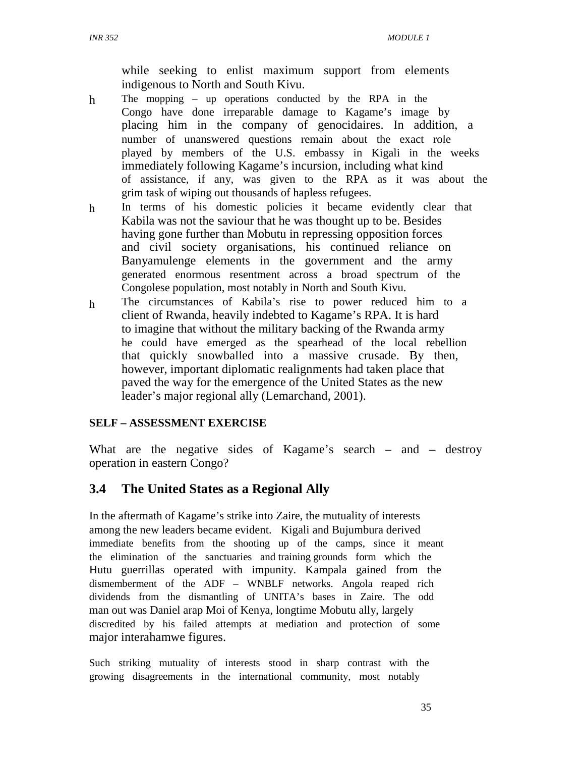while seeking to enlist maximum support from elements indigenous to North and South Kivu.

- h The mopping – up operations conducted by the RPA in the Congo have done irreparable damage to Kagame's image by placing him in the company of genocidaires. In addition, a number of unanswered questions remain about the exact role played by members of the U.S. embassy in Kigali in the weeks immediately following Kagame's incursion, including what kind of assistance, if any, was given to the RPA as it was about the grim task of wiping out thousands of hapless refugees.
- h In terms of his domestic policies it became evidently clear that Kabila was not the saviour that he was thought up to be. Besides having gone further than Mobutu in repressing opposition forces and civil society organisations, his continued reliance on Banyamulenge elements in the government and the army generated enormous resentment across a broad spectrum of the Congolese population, most notably in North and South Kivu.
- h The circumstances of Kabila's rise to power reduced him to a client of Rwanda, heavily indebted to Kagame's RPA. It is hard to imagine that without the military backing of the Rwanda army he could have emerged as the spearhead of the local rebellion that quickly snowballed into a massive crusade. By then, however, important diplomatic realignments had taken place that paved the way for the emergence of the United States as the new leader's major regional ally (Lemarchand, 2001).

#### **SELF – ASSESSMENT EXERCISE**

What are the negative sides of Kagame's search – and – destroy operation in eastern Congo?

# **3.4 The United States as a Regional Ally**

In the aftermath of Kagame's strike into Zaire, the mutuality of interests among the new leaders became evident. Kigali and Bujumbura derived immediate benefits from the shooting up of the camps, since it meant the elimination of the sanctuaries and training grounds form which the Hutu guerrillas operated with impunity. Kampala gained from the dismemberment of the ADF – WNBLF networks. Angola reaped rich dividends from the dismantling of UNITA's bases in Zaire. The odd man out was Daniel arap Moi of Kenya, longtime Mobutu ally, largely discredited by his failed attempts at mediation and protection of some major interahamwe figures.

Such striking mutuality of interests stood in sharp contrast with the growing disagreements in the international community, most notably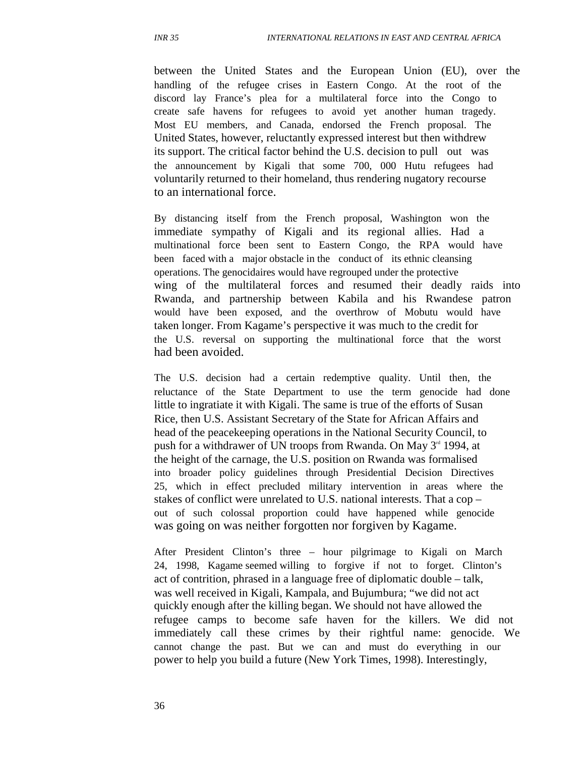between the United States and the European Union (EU), over the handling of the refugee crises in Eastern Congo. At the root of the discord lay France's plea for a multilateral force into the Congo to create safe havens for refugees to avoid yet another human tragedy. Most EU members, and Canada, endorsed the French proposal. The United States, however, reluctantly expressed interest but then withdrew its support. The critical factor behind the U.S. decision to pull out was the announcement by Kigali that some 700, 000 Hutu refugees had voluntarily returned to their homeland, thus rendering nugatory recourse to an international force.

By distancing itself from the French proposal, Washington won the immediate sympathy of Kigali and its regional allies. Had a multinational force been sent to Eastern Congo, the RPA would have been faced with a major obstacle in the conduct of its ethnic cleansing operations. The genocidaires would have regrouped under the protective wing of the multilateral forces and resumed their deadly raids into Rwanda, and partnership between Kabila and his Rwandese patron would have been exposed, and the overthrow of Mobutu would have taken longer. From Kagame's perspective it was much to the credit for the U.S. reversal on supporting the multinational force that the worst had been avoided.

The U.S. decision had a certain redemptive quality. Until then, the reluctance of the State Department to use the term genocide had done little to ingratiate it with Kigali. The same is true of the efforts of Susan Rice, then U.S. Assistant Secretary of the State for African Affairs and head of the peacekeeping operations in the National Security Council, to push for a withdrawer of UN troops from Rwanda. On May  $3<sup>nd</sup>$  1994, at the height of the carnage, the U.S. position on Rwanda was formalised into broader policy guidelines through Presidential Decision Directives 25, which in effect precluded military intervention in areas where the stakes of conflict were unrelated to U.S. national interests. That a cop – out of such colossal proportion could have happened while genocide was going on was neither forgotten nor forgiven by Kagame.

After President Clinton's three – hour pilgrimage to Kigali on March 24, 1998, Kagame seemed willing to forgive if not to forget. Clinton's act of contrition, phrased in a language free of diplomatic double – talk, was well received in Kigali, Kampala, and Bujumbura; "we did not act quickly enough after the killing began. We should not have allowed the refugee camps to become safe haven for the killers. We did not immediately call these crimes by their rightful name: genocide. We cannot change the past. But we can and must do everything in our power to help you build a future (New York Times, 1998). Interestingly,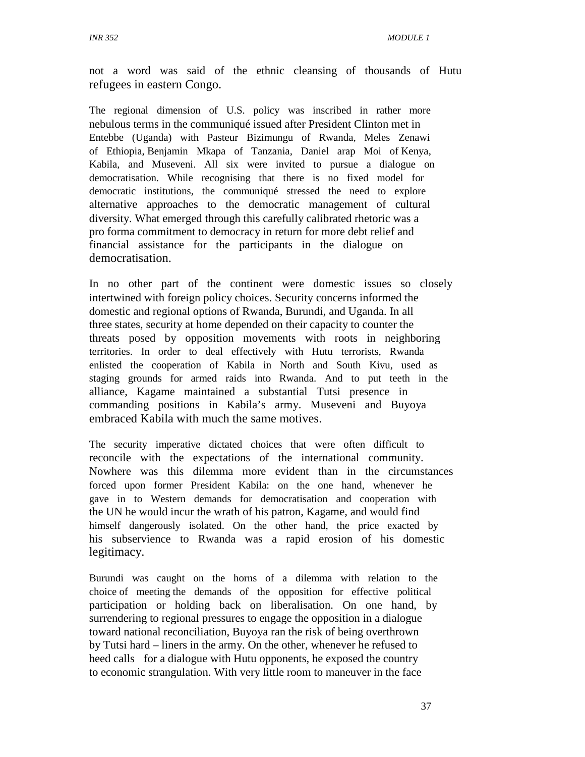not a word was said of the ethnic cleansing of thousands of Hutu refugees in eastern Congo.

The regional dimension of U.S. policy was inscribed in rather more nebulous terms in the communiqué issued after President Clinton met in Entebbe (Uganda) with Pasteur Bizimungu of Rwanda, Meles Zenawi of Ethiopia, Benjamin Mkapa of Tanzania, Daniel arap Moi of Kenya, Kabila, and Museveni. All six were invited to pursue a dialogue on democratisation. While recognising that there is no fixed model for democratic institutions, the communiqué stressed the need to explore alternative approaches to the democratic management of cultural diversity. What emerged through this carefully calibrated rhetoric was a pro forma commitment to democracy in return for more debt relief and financial assistance for the participants in the dialogue on democratisation.

In no other part of the continent were domestic issues so closely intertwined with foreign policy choices. Security concerns informed the domestic and regional options of Rwanda, Burundi, and Uganda. In all three states, security at home depended on their capacity to counter the threats posed by opposition movements with roots in neighboring territories. In order to deal effectively with Hutu terrorists, Rwanda enlisted the cooperation of Kabila in North and South Kivu, used as staging grounds for armed raids into Rwanda. And to put teeth in the alliance, Kagame maintained a substantial Tutsi presence in commanding positions in Kabila's army. Museveni and Buyoya embraced Kabila with much the same motives.

The security imperative dictated choices that were often difficult to reconcile with the expectations of the international community. Nowhere was this dilemma more evident than in the circumstances forced upon former President Kabila: on the one hand, whenever he gave in to Western demands for democratisation and cooperation with the UN he would incur the wrath of his patron, Kagame, and would find himself dangerously isolated. On the other hand, the price exacted by his subservience to Rwanda was a rapid erosion of his domestic legitimacy.

Burundi was caught on the horns of a dilemma with relation to the choice of meeting the demands of the opposition for effective political participation or holding back on liberalisation. On one hand, by surrendering to regional pressures to engage the opposition in a dialogue toward national reconciliation, Buyoya ran the risk of being overthrown by Tutsi hard – liners in the army. On the other, whenever he refused to heed calls for a dialogue with Hutu opponents, he exposed the country to economic strangulation. With very little room to maneuver in the face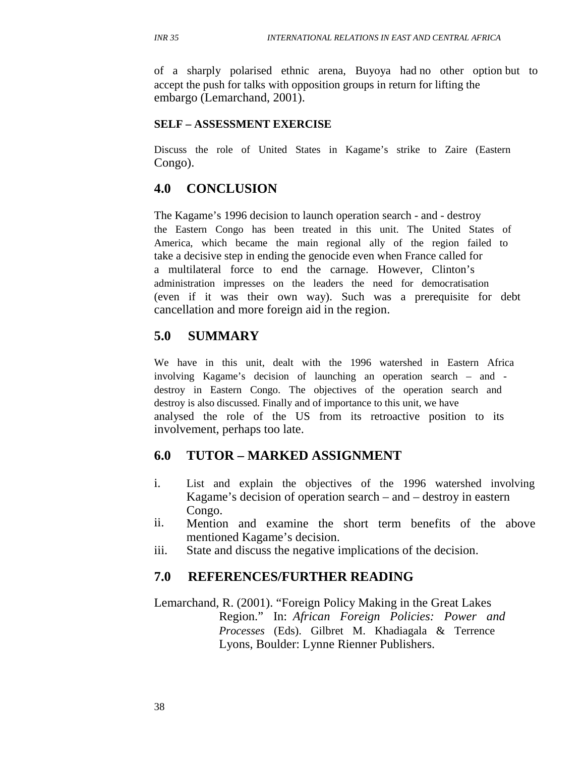of a sharply polarised ethnic arena, Buyoya had no other option but to accept the push for talks with opposition groups in return for lifting the embargo (Lemarchand, 2001).

#### **SELF – ASSESSMENT EXERCISE**

Discuss the role of United States in Kagame's strike to Zaire (Eastern Congo).

### **4.0 CONCLUSION**

The Kagame's 1996 decision to launch operation search - and - destroy the Eastern Congo has been treated in this unit. The United States of America, which became the main regional ally of the region failed to take a decisive step in ending the genocide even when France called for a multilateral force to end the carnage. However, Clinton's administration impresses on the leaders the need for democratisation (even if it was their own way). Such was a prerequisite for debt cancellation and more foreign aid in the region.

#### **5.0 SUMMARY**

We have in this unit, dealt with the 1996 watershed in Eastern Africa involving Kagame's decision of launching an operation search – and destroy in Eastern Congo. The objectives of the operation search and destroy is also discussed. Finally and of importance to this unit, we have analysed the role of the US from its retroactive position to its involvement, perhaps too late.

#### **6.0 TUTOR – MARKED ASSIGNMENT**

- i. List and explain the objectives of the 1996 watershed involving Kagame's decision of operation search – and – destroy in eastern Congo.
- ii. Mention and examine the short term benefits of the above mentioned Kagame's decision.
- iii. State and discuss the negative implications of the decision.

#### **7.0 REFERENCES/FURTHER READING**

Lemarchand, R. (2001). "Foreign Policy Making in the Great Lakes Region." In: *African Foreign Policies: Power and Processes* (Eds). Gilbret M. Khadiagala & Terrence Lyons, Boulder: Lynne Rienner Publishers.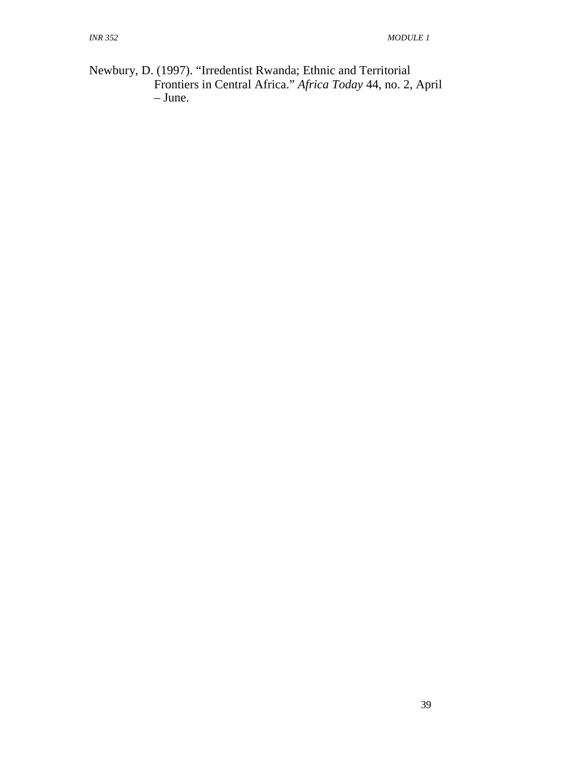Newbury, D. (1997). "Irredentist Rwanda; Ethnic and Territorial Frontiers in Central Africa." *Africa Today* 44, no. 2, April – June.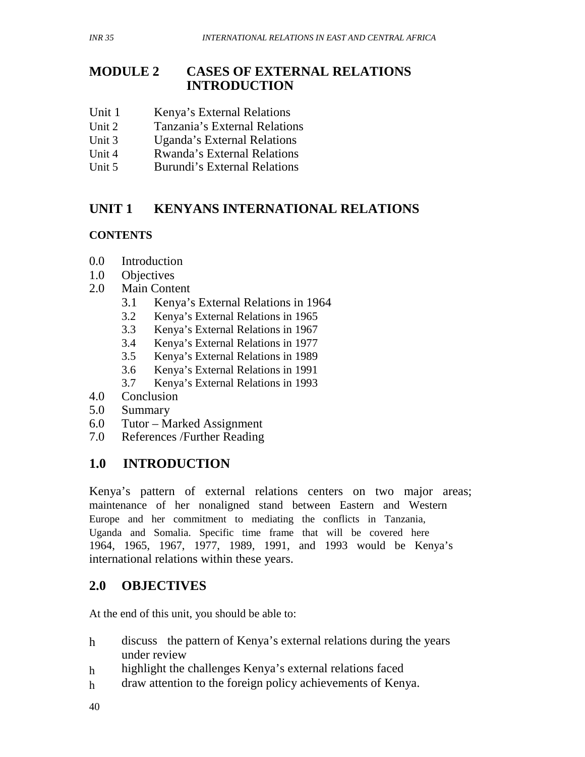# **MODULE 2 CASES OF EXTERNAL RELATIONS INTRODUCTION**

- Unit 1 Kenya's External Relations
- Unit 2 Tanzania's External Relations
- Unit 3 Uganda's External Relations
- Unit 4 Rwanda's External Relations
- Unit 5 Burundi's External Relations

#### **UNIT 1 KENYANS INTERNATIONAL RELATIONS**

# **CONTENTS**

- 0.0 Introduction
- 1.0 Objectives
- 2.0 Main Content
	- 3.1 Kenya's External Relations in 1964
	- 3.2 Kenya's External Relations in 1965
	- 3.3 Kenya's External Relations in 1967
	- 3.4 Kenya's External Relations in 1977
	- 3.5 Kenya's External Relations in 1989
	- 3.6 Kenya's External Relations in 1991
	- 3.7 Kenya's External Relations in 1993
- 4.0 Conclusion
- 5.0 Summary
- 6.0 Tutor Marked Assignment
- 7.0 References /Further Reading

# **1.0 INTRODUCTION**

Kenya's pattern of external relations centers on two major areas; maintenance of her nonaligned stand between Eastern and Western Europe and her commitment to mediating the conflicts in Tanzania, Uganda and Somalia. Specific time frame that will be covered here 1964, 1965, 1967, 1977, 1989, 1991, and 1993 would be Kenya's international relations within these years.

# **2.0 OBJECTIVES**

At the end of this unit, you should be able to:

- h discuss the pattern of Kenya's external relations during the years under review
- h highlight the challenges Kenya's external relations faced
- h draw attention to the foreign policy achievements of Kenya.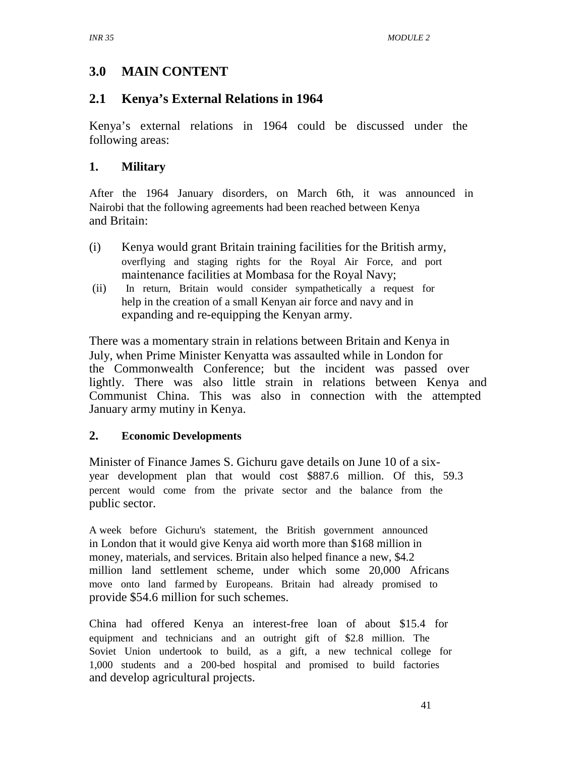# **3.0 MAIN CONTENT**

# **2.1 Kenya's External Relations in 1964**

Kenya's external relations in 1964 could be discussed under the following areas:

# **1. Military**

After the 1964 January disorders, on March 6th, it was announced in Nairobi that the following agreements had been reached between Kenya and Britain:

- (i) Kenya would grant Britain training facilities for the British army, overflying and staging rights for the Royal Air Force, and port maintenance facilities at Mombasa for the Royal Navy;
- (ii) In return, Britain would consider sympathetically a request for help in the creation of a small Kenyan air force and navy and in expanding and re-equipping the Kenyan army.

There was a momentary strain in relations between Britain and Kenya in July, when Prime Minister Kenyatta was assaulted while in London for the Commonwealth Conference; but the incident was passed over lightly. There was also little strain in relations between Kenya and Communist China. This was also in connection with the attempted January army mutiny in Kenya.

# **2. Economic Developments**

Minister of Finance James S. Gichuru gave details on June 10 of a sixyear development plan that would cost \$887.6 million. Of this, 59.3 percent would come from the private sector and the balance from the public sector.

A week before Gichuru's statement, the British government announced in London that it would give Kenya aid worth more than \$168 million in money, materials, and services. Britain also helped finance a new, \$4.2 million land settlement scheme, under which some 20,000 Africans move onto land farmed by Europeans. Britain had already promised to provide \$54.6 million for such schemes.

China had offered Kenya an interest-free loan of about \$15.4 for equipment and technicians and an outright gift of \$2.8 million. The Soviet Union undertook to build, as a gift, a new technical college for 1,000 students and a 200-bed hospital and promised to build factories and develop agricultural projects.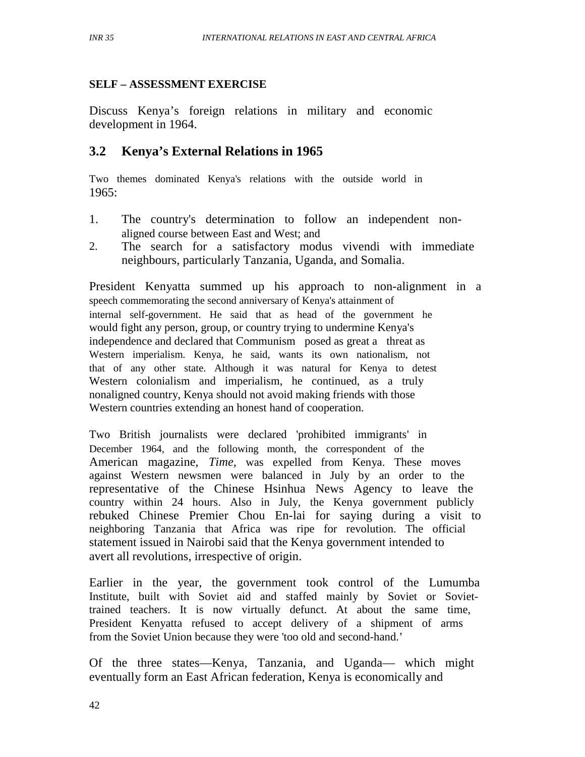### **SELF – ASSESSMENT EXERCISE**

Discuss Kenya's foreign relations in military and economic development in 1964.

# **3.2 Kenya's External Relations in 1965**

Two themes dominated Kenya's relations with the outside world in 1965:

- 1. The country's determination to follow an independent nonaligned course between East and West; and
- 2. The search for a satisfactory modus vivendi with immediate neighbours, particularly Tanzania, Uganda, and Somalia.

President Kenyatta summed up his approach to non-alignment in a speech commemorating the second anniversary of Kenya's attainment of internal self-government. He said that as head of the government he would fight any person, group, or country trying to undermine Kenya's independence and declared that Communism posed as great a threat as Western imperialism. Kenya, he said, wants its own nationalism, not that of any other state. Although it was natural for Kenya to detest Western colonialism and imperialism, he continued, as a truly nonaligned country, Kenya should not avoid making friends with those Western countries extending an honest hand of cooperation.

Two British journalists were declared 'prohibited immigrants' in December 1964, and the following month, the correspondent of the American magazine, *Time,* was expelled from Kenya. These moves against Western newsmen were balanced in July by an order to the representative of the Chinese Hsinhua News Agency to leave the country within 24 hours. Also in July, the Kenya government publicly rebuked Chinese Premier Chou En-lai for saying during a visit to neighboring Tanzania that Africa was ripe for revolution. The official statement issued in Nairobi said that the Kenya government intended to avert all revolutions, irrespective of origin.

Earlier in the year, the government took control of the Lumumba Institute, built with Soviet aid and staffed mainly by Soviet or Soviettrained teachers. It is now virtually defunct. At about the same time, President Kenyatta refused to accept delivery of a shipment of arms from the Soviet Union because they were 'too old and second-hand.'

Of the three states—Kenya, Tanzania, and Uganda— which might eventually form an East African federation, Kenya is economically and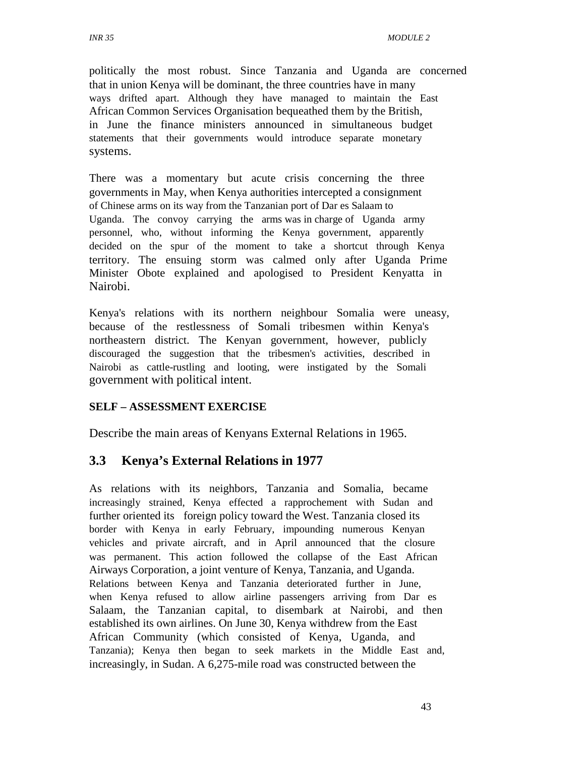politically the most robust. Since Tanzania and Uganda are concerned that in union Kenya will be dominant, the three countries have in many ways drifted apart. Although they have managed to maintain the East African Common Services Organisation bequeathed them by the British, in June the finance ministers announced in simultaneous budget statements that their governments would introduce separate monetary systems.

There was a momentary but acute crisis concerning the three governments in May, when Kenya authorities intercepted a consignment of Chinese arms on its way from the Tanzanian port of Dar es Salaam to Uganda. The convoy carrying the arms was in charge of Uganda army personnel, who, without informing the Kenya government, apparently decided on the spur of the moment to take a shortcut through Kenya territory. The ensuing storm was calmed only after Uganda Prime Minister Obote explained and apologised to President Kenyatta in Nairobi.

Kenya's relations with its northern neighbour Somalia were uneasy, because of the restlessness of Somali tribesmen within Kenya's northeastern district. The Kenyan government, however, publicly discouraged the suggestion that the tribesmen's activities, described in Nairobi as cattle-rustling and looting, were instigated by the Somali government with political intent.

#### **SELF – ASSESSMENT EXERCISE**

Describe the main areas of Kenyans External Relations in 1965.

# **3.3 Kenya's External Relations in 1977**

As relations with its neighbors, Tanzania and Somalia, became increasingly strained, Kenya effected a rapprochement with Sudan and further oriented its foreign policy toward the West. Tanzania closed its border with Kenya in early February, impounding numerous Kenyan vehicles and private aircraft, and in April announced that the closure was permanent. This action followed the collapse of the East African Airways Corporation, a joint venture of Kenya, Tanzania, and Uganda. Relations between Kenya and Tanzania deteriorated further in June, when Kenya refused to allow airline passengers arriving from Dar es Salaam, the Tanzanian capital, to disembark at Nairobi, and then established its own airlines. On June 30, Kenya withdrew from the East African Community (which consisted of Kenya, Uganda, and Tanzania); Kenya then began to seek markets in the Middle East and, increasingly, in Sudan. A 6,275-mile road was constructed between the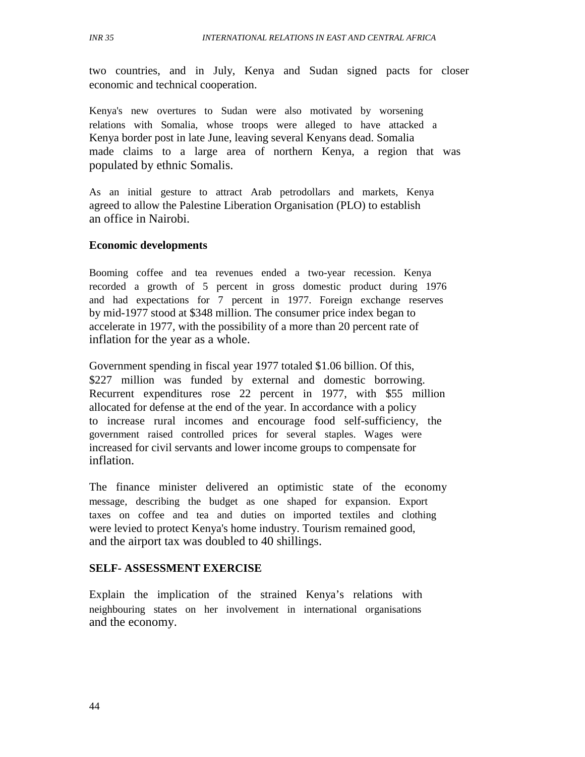two countries, and in July, Kenya and Sudan signed pacts for closer economic and technical cooperation.

Kenya's new overtures to Sudan were also motivated by worsening relations with Somalia, whose troops were alleged to have attacked a Kenya border post in late June, leaving several Kenyans dead. Somalia made claims to a large area of northern Kenya, a region that was populated by ethnic Somalis.

As an initial gesture to attract Arab petrodollars and markets, Kenya agreed to allow the Palestine Liberation Organisation (PLO) to establish an office in Nairobi.

#### **Economic developments**

Booming coffee and tea revenues ended a two-year recession. Kenya recorded a growth of 5 percent in gross domestic product during 1976 and had expectations for 7 percent in 1977. Foreign exchange reserves by mid-1977 stood at \$348 million. The consumer price index began to accelerate in 1977, with the possibility of a more than 20 percent rate of inflation for the year as a whole.

Government spending in fiscal year 1977 totaled \$1.06 billion. Of this, \$227 million was funded by external and domestic borrowing. Recurrent expenditures rose 22 percent in 1977, with \$55 million allocated for defense at the end of the year. In accordance with a policy to increase rural incomes and encourage food self-sufficiency, the government raised controlled prices for several staples. Wages were increased for civil servants and lower income groups to compensate for inflation.

The finance minister delivered an optimistic state of the economy message, describing the budget as one shaped for expansion. Export taxes on coffee and tea and duties on imported textiles and clothing were levied to protect Kenya's home industry. Tourism remained good, and the airport tax was doubled to 40 shillings.

#### **SELF- ASSESSMENT EXERCISE**

Explain the implication of the strained Kenya's relations with neighbouring states on her involvement in international organisations and the economy.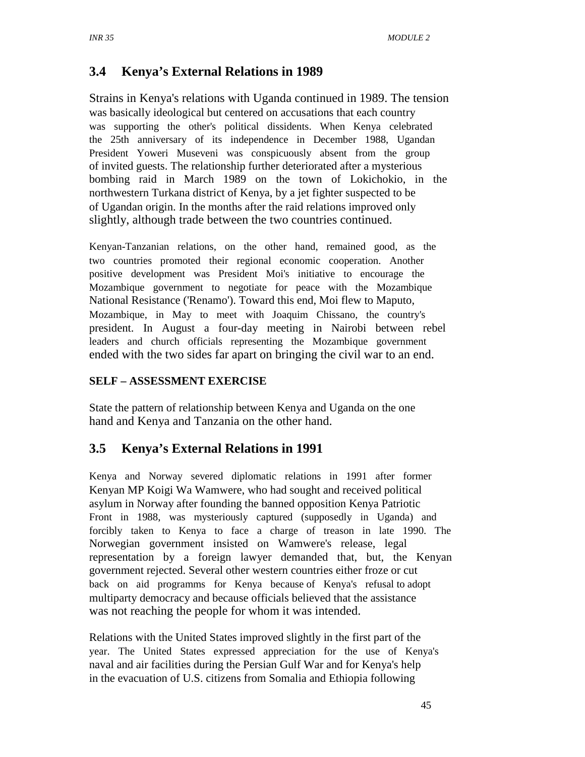# **3.4 Kenya's External Relations in 1989**

Strains in Kenya's relations with Uganda continued in 1989. The tension was basically ideological but centered on accusations that each country was supporting the other's political dissidents. When Kenya celebrated the 25th anniversary of its independence in December 1988, Ugandan President Yoweri Museveni was conspicuously absent from the group of invited guests. The relationship further deteriorated after a mysterious bombing raid in March 1989 on the town of Lokichokio, in the northwestern Turkana district of Kenya, by a jet fighter suspected to be of Ugandan origin. In the months after the raid relations improved only slightly, although trade between the two countries continued.

Kenyan-Tanzanian relations, on the other hand, remained good, as the two countries promoted their regional economic cooperation. Another positive development was President Moi's initiative to encourage the Mozambique government to negotiate for peace with the Mozambique National Resistance ('Renamo'). Toward this end, Moi flew to Maputo, Mozambique, in May to meet with Joaquim Chissano, the country's president. In August a four-day meeting in Nairobi between rebel leaders and church officials representing the Mozambique government ended with the two sides far apart on bringing the civil war to an end.

#### **SELF – ASSESSMENT EXERCISE**

State the pattern of relationship between Kenya and Uganda on the one hand and Kenya and Tanzania on the other hand.

# **3.5 Kenya's External Relations in 1991**

Kenya and Norway severed diplomatic relations in 1991 after former Kenyan MP Koigi Wa Wamwere, who had sought and received political asylum in Norway after founding the banned opposition Kenya Patriotic Front in 1988, was mysteriously captured (supposedly in Uganda) and forcibly taken to Kenya to face a charge of treason in late 1990. The Norwegian government insisted on Wamwere's release, legal representation by a foreign lawyer demanded that, but, the Kenyan government rejected. Several other western countries either froze or cut back on aid programms for Kenya because of Kenya's refusal to adopt multiparty democracy and because officials believed that the assistance was not reaching the people for whom it was intended.

Relations with the United States improved slightly in the first part of the year. The United States expressed appreciation for the use of Kenya's naval and air facilities during the Persian Gulf War and for Kenya's help in the evacuation of U.S. citizens from Somalia and Ethiopia following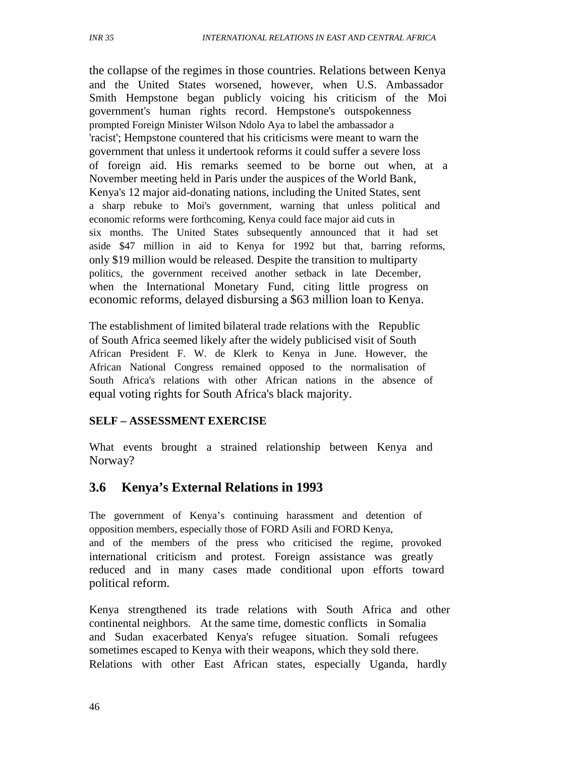the collapse of the regimes in those countries. Relations between Kenya and the United States worsened, however, when U.S. Ambassador Smith Hempstone began publicly voicing his criticism of the Moi government's human rights record. Hempstone's outspokenness prompted Foreign Minister Wilson Ndolo Aya to label the ambassador a 'racist'; Hempstone countered that his criticisms were meant to warn the government that unless it undertook reforms it could suffer a severe loss of foreign aid. His remarks seemed to be borne out when, at a November meeting held in Paris under the auspices of the World Bank, Kenya's 12 major aid-donating nations, including the United States, sent a sharp rebuke to Moi's government, warning that unless political and economic reforms were forthcoming, Kenya could face major aid cuts in six months. The United States subsequently announced that it had set aside \$47 million in aid to Kenya for 1992 but that, barring reforms, only \$19 million would be released. Despite the transition to multiparty politics, the government received another setback in late December, when the International Monetary Fund, citing little progress on economic reforms, delayed disbursing a \$63 million loan to Kenya.

The establishment of limited bilateral trade relations with the Republic of South Africa seemed likely after the widely publicised visit of South African President F. W. de Klerk to Kenya in June. However, the African National Congress remained opposed to the normalisation of South Africa's relations with other African nations in the absence of equal voting rights for South Africa's black majority.

#### **SELF – ASSESSMENT EXERCISE**

What events brought a strained relationship between Kenya and Norway?

# **3.6 Kenya's External Relations in 1993**

The government of Kenya's continuing harassment and detention of opposition members, especially those of FORD Asili and FORD Kenya, and of the members of the press who criticised the regime, provoked international criticism and protest. Foreign assistance was greatly reduced and in many cases made conditional upon efforts toward political reform.

Kenya strengthened its trade relations with South Africa and other continental neighbors. At the same time, domestic conflicts in Somalia and Sudan exacerbated Kenya's refugee situation. Somali refugees sometimes escaped to Kenya with their weapons, which they sold there. Relations with other East African states, especially Uganda, hardly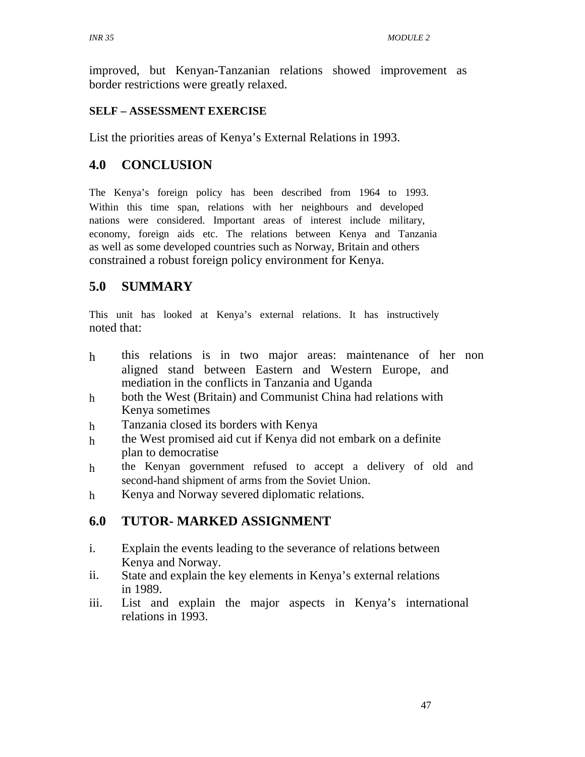improved, but Kenyan-Tanzanian relations showed improvement as border restrictions were greatly relaxed.

# **SELF – ASSESSMENT EXERCISE**

List the priorities areas of Kenya's External Relations in 1993.

# **4.0 CONCLUSION**

The Kenya's foreign policy has been described from 1964 to 1993. Within this time span, relations with her neighbours and developed nations were considered. Important areas of interest include military, economy, foreign aids etc. The relations between Kenya and Tanzania as well as some developed countries such as Norway, Britain and others constrained a robust foreign policy environment for Kenya.

# **5.0 SUMMARY**

This unit has looked at Kenya's external relations. It has instructively noted that:

- h this relations is in two major areas: maintenance of her non aligned stand between Eastern and Western Europe, and mediation in the conflicts in Tanzania and Uganda
- h both the West (Britain) and Communist China had relations with Kenya sometimes
- h Tanzania closed its borders with Kenya
- h the West promised aid cut if Kenya did not embark on a definite plan to democratise
- h the Kenyan government refused to accept a delivery of old and second-hand shipment of arms from the Soviet Union.
- h Kenya and Norway severed diplomatic relations.

# **6.0 TUTOR- MARKED ASSIGNMENT**

- i. Explain the events leading to the severance of relations between Kenya and Norway.
- ii. State and explain the key elements in Kenya's external relations in 1989.
- iii. List and explain the major aspects in Kenya's international relations in 1993.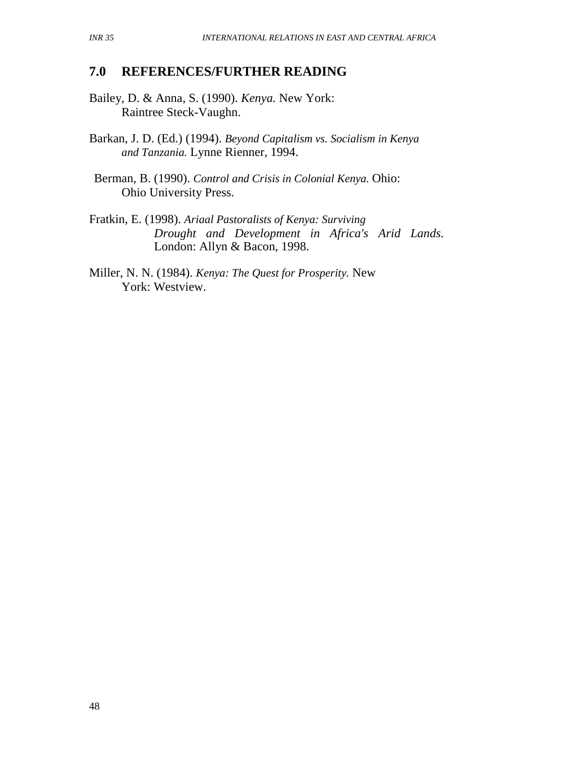# **7.0 REFERENCES/FURTHER READING**

- Bailey, D. & Anna, S. (1990). *Kenya.* New York: Raintree Steck-Vaughn.
- Barkan, J. D. (Ed.) (1994). *Beyond Capitalism vs. Socialism in Kenya and Tanzania.* Lynne Rienner, 1994.
- Berman, B. (1990). *Control and Crisis in Colonial Kenya.* Ohio: Ohio University Press.
- Fratkin, E. (1998). *Ariaal Pastoralists of Kenya: Surviving Drought and Development in Africa's Arid Lands.* London: Allyn & Bacon, 1998.
- Miller, N. N. (1984). *Kenya: The Quest for Prosperity.* New York: Westview.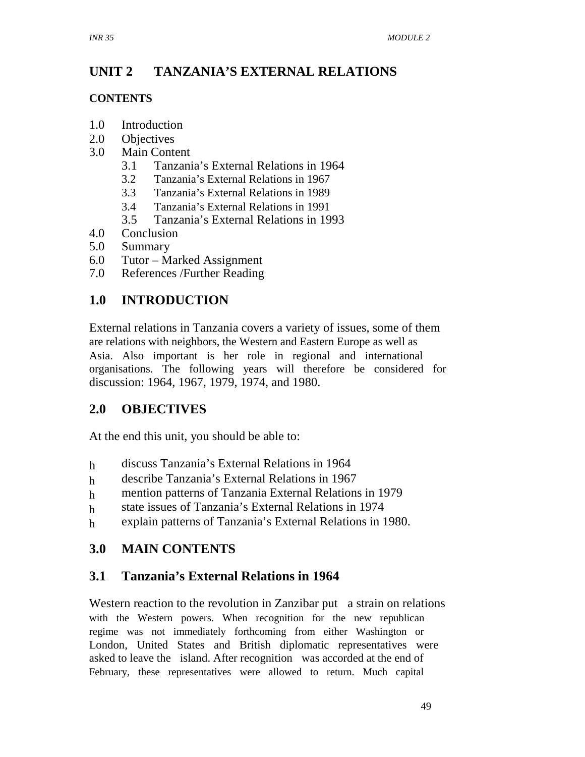#### **UNIT 2 TANZANIA'S EXTERNAL RELATIONS**

#### **CONTENTS**

- 1.0 Introduction
- 2.0 Objectives
- 3.0 Main Content
	- 3.1 Tanzania's External Relations in 1964
	- 3.2 Tanzania's External Relations in 1967
	- 3.3 Tanzania's External Relations in 1989
	- 3.4 Tanzania's External Relations in 1991
	- 3.5 Tanzania's External Relations in 1993
- 4.0 Conclusion
- 5.0 Summary
- 6.0 Tutor Marked Assignment
- 7.0 References /Further Reading

# **1.0 INTRODUCTION**

External relations in Tanzania covers a variety of issues, some of them are relations with neighbors, the Western and Eastern Europe as well as Asia. Also important is her role in regional and international organisations. The following years will therefore be considered for discussion: 1964, 1967, 1979, 1974, and 1980.

# **2.0 OBJECTIVES**

At the end this unit, you should be able to:

- h discuss Tanzania's External Relations in 1964
- h describe Tanzania's External Relations in 1967
- h mention patterns of Tanzania External Relations in 1979
- h state issues of Tanzania's External Relations in 1974
- h explain patterns of Tanzania's External Relations in 1980.

# **3.0 MAIN CONTENTS**

# **3.1 Tanzania's External Relations in 1964**

Western reaction to the revolution in Zanzibar put a strain on relations with the Western powers. When recognition for the new republican regime was not immediately forthcoming from either Washington or London, United States and British diplomatic representatives were asked to leave the island. After recognition was accorded at the end of February, these representatives were allowed to return. Much capital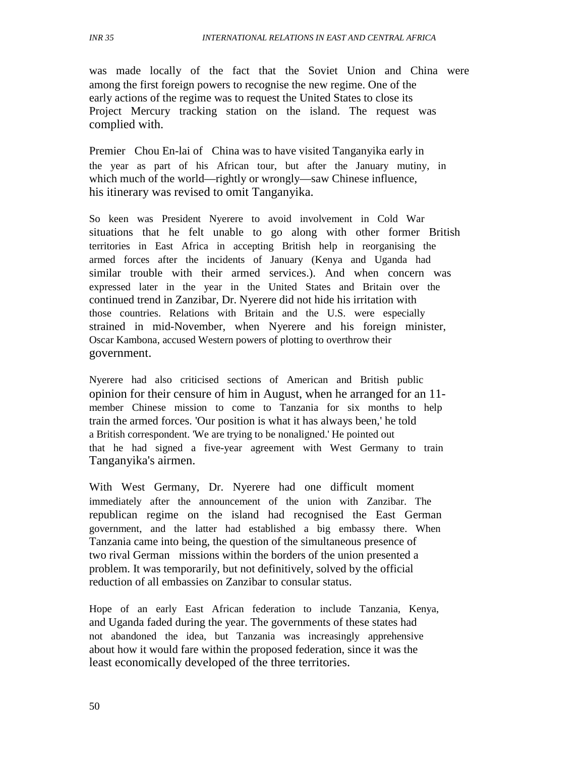was made locally of the fact that the Soviet Union and China were among the first foreign powers to recognise the new regime. One of the early actions of the regime was to request the United States to close its Project Mercury tracking station on the island. The request was complied with.

Premier Chou En-lai of China was to have visited Tanganyika early in the year as part of his African tour, but after the January mutiny, in which much of the world—rightly or wrongly—saw Chinese influence, his itinerary was revised to omit Tanganyika.

So keen was President Nyerere to avoid involvement in Cold War situations that he felt unable to go along with other former British territories in East Africa in accepting British help in reorganising the armed forces after the incidents of January (Kenya and Uganda had similar trouble with their armed services.). And when concern was expressed later in the year in the United States and Britain over the continued trend in Zanzibar, Dr. Nyerere did not hide his irritation with those countries. Relations with Britain and the U.S. were especially strained in mid-November, when Nyerere and his foreign minister, Oscar Kambona, accused Western powers of plotting to overthrow their government.

Nyerere had also criticised sections of American and British public opinion for their censure of him in August, when he arranged for an 11 member Chinese mission to come to Tanzania for six months to help train the armed forces. 'Our position is what it has always been,' he told a British correspondent. 'We are trying to be nonaligned.' He pointed out that he had signed a five-year agreement with West Germany to train Tanganyika's airmen.

With West Germany, Dr. Nyerere had one difficult moment immediately after the announcement of the union with Zanzibar. The republican regime on the island had recognised the East German government, and the latter had established a big embassy there. When Tanzania came into being, the question of the simultaneous presence of two rival German missions within the borders of the union presented a problem. It was temporarily, but not definitively, solved by the official reduction of all embassies on Zanzibar to consular status.

Hope of an early East African federation to include Tanzania, Kenya, and Uganda faded during the year. The governments of these states had not abandoned the idea, but Tanzania was increasingly apprehensive about how it would fare within the proposed federation, since it was the least economically developed of the three territories.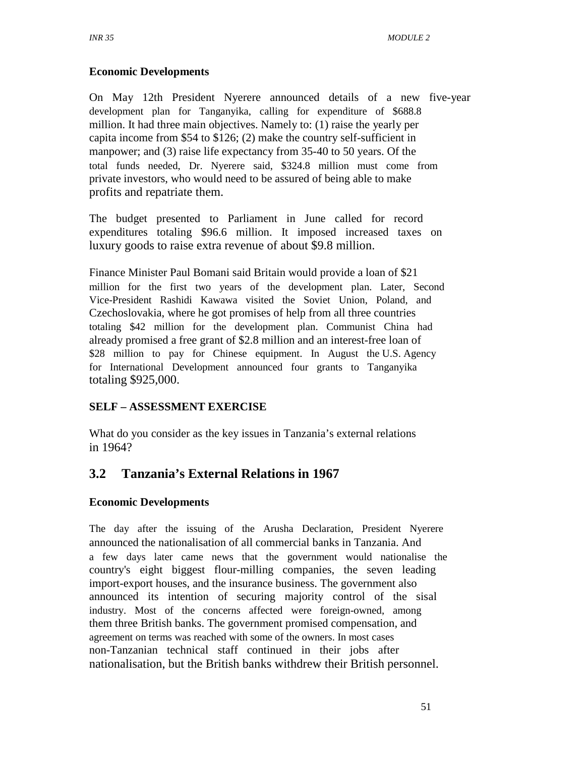#### **Economic Developments**

On May 12th President Nyerere announced details of a new five-year development plan for Tanganyika, calling for expenditure of \$688.8 million. It had three main objectives. Namely to: (1) raise the yearly per capita income from \$54 to \$126; (2) make the country self-sufficient in manpower; and (3) raise life expectancy from 35-40 to 50 years. Of the total funds needed, Dr. Nyerere said, \$324.8 million must come from private investors, who would need to be assured of being able to make profits and repatriate them.

The budget presented to Parliament in June called for record expenditures totaling \$96.6 million. It imposed increased taxes on luxury goods to raise extra revenue of about \$9.8 million.

Finance Minister Paul Bomani said Britain would provide a loan of \$21 million for the first two years of the development plan. Later, Second Vice-President Rashidi Kawawa visited the Soviet Union, Poland, and Czechoslovakia, where he got promises of help from all three countries totaling \$42 million for the development plan. Communist China had already promised a free grant of \$2.8 million and an interest-free loan of \$28 million to pay for Chinese equipment. In August the U.S. Agency for International Development announced four grants to Tanganyika totaling \$925,000.

# **SELF – ASSESSMENT EXERCISE**

What do you consider as the key issues in Tanzania's external relations in 1964?

# **3.2 Tanzania's External Relations in 1967**

# **Economic Developments**

The day after the issuing of the Arusha Declaration, President Nyerere announced the nationalisation of all commercial banks in Tanzania. And a few days later came news that the government would nationalise the country's eight biggest flour-milling companies, the seven leading import-export houses, and the insurance business. The government also announced its intention of securing majority control of the sisal industry. Most of the concerns affected were foreign-owned, among them three British banks. The government promised compensation, and agreement on terms was reached with some of the owners. In most cases non-Tanzanian technical staff continued in their jobs after nationalisation, but the British banks withdrew their British personnel.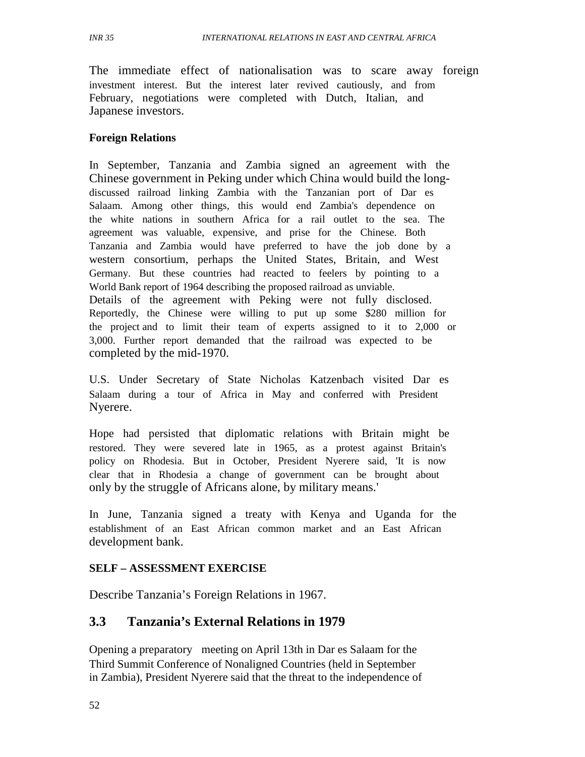The immediate effect of nationalisation was to scare away foreign investment interest. But the interest later revived cautiously, and from February, negotiations were completed with Dutch, Italian, and Japanese investors.

#### **Foreign Relations**

In September, Tanzania and Zambia signed an agreement with the Chinese government in Peking under which China would build the longdiscussed railroad linking Zambia with the Tanzanian port of Dar es Salaam. Among other things, this would end Zambia's dependence on the white nations in southern Africa for a rail outlet to the sea. The agreement was valuable, expensive, and prise for the Chinese. Both Tanzania and Zambia would have preferred to have the job done by a western consortium, perhaps the United States, Britain, and West Germany. But these countries had reacted to feelers by pointing to a World Bank report of 1964 describing the proposed railroad as unviable. Details of the agreement with Peking were not fully disclosed. Reportedly, the Chinese were willing to put up some \$280 million for the project and to limit their team of experts assigned to it to 2,000 or 3,000. Further report demanded that the railroad was expected to be completed by the mid-1970.

U.S. Under Secretary of State Nicholas Katzenbach visited Dar es Salaam during a tour of Africa in May and conferred with President Nyerere.

Hope had persisted that diplomatic relations with Britain might be restored. They were severed late in 1965, as a protest against Britain's policy on Rhodesia. But in October, President Nyerere said, 'It is now clear that in Rhodesia a change of government can be brought about only by the struggle of Africans alone, by military means.'

In June, Tanzania signed a treaty with Kenya and Uganda for the establishment of an East African common market and an East African development bank.

#### **SELF – ASSESSMENT EXERCISE**

Describe Tanzania's Foreign Relations in 1967.

# **3.3 Tanzania's External Relations in 1979**

Opening a preparatory meeting on April 13th in Dar es Salaam for the Third Summit Conference of Nonaligned Countries (held in September in Zambia), President Nyerere said that the threat to the independence of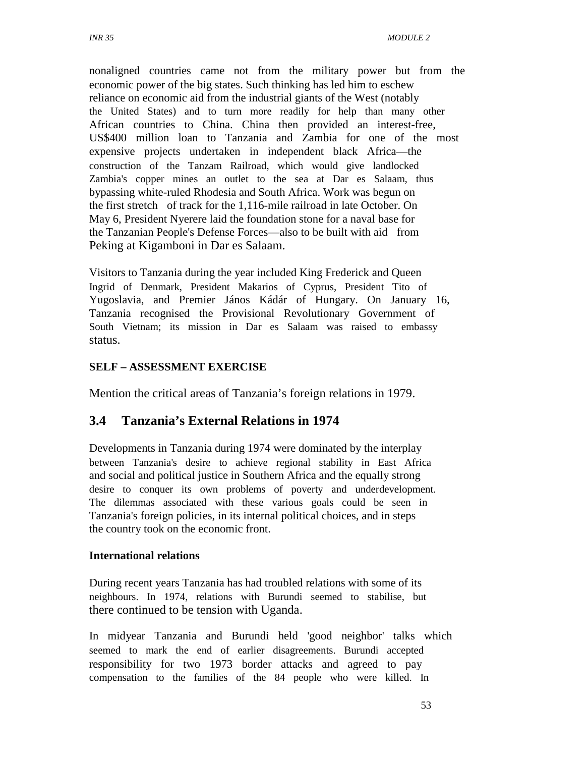nonaligned countries came not from the military power but from the economic power of the big states. Such thinking has led him to eschew reliance on economic aid from the industrial giants of the West (notably the United States) and to turn more readily for help than many other African countries to China. China then provided an interest-free, US\$400 million loan to Tanzania and Zambia for one of the most expensive projects undertaken in independent black Africa—the construction of the Tanzam Railroad, which would give landlocked Zambia's copper mines an outlet to the sea at Dar es Salaam, thus bypassing white-ruled Rhodesia and South Africa. Work was begun on the first stretch of track for the 1,116-mile railroad in late October. On May 6, President Nyerere laid the foundation stone for a naval base for the Tanzanian People's Defense Forces—also to be built with aid from Peking at Kigamboni in Dar es Salaam.

Visitors to Tanzania during the year included King Frederick and Queen Ingrid of Denmark, President Makarios of Cyprus, President Tito of Yugoslavia, and Premier János Kádár of Hungary. On January 16, Tanzania recognised the Provisional Revolutionary Government of South Vietnam; its mission in Dar es Salaam was raised to embassy status.

#### **SELF – ASSESSMENT EXERCISE**

Mention the critical areas of Tanzania's foreign relations in 1979.

#### **3.4 Tanzania's External Relations in 1974**

Developments in Tanzania during 1974 were dominated by the interplay between Tanzania's desire to achieve regional stability in East Africa and social and political justice in Southern Africa and the equally strong desire to conquer its own problems of poverty and underdevelopment. The dilemmas associated with these various goals could be seen in Tanzania's foreign policies, in its internal political choices, and in steps the country took on the economic front.

#### **International relations**

During recent years Tanzania has had troubled relations with some of its neighbours. In 1974, relations with Burundi seemed to stabilise, but there continued to be tension with Uganda.

In midyear Tanzania and Burundi held 'good neighbor' talks which seemed to mark the end of earlier disagreements. Burundi accepted responsibility for two 1973 border attacks and agreed to pay compensation to the families of the 84 people who were killed. In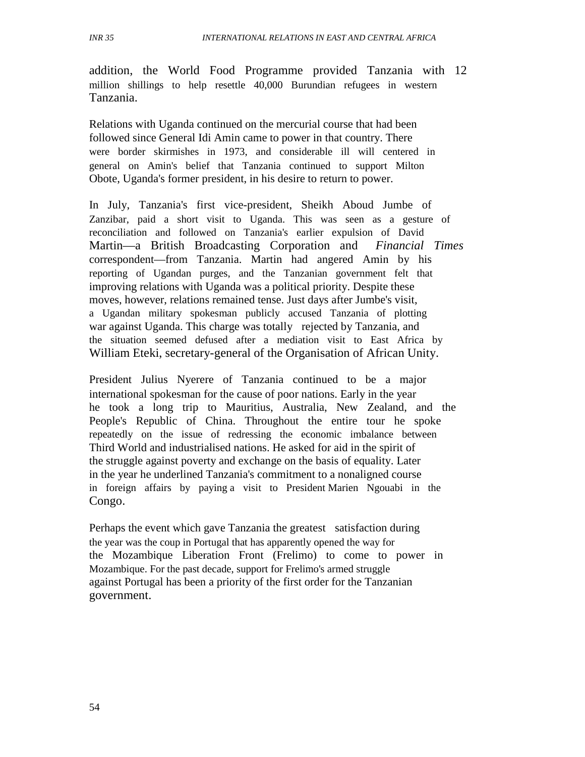addition, the World Food Programme provided Tanzania with 12 million shillings to help resettle 40,000 Burundian refugees in western Tanzania.

Relations with Uganda continued on the mercurial course that had been followed since General Idi Amin came to power in that country. There were border skirmishes in 1973, and considerable ill will centered in general on Amin's belief that Tanzania continued to support Milton Obote, Uganda's former president, in his desire to return to power.

In July, Tanzania's first vice-president, Sheikh Aboud Jumbe of Zanzibar, paid a short visit to Uganda. This was seen as a gesture of reconciliation and followed on Tanzania's earlier expulsion of David Martin—a British Broadcasting Corporation and *Financial Times* correspondent—from Tanzania. Martin had angered Amin by his reporting of Ugandan purges, and the Tanzanian government felt that improving relations with Uganda was a political priority. Despite these moves, however, relations remained tense. Just days after Jumbe's visit, a Ugandan military spokesman publicly accused Tanzania of plotting war against Uganda. This charge was totally rejected by Tanzania, and the situation seemed defused after a mediation visit to East Africa by William Eteki, secretary-general of the Organisation of African Unity.

President Julius Nyerere of Tanzania continued to be a major international spokesman for the cause of poor nations. Early in the year he took a long trip to Mauritius, Australia, New Zealand, and the People's Republic of China. Throughout the entire tour he spoke repeatedly on the issue of redressing the economic imbalance between Third World and industrialised nations. He asked for aid in the spirit of the struggle against poverty and exchange on the basis of equality. Later in the year he underlined Tanzania's commitment to a nonaligned course in foreign affairs by paying a visit to President Marien Ngouabi in the Congo.

Perhaps the event which gave Tanzania the greatest satisfaction during the year was the coup in Portugal that has apparently opened the way for the Mozambique Liberation Front (Frelimo) to come to power in Mozambique. For the past decade, support for Frelimo's armed struggle against Portugal has been a priority of the first order for the Tanzanian government.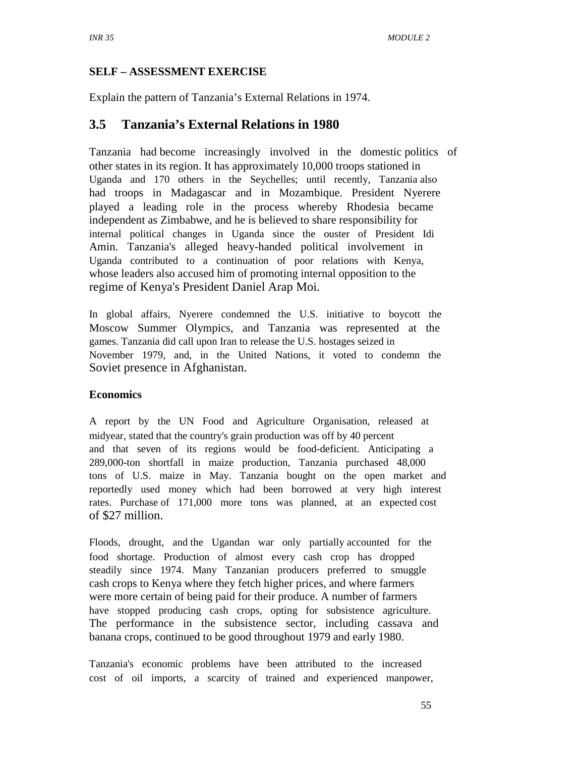### **SELF – ASSESSMENT EXERCISE**

Explain the pattern of Tanzania's External Relations in 1974.

# **3.5 Tanzania's External Relations in 1980**

Tanzania had become increasingly involved in the domestic politics of other states in its region. It has approximately 10,000 troops stationed in Uganda and 170 others in the Seychelles; until recently, Tanzania also had troops in Madagascar and in Mozambique. President Nyerere played a leading role in the process whereby Rhodesia became independent as Zimbabwe, and he is believed to share responsibility for internal political changes in Uganda since the ouster of President Idi Amin. Tanzania's alleged heavy-handed political involvement in Uganda contributed to a continuation of poor relations with Kenya, whose leaders also accused him of promoting internal opposition to the regime of Kenya's President Daniel Arap Moi.

In global affairs, Nyerere condemned the U.S. initiative to boycott the Moscow Summer Olympics, and Tanzania was represented at the games. Tanzania did call upon Iran to release the U.S. hostages seized in November 1979, and, in the United Nations, it voted to condemn the Soviet presence in Afghanistan.

#### **Economics**

A report by the UN Food and Agriculture Organisation, released at midyear, stated that the country's grain production was off by 40 percent and that seven of its regions would be food-deficient. Anticipating a 289,000-ton shortfall in maize production, Tanzania purchased 48,000 tons of U.S. maize in May. Tanzania bought on the open market and reportedly used money which had been borrowed at very high interest rates. Purchase of 171,000 more tons was planned, at an expected cost of \$27 million.

Floods, drought, and the Ugandan war only partially accounted for the food shortage. Production of almost every cash crop has dropped steadily since 1974. Many Tanzanian producers preferred to smuggle cash crops to Kenya where they fetch higher prices, and where farmers were more certain of being paid for their produce. A number of farmers have stopped producing cash crops, opting for subsistence agriculture. The performance in the subsistence sector, including cassava and banana crops, continued to be good throughout 1979 and early 1980.

Tanzania's economic problems have been attributed to the increased cost of oil imports, a scarcity of trained and experienced manpower,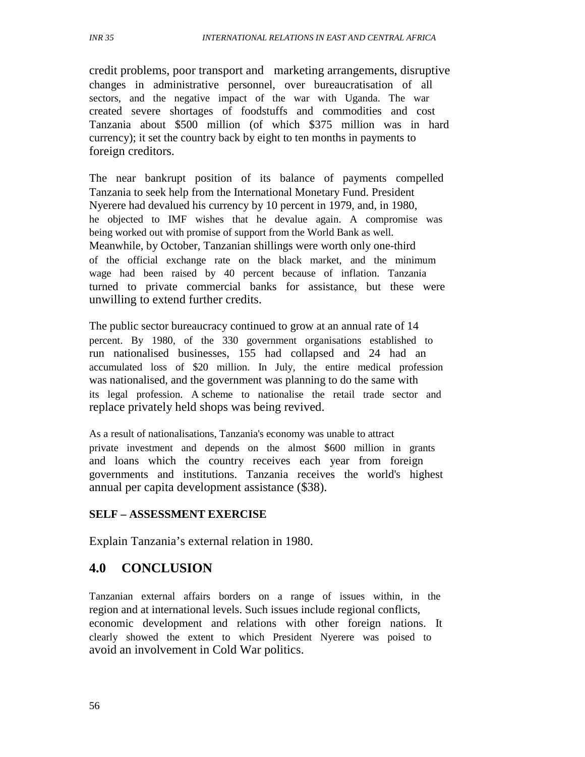credit problems, poor transport and marketing arrangements, disruptive changes in administrative personnel, over bureaucratisation of all sectors, and the negative impact of the war with Uganda. The war created severe shortages of foodstuffs and commodities and cost Tanzania about \$500 million (of which \$375 million was in hard currency); it set the country back by eight to ten months in payments to foreign creditors.

The near bankrupt position of its balance of payments compelled Tanzania to seek help from the International Monetary Fund. President Nyerere had devalued his currency by 10 percent in 1979, and, in 1980, he objected to IMF wishes that he devalue again. A compromise was being worked out with promise of support from the World Bank as well. Meanwhile, by October, Tanzanian shillings were worth only one-third of the official exchange rate on the black market, and the minimum wage had been raised by 40 percent because of inflation. Tanzania turned to private commercial banks for assistance, but these were unwilling to extend further credits.

The public sector bureaucracy continued to grow at an annual rate of 14 percent. By 1980, of the 330 government organisations established to run nationalised businesses, 155 had collapsed and 24 had an accumulated loss of \$20 million. In July, the entire medical profession was nationalised, and the government was planning to do the same with its legal profession. A scheme to nationalise the retail trade sector and replace privately held shops was being revived.

As a result of nationalisations, Tanzania's economy was unable to attract private investment and depends on the almost \$600 million in grants and loans which the country receives each year from foreign governments and institutions. Tanzania receives the world's highest annual per capita development assistance (\$38).

#### **SELF – ASSESSMENT EXERCISE**

Explain Tanzania's external relation in 1980.

# **4.0 CONCLUSION**

Tanzanian external affairs borders on a range of issues within, in the region and at international levels. Such issues include regional conflicts, economic development and relations with other foreign nations. It clearly showed the extent to which President Nyerere was poised to avoid an involvement in Cold War politics.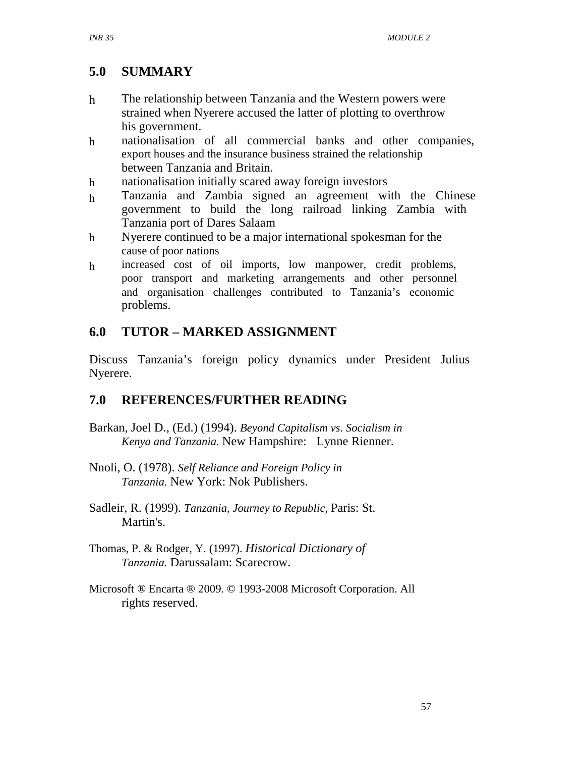#### *INR 35*

# **5.0 SUMMARY**

- h The relationship between Tanzania and the Western powers were strained when Nyerere accused the latter of plotting to overthrow his government.
- h nationalisation of all commercial banks and other companies, export houses and the insurance business strained the relationship between Tanzania and Britain.
- h nationalisation initially scared away foreign investors
- h Tanzania and Zambia signed an agreement with the Chinese government to build the long railroad linking Zambia with Tanzania port of Dares Salaam
- h Nyerere continued to be a major international spokesman for the cause of poor nations
- h increased cost of oil imports, low manpower, credit problems, poor transport and marketing arrangements and other personnel and organisation challenges contributed to Tanzania's economic problems.

# **6.0 TUTOR – MARKED ASSIGNMENT**

Discuss Tanzania's foreign policy dynamics under President Julius Nyerere.

# **7.0 REFERENCES/FURTHER READING**

- Barkan, Joel D., (Ed.) (1994). *Beyond Capitalism vs. Socialism in Kenya and Tanzania.* New Hampshire: Lynne Rienner.
- Nnoli, O. (1978). *Self Reliance and Foreign Policy in Tanzania.* New York: Nok Publishers.
- Sadleir, R. (1999). *Tanzania, Journey to Republic,* Paris: St. Martin's.
- Thomas, P. & Rodger, Y. (1997). *Historical Dictionary of Tanzania.* Darussalam: Scarecrow.
- Microsoft ® Encarta ® 2009. © 1993-2008 Microsoft Corporation. All rights reserved.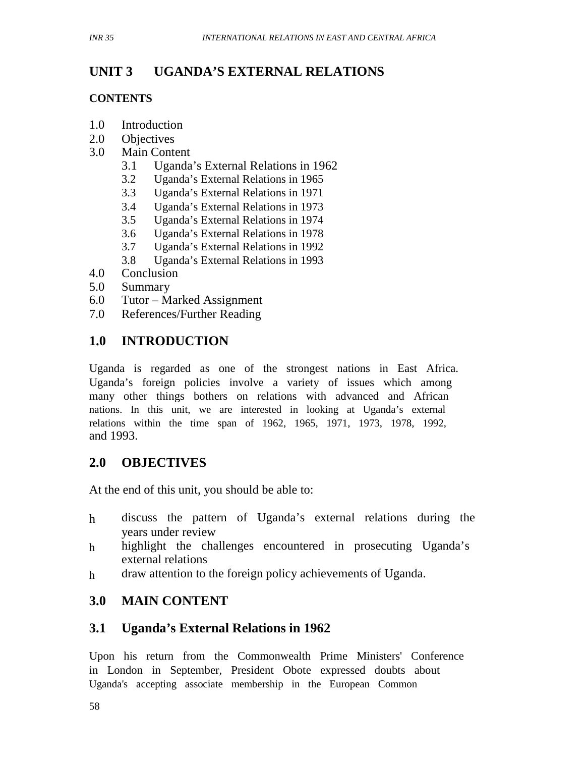#### *INR 35*

#### **UNIT 3 UGANDA'S EXTERNAL RELATIONS**

#### **CONTENTS**

- 1.0 Introduction
- 2.0 Objectives
- 3.0 Main Content
	- 3.1 Uganda's External Relations in 1962
	- 3.2 Uganda's External Relations in 1965
	- 3.3 Uganda's External Relations in 1971
	- 3.4 Uganda's External Relations in 1973
	- 3.5 Uganda's External Relations in 1974
	- 3.6 Uganda's External Relations in 1978
	- 3.7 Uganda's External Relations in 1992
	- 3.8 Uganda's External Relations in 1993
- 4.0 Conclusion
- 5.0 Summary
- 6.0 Tutor Marked Assignment
- 7.0 References/Further Reading

# **1.0 INTRODUCTION**

Uganda is regarded as one of the strongest nations in East Africa. Uganda's foreign policies involve a variety of issues which among many other things bothers on relations with advanced and African nations. In this unit, we are interested in looking at Uganda's external relations within the time span of 1962, 1965, 1971, 1973, 1978, 1992, and 1993.

# **2.0 OBJECTIVES**

At the end of this unit, you should be able to:

- h discuss the pattern of Uganda's external relations during the years under review
- h highlight the challenges encountered in prosecuting Uganda's external relations
- h draw attention to the foreign policy achievements of Uganda.

# **3.0 MAIN CONTENT**

# **3.1 Uganda's External Relations in 1962**

Upon his return from the Commonwealth Prime Ministers' Conference in London in September, President Obote expressed doubts about Uganda's accepting associate membership in the European Common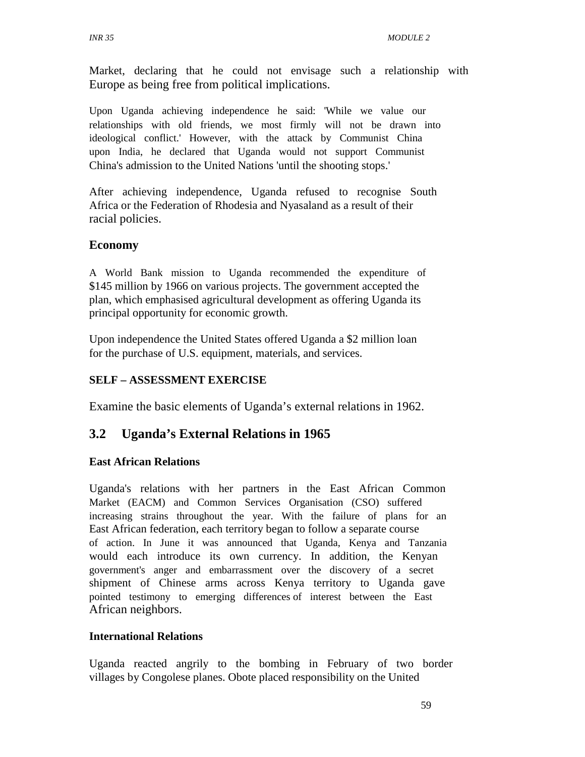Market, declaring that he could not envisage such a relationship with Europe as being free from political implications.

Upon Uganda achieving independence he said: 'While we value our relationships with old friends, we most firmly will not be drawn into ideological conflict.' However, with the attack by Communist China upon India, he declared that Uganda would not support Communist China's admission to the United Nations 'until the shooting stops.'

After achieving independence, Uganda refused to recognise South Africa or the Federation of Rhodesia and Nyasaland as a result of their racial policies.

#### **Economy**

A World Bank mission to Uganda recommended the expenditure of \$145 million by 1966 on various projects. The government accepted the plan, which emphasised agricultural development as offering Uganda its principal opportunity for economic growth.

Upon independence the United States offered Uganda a \$2 million loan for the purchase of U.S. equipment, materials, and services.

#### **SELF – ASSESSMENT EXERCISE**

Examine the basic elements of Uganda's external relations in 1962.

# **3.2 Uganda's External Relations in 1965**

#### **East African Relations**

Uganda's relations with her partners in the East African Common Market (EACM) and Common Services Organisation (CSO) suffered increasing strains throughout the year. With the failure of plans for an East African federation, each territory began to follow a separate course of action. In June it was announced that Uganda, Kenya and Tanzania would each introduce its own currency. In addition, the Kenyan government's anger and embarrassment over the discovery of a secret shipment of Chinese arms across Kenya territory to Uganda gave pointed testimony to emerging differences of interest between the East African neighbors.

#### **International Relations**

Uganda reacted angrily to the bombing in February of two border villages by Congolese planes. Obote placed responsibility on the United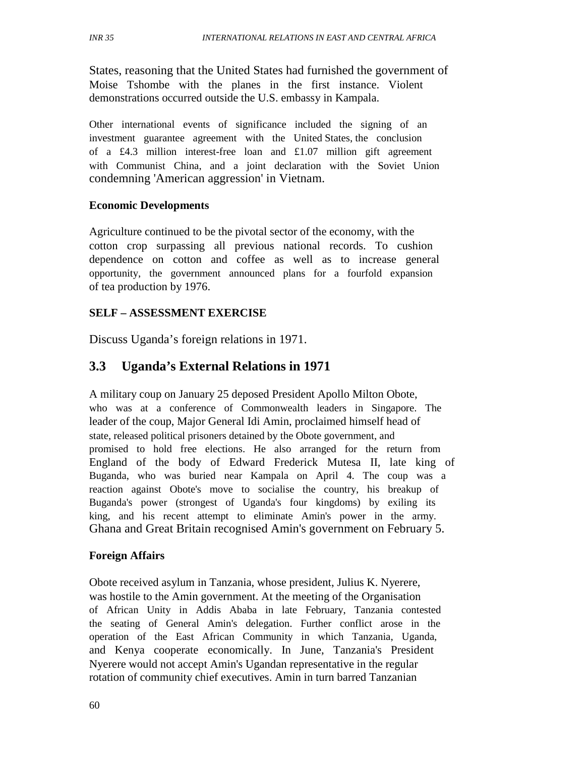States, reasoning that the United States had furnished the government of Moise Tshombe with the planes in the first instance. Violent demonstrations occurred outside the U.S. embassy in Kampala.

Other international events of significance included the signing of an investment guarantee agreement with the United States, the conclusion of a £4.3 million interest-free loan and £1.07 million gift agreement with Communist China, and a joint declaration with the Soviet Union condemning 'American aggression' in Vietnam.

#### **Economic Developments**

Agriculture continued to be the pivotal sector of the economy, with the cotton crop surpassing all previous national records. To cushion dependence on cotton and coffee as well as to increase general opportunity, the government announced plans for a fourfold expansion of tea production by 1976.

# **SELF – ASSESSMENT EXERCISE**

Discuss Uganda's foreign relations in 1971.

# **3.3 Uganda's External Relations in 1971**

A military coup on January 25 deposed President Apollo Milton Obote, who was at a conference of Commonwealth leaders in Singapore. The leader of the coup, Major General Idi Amin, proclaimed himself head of state, released political prisoners detained by the Obote government, and promised to hold free elections. He also arranged for the return from England of the body of Edward Frederick Mutesa II, late king of Buganda, who was buried near Kampala on April 4. The coup was a reaction against Obote's move to socialise the country, his breakup of Buganda's power (strongest of Uganda's four kingdoms) by exiling its king, and his recent attempt to eliminate Amin's power in the army. Ghana and Great Britain recognised Amin's government on February 5.

#### **Foreign Affairs**

Obote received asylum in Tanzania, whose president, Julius K. Nyerere, was hostile to the Amin government. At the meeting of the Organisation of African Unity in Addis Ababa in late February, Tanzania contested the seating of General Amin's delegation. Further conflict arose in the operation of the East African Community in which Tanzania, Uganda, and Kenya cooperate economically. In June, Tanzania's President Nyerere would not accept Amin's Ugandan representative in the regular rotation of community chief executives. Amin in turn barred Tanzanian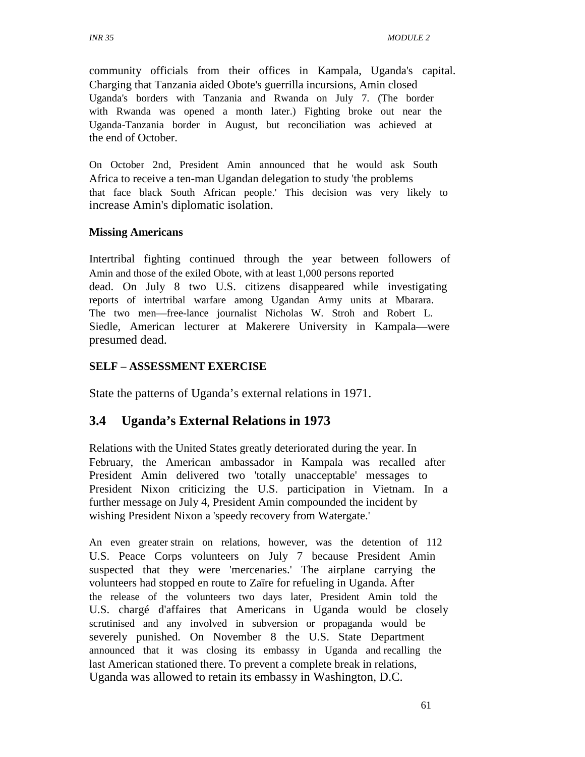community officials from their offices in Kampala, Uganda's capital. Charging that Tanzania aided Obote's guerrilla incursions, Amin closed Uganda's borders with Tanzania and Rwanda on July 7. (The border with Rwanda was opened a month later.) Fighting broke out near the Uganda-Tanzania border in August, but reconciliation was achieved at the end of October.

On October 2nd, President Amin announced that he would ask South Africa to receive a ten-man Ugandan delegation to study 'the problems that face black South African people.' This decision was very likely to increase Amin's diplomatic isolation.

#### **Missing Americans**

Intertribal fighting continued through the year between followers of Amin and those of the exiled Obote, with at least 1,000 persons reported dead. On July 8 two U.S. citizens disappeared while investigating reports of intertribal warfare among Ugandan Army units at Mbarara. The two men—free-lance journalist Nicholas W. Stroh and Robert L. Siedle, American lecturer at Makerere University in Kampala—were presumed dead.

#### **SELF – ASSESSMENT EXERCISE**

State the patterns of Uganda's external relations in 1971.

# **3.4 Uganda's External Relations in 1973**

Relations with the United States greatly deteriorated during the year. In February, the American ambassador in Kampala was recalled after President Amin delivered two 'totally unacceptable' messages to President Nixon criticizing the U.S. participation in Vietnam. In a further message on July 4, President Amin compounded the incident by wishing President Nixon a 'speedy recovery from Watergate.'

An even greater strain on relations, however, was the detention of 112 U.S. Peace Corps volunteers on July 7 because President Amin suspected that they were 'mercenaries.' The airplane carrying the volunteers had stopped en route to Zaïre for refueling in Uganda. After the release of the volunteers two days later, President Amin told the U.S. chargé d'affaires that Americans in Uganda would be closely scrutinised and any involved in subversion or propaganda would be severely punished. On November 8 the U.S. State Department announced that it was closing its embassy in Uganda and recalling the last American stationed there. To prevent a complete break in relations, Uganda was allowed to retain its embassy in Washington, D.C.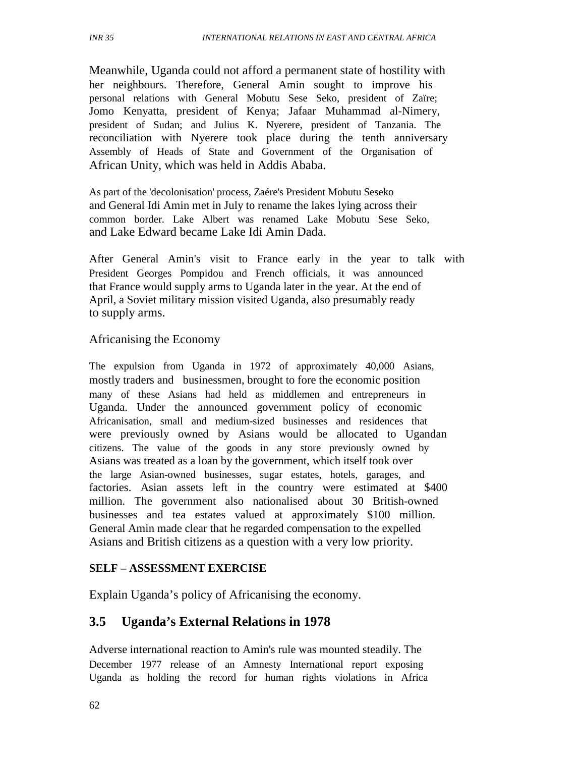Meanwhile, Uganda could not afford a permanent state of hostility with her neighbours. Therefore, General Amin sought to improve his personal relations with General Mobutu Sese Seko, president of Zaïre; Jomo Kenyatta, president of Kenya; Jafaar Muhammad al-Nimery, president of Sudan; and Julius K. Nyerere, president of Tanzania. The reconciliation with Nyerere took place during the tenth anniversary Assembly of Heads of State and Government of the Organisation of African Unity, which was held in Addis Ababa.

As part of the 'decolonisation' process, Zaére's President Mobutu Seseko and General Idi Amin met in July to rename the lakes lying across their common border. Lake Albert was renamed Lake Mobutu Sese Seko, and Lake Edward became Lake Idi Amin Dada.

After General Amin's visit to France early in the year to talk with President Georges Pompidou and French officials, it was announced that France would supply arms to Uganda later in the year. At the end of April, a Soviet military mission visited Uganda, also presumably ready to supply arms.

#### Africanising the Economy

The expulsion from Uganda in 1972 of approximately 40,000 Asians, mostly traders and businessmen, brought to fore the economic position many of these Asians had held as middlemen and entrepreneurs in Uganda. Under the announced government policy of economic Africanisation, small and medium-sized businesses and residences that were previously owned by Asians would be allocated to Ugandan citizens. The value of the goods in any store previously owned by Asians was treated as a loan by the government, which itself took over the large Asian-owned businesses, sugar estates, hotels, garages, and factories. Asian assets left in the country were estimated at \$400 million. The government also nationalised about 30 British-owned businesses and tea estates valued at approximately \$100 million. General Amin made clear that he regarded compensation to the expelled Asians and British citizens as a question with a very low priority.

#### **SELF – ASSESSMENT EXERCISE**

Explain Uganda's policy of Africanising the economy.

# **3.5 Uganda's External Relations in 1978**

Adverse international reaction to Amin's rule was mounted steadily. The December 1977 release of an Amnesty International report exposing Uganda as holding the record for human rights violations in Africa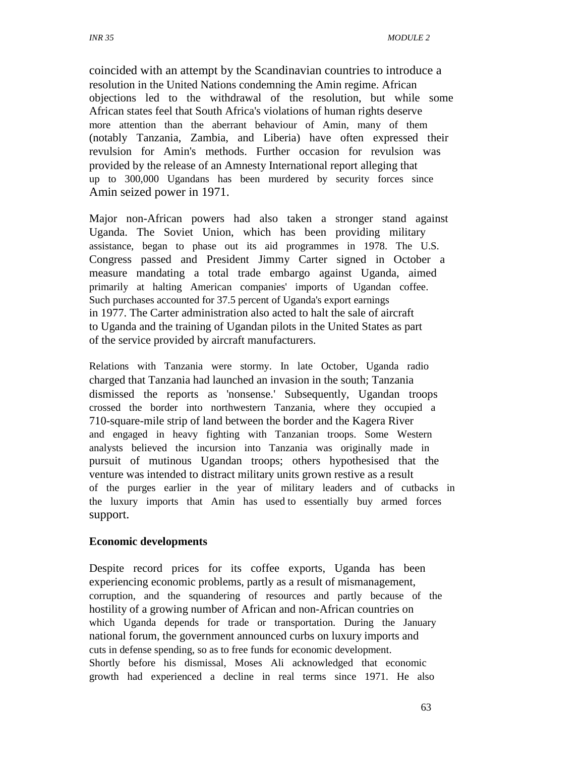coincided with an attempt by the Scandinavian countries to introduce a resolution in the United Nations condemning the Amin regime. African objections led to the withdrawal of the resolution, but while some African states feel that South Africa's violations of human rights deserve more attention than the aberrant behaviour of Amin, many of them (notably Tanzania, Zambia, and Liberia) have often expressed their revulsion for Amin's methods. Further occasion for revulsion was provided by the release of an Amnesty International report alleging that up to 300,000 Ugandans has been murdered by security forces since Amin seized power in 1971.

Major non-African powers had also taken a stronger stand against Uganda. The Soviet Union, which has been providing military assistance, began to phase out its aid programmes in 1978. The U.S. Congress passed and President Jimmy Carter signed in October a measure mandating a total trade embargo against Uganda, aimed primarily at halting American companies' imports of Ugandan coffee. Such purchases accounted for 37.5 percent of Uganda's export earnings in 1977. The Carter administration also acted to halt the sale of aircraft to Uganda and the training of Ugandan pilots in the United States as part of the service provided by aircraft manufacturers.

Relations with Tanzania were stormy. In late October, Uganda radio charged that Tanzania had launched an invasion in the south; Tanzania dismissed the reports as 'nonsense.' Subsequently, Ugandan troops crossed the border into northwestern Tanzania, where they occupied a 710-square-mile strip of land between the border and the Kagera River and engaged in heavy fighting with Tanzanian troops. Some Western analysts believed the incursion into Tanzania was originally made in pursuit of mutinous Ugandan troops; others hypothesised that the venture was intended to distract military units grown restive as a result of the purges earlier in the year of military leaders and of cutbacks in the luxury imports that Amin has used to essentially buy armed forces support.

#### **Economic developments**

Despite record prices for its coffee exports, Uganda has been experiencing economic problems, partly as a result of mismanagement, corruption, and the squandering of resources and partly because of the hostility of a growing number of African and non-African countries on which Uganda depends for trade or transportation. During the January national forum, the government announced curbs on luxury imports and cuts in defense spending, so as to free funds for economic development. Shortly before his dismissal, Moses Ali acknowledged that economic growth had experienced a decline in real terms since 1971. He also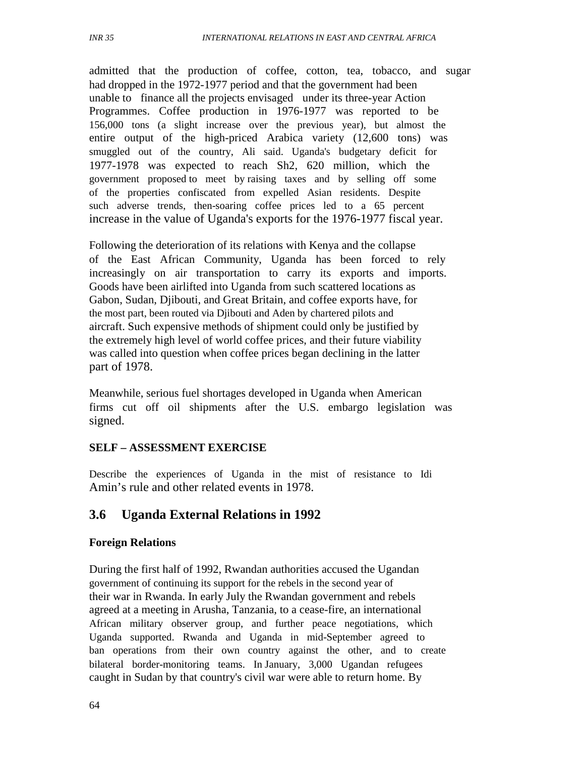admitted that the production of coffee, cotton, tea, tobacco, and sugar had dropped in the 1972-1977 period and that the government had been unable to finance all the projects envisaged under its three-year Action Programmes. Coffee production in 1976-1977 was reported to be 156,000 tons (a slight increase over the previous year), but almost the entire output of the high-priced Arabica variety (12,600 tons) was smuggled out of the country, Ali said. Uganda's budgetary deficit for 1977-1978 was expected to reach Sh2, 620 million, which the government proposed to meet by raising taxes and by selling off some of the properties confiscated from expelled Asian residents. Despite such adverse trends, then-soaring coffee prices led to a 65 percent increase in the value of Uganda's exports for the 1976-1977 fiscal year.

Following the deterioration of its relations with Kenya and the collapse of the East African Community, Uganda has been forced to rely increasingly on air transportation to carry its exports and imports. Goods have been airlifted into Uganda from such scattered locations as Gabon, Sudan, Djibouti, and Great Britain, and coffee exports have, for the most part, been routed via Djibouti and Aden by chartered pilots and aircraft. Such expensive methods of shipment could only be justified by the extremely high level of world coffee prices, and their future viability was called into question when coffee prices began declining in the latter part of 1978.

Meanwhile, serious fuel shortages developed in Uganda when American firms cut off oil shipments after the U.S. embargo legislation was signed.

#### **SELF – ASSESSMENT EXERCISE**

Describe the experiences of Uganda in the mist of resistance to Idi Amin's rule and other related events in 1978.

### **3.6 Uganda External Relations in 1992**

#### **Foreign Relations**

During the first half of 1992, Rwandan authorities accused the Ugandan government of continuing its support for the rebels in the second year of their war in Rwanda. In early July the Rwandan government and rebels agreed at a meeting in Arusha, Tanzania, to a cease-fire, an international African military observer group, and further peace negotiations, which Uganda supported. Rwanda and Uganda in mid-September agreed to ban operations from their own country against the other, and to create bilateral border-monitoring teams. In January, 3,000 Ugandan refugees caught in Sudan by that country's civil war were able to return home. By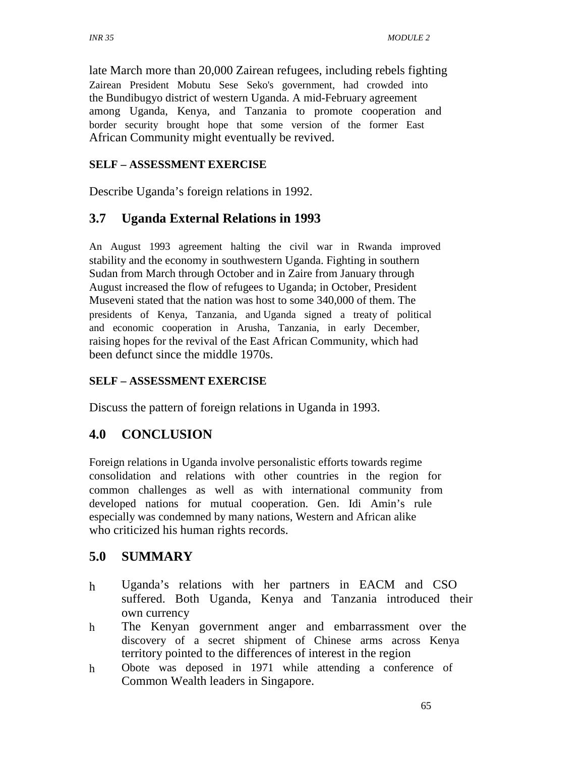late March more than 20,000 Zairean refugees, including rebels fighting Zairean President Mobutu Sese Seko's government, had crowded into the Bundibugyo district of western Uganda. A mid-February agreement among Uganda, Kenya, and Tanzania to promote cooperation and border security brought hope that some version of the former East African Community might eventually be revived.

#### **SELF – ASSESSMENT EXERCISE**

Describe Uganda's foreign relations in 1992.

### **3.7 Uganda External Relations in 1993**

An August 1993 agreement halting the civil war in Rwanda improved stability and the economy in southwestern Uganda. Fighting in southern Sudan from March through October and in Zaire from January through August increased the flow of refugees to Uganda; in October, President Museveni stated that the nation was host to some 340,000 of them. The presidents of Kenya, Tanzania, and Uganda signed a treaty of political and economic cooperation in Arusha, Tanzania, in early December, raising hopes for the revival of the East African Community, which had been defunct since the middle 1970s.

### **SELF – ASSESSMENT EXERCISE**

Discuss the pattern of foreign relations in Uganda in 1993.

### **4.0 CONCLUSION**

Foreign relations in Uganda involve personalistic efforts towards regime consolidation and relations with other countries in the region for common challenges as well as with international community from developed nations for mutual cooperation. Gen. Idi Amin's rule especially was condemned by many nations, Western and African alike who criticized his human rights records.

### **5.0 SUMMARY**

- h Uganda's relations with her partners in EACM and CSO suffered. Both Uganda, Kenya and Tanzania introduced their own currency
- h The Kenyan government anger and embarrassment over the discovery of a secret shipment of Chinese arms across Kenya territory pointed to the differences of interest in the region
- h Obote was deposed in 1971 while attending a conference of Common Wealth leaders in Singapore.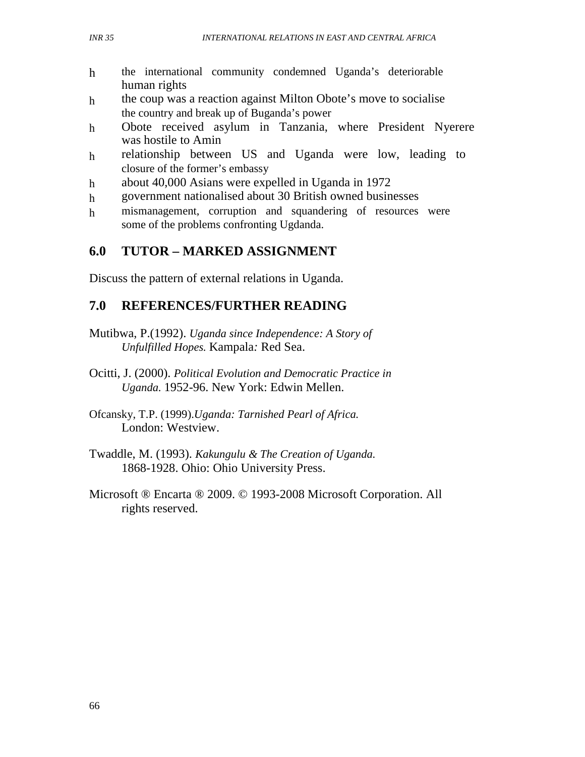- h the international community condemned Uganda's deteriorable human rights
- h the coup was a reaction against Milton Obote's move to socialise the country and break up of Buganda's power
- h Obote received asylum in Tanzania, where President Nyerere was hostile to Amin
- h relationship between US and Uganda were low, leading to closure of the former's embassy
- h about 40,000 Asians were expelled in Uganda in 1972
- h government nationalised about 30 British owned businesses
- h mismanagement, corruption and squandering of resources were some of the problems confronting Ugdanda.

# **6.0 TUTOR – MARKED ASSIGNMENT**

Discuss the pattern of external relations in Uganda.

# **7.0 REFERENCES/FURTHER READING**

- Mutibwa, P.(1992). *Uganda since Independence: A Story of Unfulfilled Hopes.* Kampala*:* Red Sea.
- Ocitti, J. (2000). *Political Evolution and Democratic Practice in Uganda.* 1952-96. New York: Edwin Mellen.
- Ofcansky, T.P. (1999).*Uganda: Tarnished Pearl of Africa.*  London: Westview.
- Twaddle, M. (1993). *Kakungulu & The Creation of Uganda.*  1868-1928. Ohio: Ohio University Press.
- Microsoft ® Encarta ® 2009. © 1993-2008 Microsoft Corporation. All rights reserved.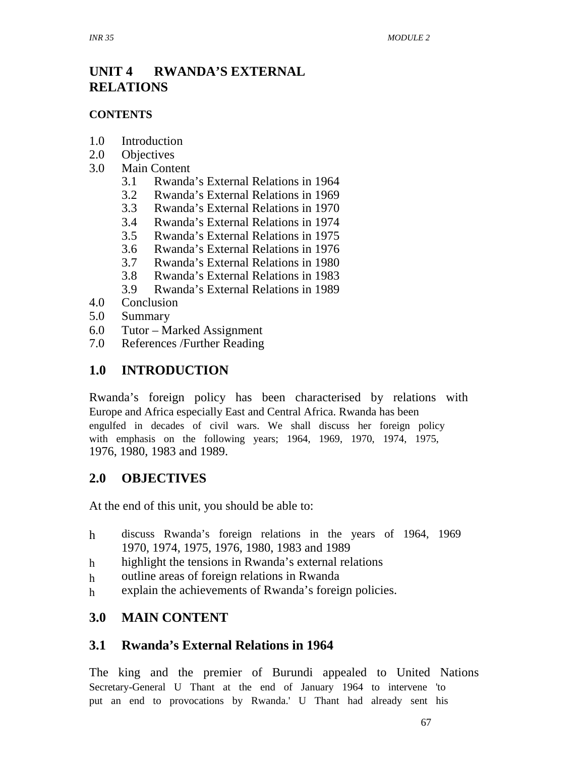# **UNIT 4 RWANDA'S EXTERNAL RELATIONS**

#### **CONTENTS**

- 1.0 Introduction
- 2.0 Objectives
- 3.0 Main Content
	- 3.1 Rwanda's External Relations in 1964
	- 3.2 Rwanda's External Relations in 1969
	- 3.3 Rwanda's External Relations in 1970
	- 3.4 Rwanda's External Relations in 1974
	- 3.5 Rwanda's External Relations in 1975
	- 3.6 Rwanda's External Relations in 1976
	- 3.7 Rwanda's External Relations in 1980
	- 3.8 Rwanda's External Relations in 1983
	- 3.9 Rwanda's External Relations in 1989
- 4.0 Conclusion
- 5.0 Summary
- 6.0 Tutor Marked Assignment
- 7.0 References /Further Reading

# **1.0 INTRODUCTION**

Rwanda's foreign policy has been characterised by relations with Europe and Africa especially East and Central Africa. Rwanda has been engulfed in decades of civil wars. We shall discuss her foreign policy with emphasis on the following years; 1964, 1969, 1970, 1974, 1975, 1976, 1980, 1983 and 1989.

### **2.0 OBJECTIVES**

At the end of this unit, you should be able to:

- h discuss Rwanda's foreign relations in the years of 1964, 1969 1970, 1974, 1975, 1976, 1980, 1983 and 1989
- h highlight the tensions in Rwanda's external relations
- h outline areas of foreign relations in Rwanda
- h explain the achievements of Rwanda's foreign policies.

### **3.0 MAIN CONTENT**

### **3.1 Rwanda's External Relations in 1964**

The king and the premier of Burundi appealed to United Nations Secretary-General U Thant at the end of January 1964 to intervene 'to put an end to provocations by Rwanda.' U Thant had already sent his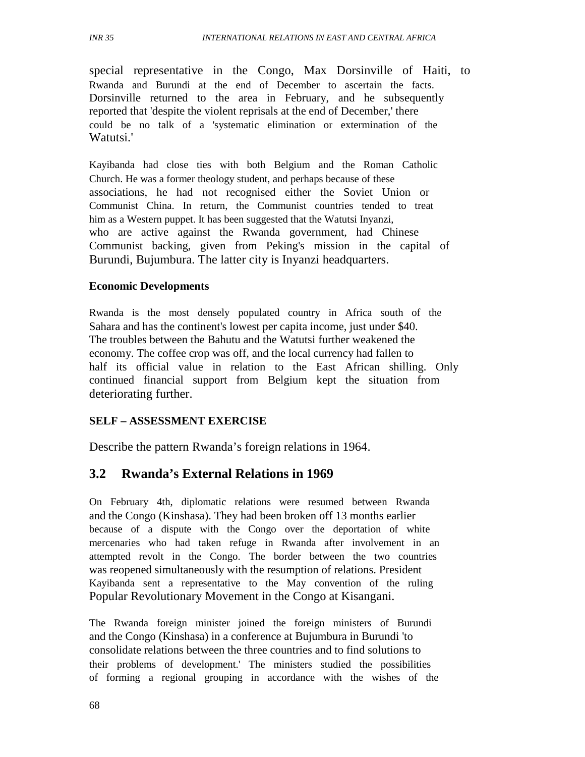special representative in the Congo, Max Dorsinville of Haiti, to Rwanda and Burundi at the end of December to ascertain the facts. Dorsinville returned to the area in February, and he subsequently reported that 'despite the violent reprisals at the end of December,' there could be no talk of a 'systematic elimination or extermination of the Watutsi.'

Kayibanda had close ties with both Belgium and the Roman Catholic Church. He was a former theology student, and perhaps because of these associations, he had not recognised either the Soviet Union or Communist China. In return, the Communist countries tended to treat him as a Western puppet. It has been suggested that the Watutsi Inyanzi, who are active against the Rwanda government, had Chinese Communist backing, given from Peking's mission in the capital of Burundi, Bujumbura. The latter city is Inyanzi headquarters.

#### **Economic Developments**

Rwanda is the most densely populated country in Africa south of the Sahara and has the continent's lowest per capita income, just under \$40. The troubles between the Bahutu and the Watutsi further weakened the economy. The coffee crop was off, and the local currency had fallen to half its official value in relation to the East African shilling. Only continued financial support from Belgium kept the situation from deteriorating further.

#### **SELF – ASSESSMENT EXERCISE**

Describe the pattern Rwanda's foreign relations in 1964.

### **3.2 Rwanda's External Relations in 1969**

On February 4th, diplomatic relations were resumed between Rwanda and the Congo (Kinshasa). They had been broken off 13 months earlier because of a dispute with the Congo over the deportation of white mercenaries who had taken refuge in Rwanda after involvement in an attempted revolt in the Congo. The border between the two countries was reopened simultaneously with the resumption of relations. President Kayibanda sent a representative to the May convention of the ruling Popular Revolutionary Movement in the Congo at Kisangani.

The Rwanda foreign minister joined the foreign ministers of Burundi and the Congo (Kinshasa) in a conference at Bujumbura in Burundi 'to consolidate relations between the three countries and to find solutions to their problems of development.' The ministers studied the possibilities of forming a regional grouping in accordance with the wishes of the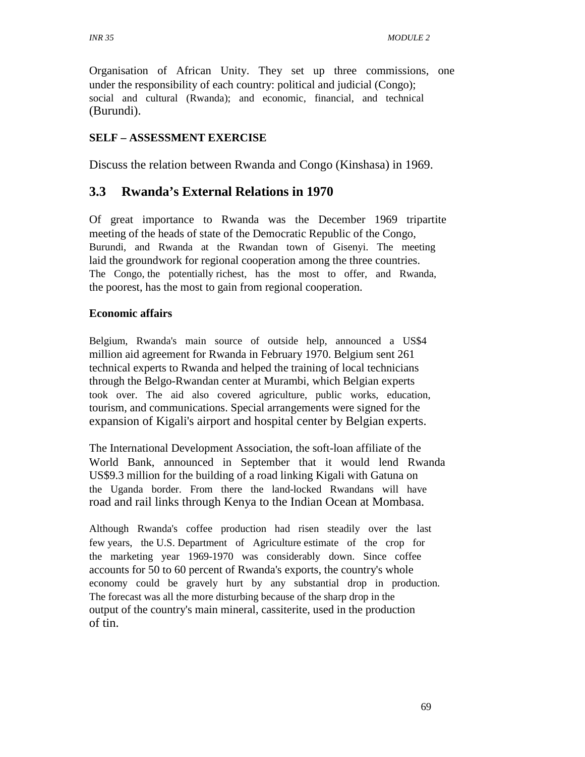Organisation of African Unity. They set up three commissions, one under the responsibility of each country: political and judicial (Congo); social and cultural (Rwanda); and economic, financial, and technical (Burundi).

#### **SELF – ASSESSMENT EXERCISE**

Discuss the relation between Rwanda and Congo (Kinshasa) in 1969.

### **3.3 Rwanda's External Relations in 1970**

Of great importance to Rwanda was the December 1969 tripartite meeting of the heads of state of the Democratic Republic of the Congo, Burundi, and Rwanda at the Rwandan town of Gisenyi. The meeting laid the groundwork for regional cooperation among the three countries. The Congo, the potentially richest, has the most to offer, and Rwanda, the poorest, has the most to gain from regional cooperation.

#### **Economic affairs**

Belgium, Rwanda's main source of outside help, announced a US\$4 million aid agreement for Rwanda in February 1970. Belgium sent 261 technical experts to Rwanda and helped the training of local technicians through the Belgo-Rwandan center at Murambi, which Belgian experts took over. The aid also covered agriculture, public works, education, tourism, and communications. Special arrangements were signed for the expansion of Kigali's airport and hospital center by Belgian experts.

The International Development Association, the soft-loan affiliate of the World Bank, announced in September that it would lend Rwanda US\$9.3 million for the building of a road linking Kigali with Gatuna on the Uganda border. From there the land-locked Rwandans will have road and rail links through Kenya to the Indian Ocean at Mombasa.

Although Rwanda's coffee production had risen steadily over the last few years, the U.S. Department of Agriculture estimate of the crop for the marketing year 1969-1970 was considerably down. Since coffee accounts for 50 to 60 percent of Rwanda's exports, the country's whole economy could be gravely hurt by any substantial drop in production. The forecast was all the more disturbing because of the sharp drop in the output of the country's main mineral, cassiterite, used in the production of tin.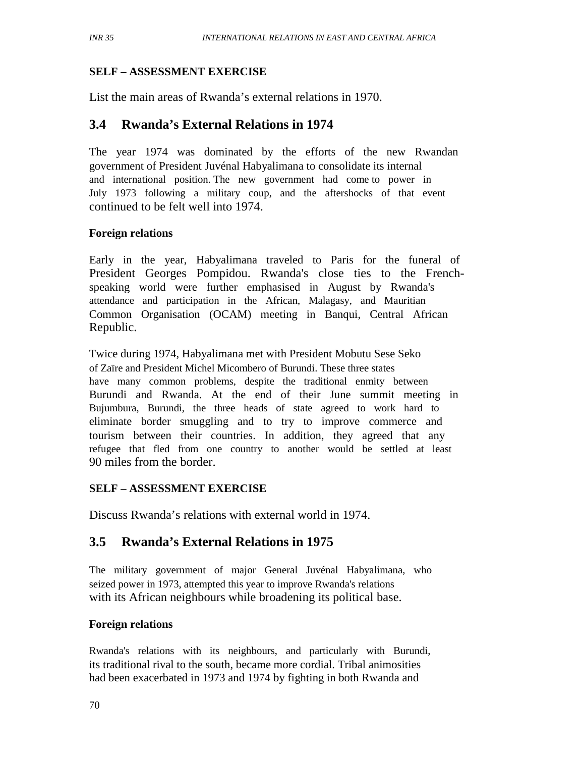### **SELF – ASSESSMENT EXERCISE**

List the main areas of Rwanda's external relations in 1970.

### **3.4 Rwanda's External Relations in 1974**

The year 1974 was dominated by the efforts of the new Rwandan government of President Juvénal Habyalimana to consolidate its internal and international position. The new government had come to power in July 1973 following a military coup, and the aftershocks of that event continued to be felt well into 1974.

### **Foreign relations**

Early in the year, Habyalimana traveled to Paris for the funeral of President Georges Pompidou. Rwanda's close ties to the Frenchspeaking world were further emphasised in August by Rwanda's attendance and participation in the African, Malagasy, and Mauritian Common Organisation (OCAM) meeting in Banqui, Central African Republic.

Twice during 1974, Habyalimana met with President Mobutu Sese Seko of Zaïre and President Michel Micombero of Burundi. These three states have many common problems, despite the traditional enmity between Burundi and Rwanda. At the end of their June summit meeting in Bujumbura, Burundi, the three heads of state agreed to work hard to eliminate border smuggling and to try to improve commerce and tourism between their countries. In addition, they agreed that any refugee that fled from one country to another would be settled at least 90 miles from the border.

### **SELF – ASSESSMENT EXERCISE**

Discuss Rwanda's relations with external world in 1974.

# **3.5 Rwanda's External Relations in 1975**

The military government of major General Juvénal Habyalimana, who seized power in 1973, attempted this year to improve Rwanda's relations with its African neighbours while broadening its political base.

#### **Foreign relations**

Rwanda's relations with its neighbours, and particularly with Burundi, its traditional rival to the south, became more cordial. Tribal animosities had been exacerbated in 1973 and 1974 by fighting in both Rwanda and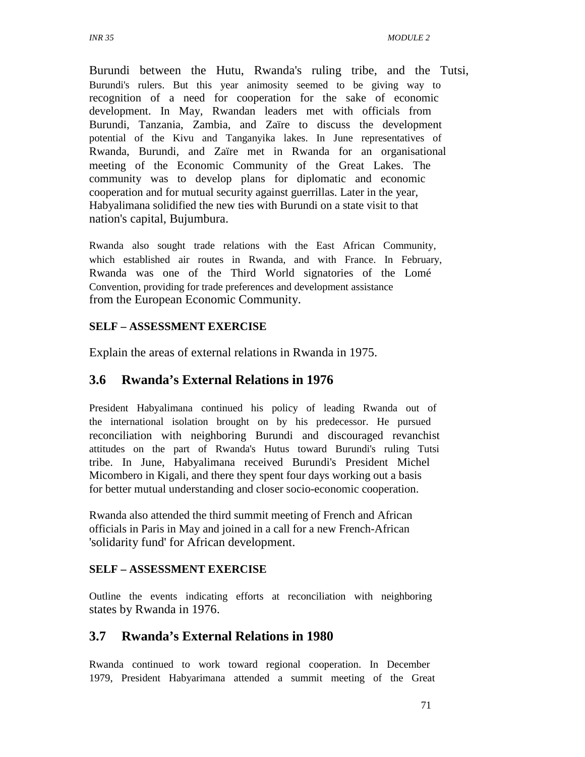Burundi between the Hutu, Rwanda's ruling tribe, and the Tutsi, Burundi's rulers. But this year animosity seemed to be giving way to recognition of a need for cooperation for the sake of economic development. In May, Rwandan leaders met with officials from Burundi, Tanzania, Zambia, and Zaïre to discuss the development potential of the Kivu and Tanganyika lakes. In June representatives of Rwanda, Burundi, and Zaïre met in Rwanda for an organisational meeting of the Economic Community of the Great Lakes. The community was to develop plans for diplomatic and economic cooperation and for mutual security against guerrillas. Later in the year, Habyalimana solidified the new ties with Burundi on a state visit to that nation's capital, Bujumbura.

Rwanda also sought trade relations with the East African Community, which established air routes in Rwanda, and with France. In February, Rwanda was one of the Third World signatories of the Lomé Convention, providing for trade preferences and development assistance from the European Economic Community.

#### **SELF – ASSESSMENT EXERCISE**

Explain the areas of external relations in Rwanda in 1975.

### **3.6 Rwanda's External Relations in 1976**

President Habyalimana continued his policy of leading Rwanda out of the international isolation brought on by his predecessor. He pursued reconciliation with neighboring Burundi and discouraged revanchist attitudes on the part of Rwanda's Hutus toward Burundi's ruling Tutsi tribe. In June, Habyalimana received Burundi's President Michel Micombero in Kigali, and there they spent four days working out a basis for better mutual understanding and closer socio-economic cooperation.

Rwanda also attended the third summit meeting of French and African officials in Paris in May and joined in a call for a new French-African 'solidarity fund' for African development.

#### **SELF – ASSESSMENT EXERCISE**

Outline the events indicating efforts at reconciliation with neighboring states by Rwanda in 1976.

### **3.7 Rwanda's External Relations in 1980**

Rwanda continued to work toward regional cooperation. In December 1979, President Habyarimana attended a summit meeting of the Great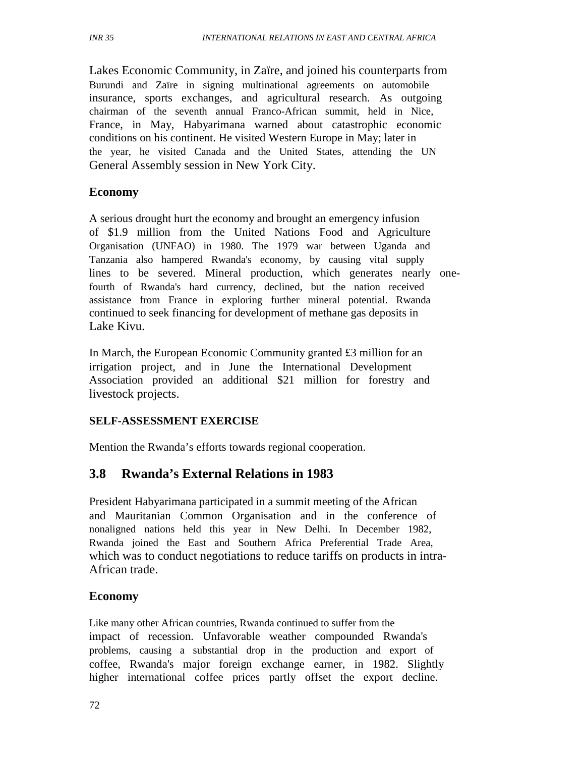Lakes Economic Community, in Zaïre, and joined his counterparts from Burundi and Zaïre in signing multinational agreements on automobile insurance, sports exchanges, and agricultural research. As outgoing chairman of the seventh annual Franco-African summit, held in Nice, France, in May, Habyarimana warned about catastrophic economic conditions on his continent. He visited Western Europe in May; later in the year, he visited Canada and the United States, attending the UN General Assembly session in New York City.

#### **Economy**

A serious drought hurt the economy and brought an emergency infusion of \$1.9 million from the United Nations Food and Agriculture Organisation (UNFAO) in 1980. The 1979 war between Uganda and Tanzania also hampered Rwanda's economy, by causing vital supply lines to be severed. Mineral production, which generates nearly onefourth of Rwanda's hard currency, declined, but the nation received assistance from France in exploring further mineral potential. Rwanda continued to seek financing for development of methane gas deposits in Lake Kivu.

In March, the European Economic Community granted £3 million for an irrigation project, and in June the International Development Association provided an additional \$21 million for forestry and livestock projects.

### **SELF-ASSESSMENT EXERCISE**

Mention the Rwanda's efforts towards regional cooperation.

### **3.8 Rwanda's External Relations in 1983**

President Habyarimana participated in a summit meeting of the African and Mauritanian Common Organisation and in the conference of nonaligned nations held this year in New Delhi. In December 1982, Rwanda joined the East and Southern Africa Preferential Trade Area, which was to conduct negotiations to reduce tariffs on products in intra-African trade.

### **Economy**

Like many other African countries, Rwanda continued to suffer from the impact of recession. Unfavorable weather compounded Rwanda's problems, causing a substantial drop in the production and export of coffee, Rwanda's major foreign exchange earner, in 1982. Slightly higher international coffee prices partly offset the export decline.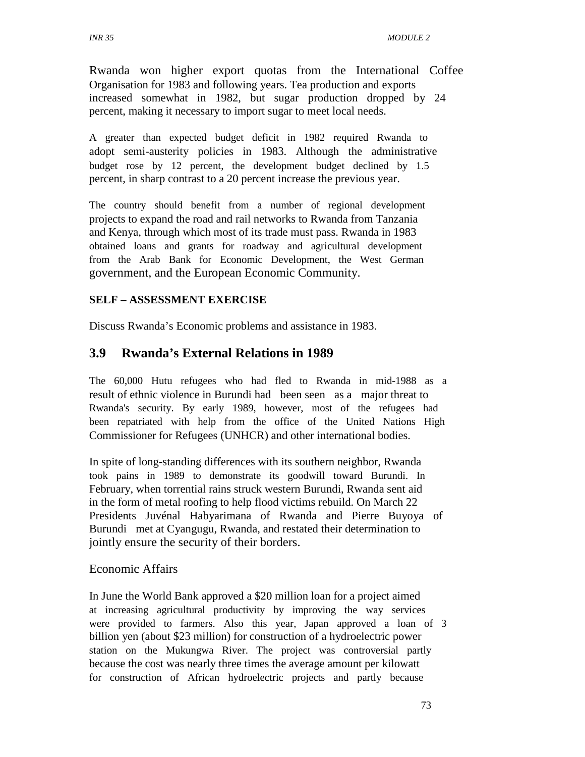*INR 35 MODULE 2* 

Rwanda won higher export quotas from the International Coffee Organisation for 1983 and following years. Tea production and exports increased somewhat in 1982, but sugar production dropped by 24 percent, making it necessary to import sugar to meet local needs.

A greater than expected budget deficit in 1982 required Rwanda to adopt semi-austerity policies in 1983. Although the administrative budget rose by 12 percent, the development budget declined by 1.5 percent, in sharp contrast to a 20 percent increase the previous year.

The country should benefit from a number of regional development projects to expand the road and rail networks to Rwanda from Tanzania and Kenya, through which most of its trade must pass. Rwanda in 1983 obtained loans and grants for roadway and agricultural development from the Arab Bank for Economic Development, the West German government, and the European Economic Community.

### **SELF – ASSESSMENT EXERCISE**

Discuss Rwanda's Economic problems and assistance in 1983.

### **3.9 Rwanda's External Relations in 1989**

The 60,000 Hutu refugees who had fled to Rwanda in mid-1988 as a result of ethnic violence in Burundi had been seen as a major threat to Rwanda's security. By early 1989, however, most of the refugees had been repatriated with help from the office of the United Nations High Commissioner for Refugees (UNHCR) and other international bodies.

In spite of long-standing differences with its southern neighbor, Rwanda took pains in 1989 to demonstrate its goodwill toward Burundi. In February, when torrential rains struck western Burundi, Rwanda sent aid in the form of metal roofing to help flood victims rebuild. On March 22 Presidents Juvénal Habyarimana of Rwanda and Pierre Buyoya of Burundi met at Cyangugu, Rwanda, and restated their determination to jointly ensure the security of their borders.

#### Economic Affairs

In June the World Bank approved a \$20 million loan for a project aimed at increasing agricultural productivity by improving the way services were provided to farmers. Also this year, Japan approved a loan of 3 billion yen (about \$23 million) for construction of a hydroelectric power station on the Mukungwa River. The project was controversial partly because the cost was nearly three times the average amount per kilowatt for construction of African hydroelectric projects and partly because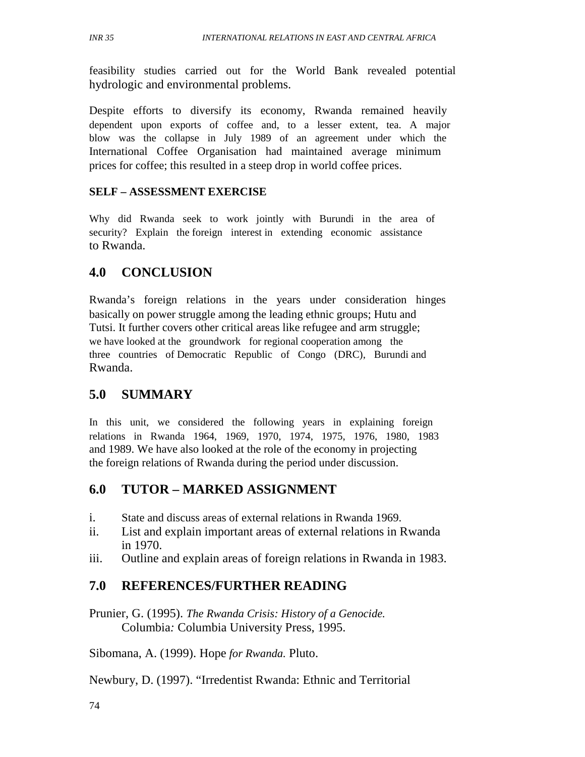feasibility studies carried out for the World Bank revealed potential hydrologic and environmental problems.

Despite efforts to diversify its economy, Rwanda remained heavily dependent upon exports of coffee and, to a lesser extent, tea. A major blow was the collapse in July 1989 of an agreement under which the International Coffee Organisation had maintained average minimum prices for coffee; this resulted in a steep drop in world coffee prices.

#### **SELF – ASSESSMENT EXERCISE**

Why did Rwanda seek to work jointly with Burundi in the area of security? Explain the foreign interest in extending economic assistance to Rwanda.

### **4.0 CONCLUSION**

Rwanda's foreign relations in the years under consideration hinges basically on power struggle among the leading ethnic groups; Hutu and Tutsi. It further covers other critical areas like refugee and arm struggle; we have looked at the groundwork for regional cooperation among the three countries of Democratic Republic of Congo (DRC), Burundi and Rwanda.

### **5.0 SUMMARY**

In this unit, we considered the following years in explaining foreign relations in Rwanda 1964, 1969, 1970, 1974, 1975, 1976, 1980, 1983 and 1989. We have also looked at the role of the economy in projecting the foreign relations of Rwanda during the period under discussion.

### **6.0 TUTOR – MARKED ASSIGNMENT**

- i. State and discuss areas of external relations in Rwanda 1969.
- ii. List and explain important areas of external relations in Rwanda in 1970.
- iii. Outline and explain areas of foreign relations in Rwanda in 1983.

### **7.0 REFERENCES/FURTHER READING**

Prunier, G. (1995). *The Rwanda Crisis: History of a Genocide.*  Columbia*:* Columbia University Press, 1995.

Sibomana, A. (1999). Hope *for Rwanda.* Pluto.

Newbury, D. (1997). "Irredentist Rwanda: Ethnic and Territorial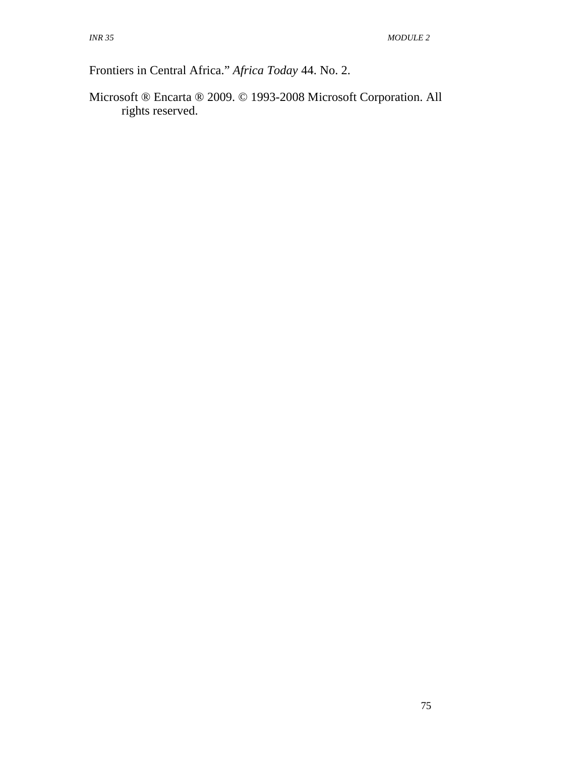Frontiers in Central Africa." *Africa Today* 44. No. 2.

Microsoft ® Encarta ® 2009. © 1993-2008 Microsoft Corporation. All rights reserved.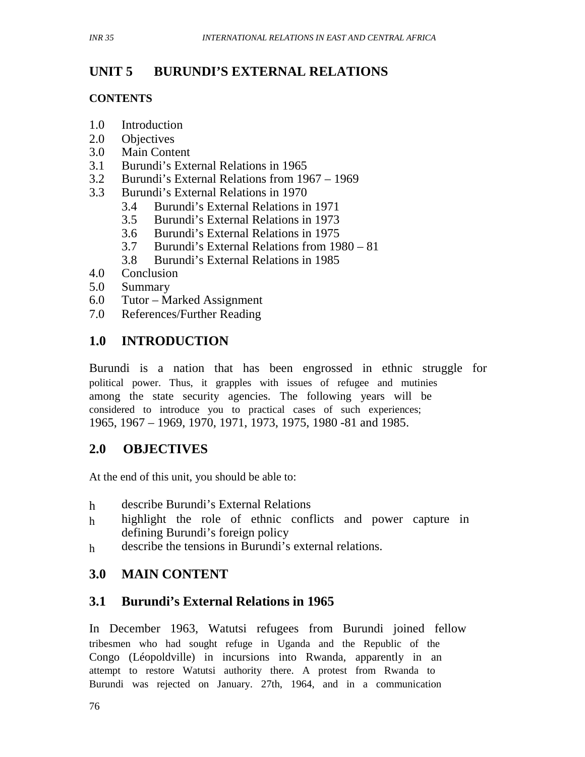#### **UNIT 5 BURUNDI'S EXTERNAL RELATIONS**

#### **CONTENTS**

- 1.0 Introduction
- 2.0 Objectives
- 3.0 Main Content
- 3.1 Burundi's External Relations in 1965
- 3.2 Burundi's External Relations from 1967 1969
- 3.3 Burundi's External Relations in 1970
	- 3.4 Burundi's External Relations in 1971
	- 3.5 Burundi's External Relations in 1973
	- 3.6 Burundi's External Relations in 1975
	- 3.7 Burundi's External Relations from 1980 81
	- 3.8 Burundi's External Relations in 1985
- 4.0 Conclusion
- 5.0 Summary
- 6.0 Tutor Marked Assignment
- 7.0 References/Further Reading

# **1.0 INTRODUCTION**

Burundi is a nation that has been engrossed in ethnic struggle for political power. Thus, it grapples with issues of refugee and mutinies among the state security agencies. The following years will be considered to introduce you to practical cases of such experiences; 1965, 1967 – 1969, 1970, 1971, 1973, 1975, 1980 -81 and 1985.

# **2.0 OBJECTIVES**

At the end of this unit, you should be able to:

- h describe Burundi's External Relations
- h highlight the role of ethnic conflicts and power capture in defining Burundi's foreign policy
- h describe the tensions in Burundi's external relations.

# **3.0 MAIN CONTENT**

# **3.1 Burundi's External Relations in 1965**

In December 1963, Watutsi refugees from Burundi joined fellow tribesmen who had sought refuge in Uganda and the Republic of the Congo (Léopoldville) in incursions into Rwanda, apparently in an attempt to restore Watutsi authority there. A protest from Rwanda to Burundi was rejected on January. 27th, 1964, and in a communication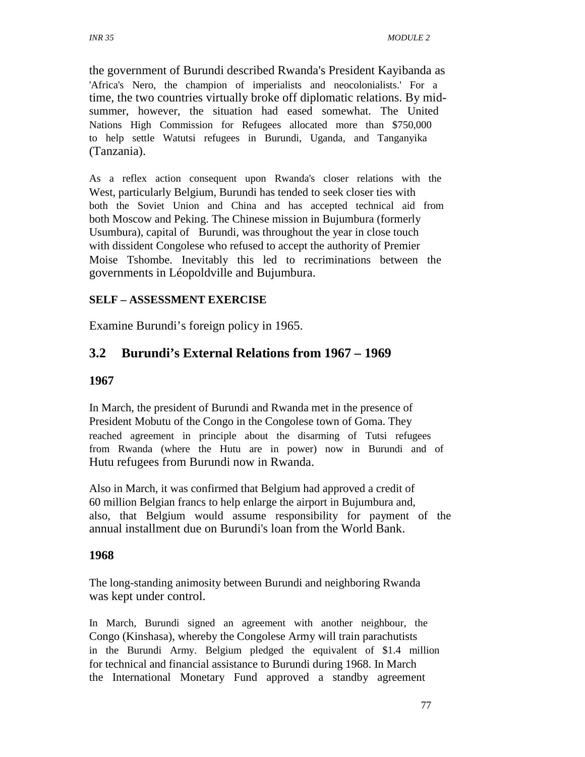the government of Burundi described Rwanda's President Kayibanda as 'Africa's Nero, the champion of imperialists and neocolonialists.' For a time, the two countries virtually broke off diplomatic relations. By midsummer, however, the situation had eased somewhat. The United Nations High Commission for Refugees allocated more than \$750,000 to help settle Watutsi refugees in Burundi, Uganda, and Tanganyika (Tanzania).

As a reflex action consequent upon Rwanda's closer relations with the West, particularly Belgium, Burundi has tended to seek closer ties with both the Soviet Union and China and has accepted technical aid from both Moscow and Peking. The Chinese mission in Bujumbura (formerly Usumbura), capital of Burundi, was throughout the year in close touch with dissident Congolese who refused to accept the authority of Premier Moise Tshombe. Inevitably this led to recriminations between the governments in Léopoldville and Bujumbura.

### **SELF – ASSESSMENT EXERCISE**

Examine Burundi's foreign policy in 1965.

# **3.2 Burundi's External Relations from 1967 – 1969**

### **1967**

In March, the president of Burundi and Rwanda met in the presence of President Mobutu of the Congo in the Congolese town of Goma. They reached agreement in principle about the disarming of Tutsi refugees from Rwanda (where the Hutu are in power) now in Burundi and of Hutu refugees from Burundi now in Rwanda.

Also in March, it was confirmed that Belgium had approved a credit of 60 million Belgian francs to help enlarge the airport in Bujumbura and, also, that Belgium would assume responsibility for payment of the annual installment due on Burundi's loan from the World Bank.

### **1968**

The long-standing animosity between Burundi and neighboring Rwanda was kept under control.

In March, Burundi signed an agreement with another neighbour, the Congo (Kinshasa), whereby the Congolese Army will train parachutists in the Burundi Army. Belgium pledged the equivalent of \$1.4 million for technical and financial assistance to Burundi during 1968. In March the International Monetary Fund approved a standby agreement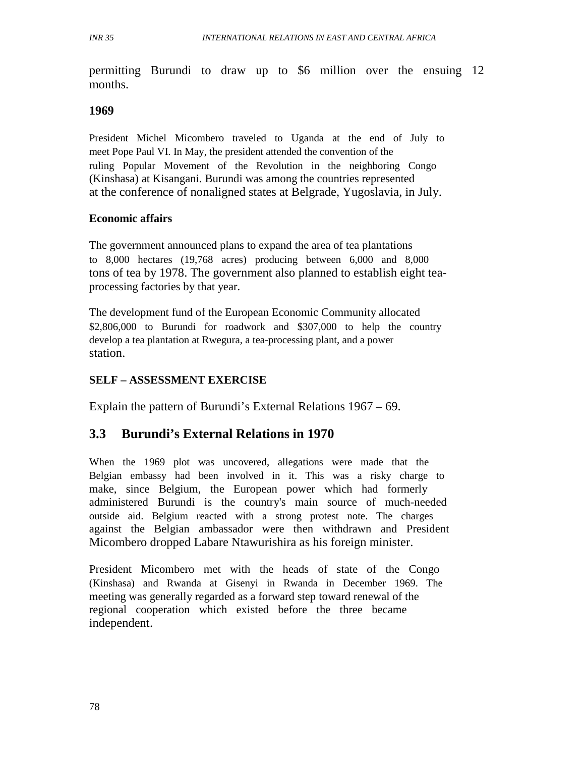permitting Burundi to draw up to \$6 million over the ensuing 12 months.

### **1969**

President Michel Micombero traveled to Uganda at the end of July to meet Pope Paul VI. In May, the president attended the convention of the ruling Popular Movement of the Revolution in the neighboring Congo (Kinshasa) at Kisangani. Burundi was among the countries represented at the conference of nonaligned states at Belgrade, Yugoslavia, in July.

### **Economic affairs**

The government announced plans to expand the area of tea plantations to 8,000 hectares (19,768 acres) producing between 6,000 and 8,000 tons of tea by 1978. The government also planned to establish eight teaprocessing factories by that year.

The development fund of the European Economic Community allocated \$2,806,000 to Burundi for roadwork and \$307,000 to help the country develop a tea plantation at Rwegura, a tea-processing plant, and a power station.

### **SELF – ASSESSMENT EXERCISE**

Explain the pattern of Burundi's External Relations 1967 – 69.

### **3.3 Burundi's External Relations in 1970**

When the 1969 plot was uncovered, allegations were made that the Belgian embassy had been involved in it. This was a risky charge to make, since Belgium, the European power which had formerly administered Burundi is the country's main source of much-needed outside aid. Belgium reacted with a strong protest note. The charges against the Belgian ambassador were then withdrawn and President Micombero dropped Labare Ntawurishira as his foreign minister.

President Micombero met with the heads of state of the Congo (Kinshasa) and Rwanda at Gisenyi in Rwanda in December 1969. The meeting was generally regarded as a forward step toward renewal of the regional cooperation which existed before the three became independent.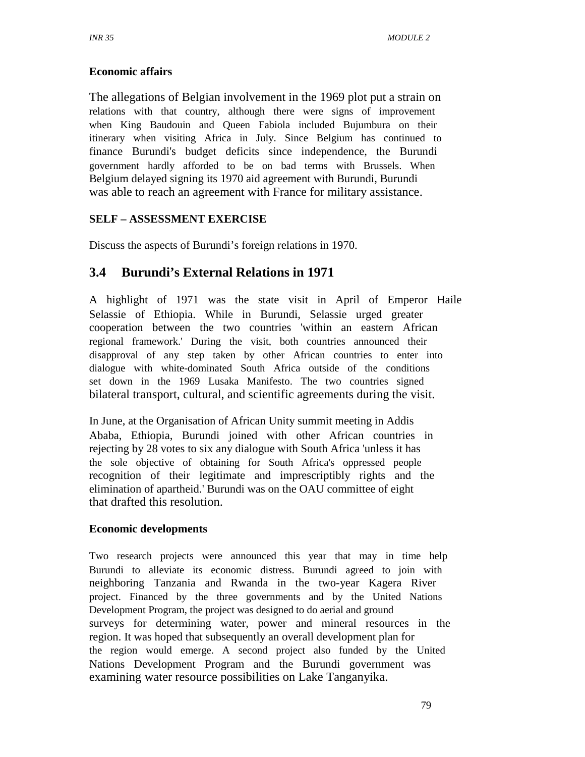### **Economic affairs**

The allegations of Belgian involvement in the 1969 plot put a strain on relations with that country, although there were signs of improvement when King Baudouin and Queen Fabiola included Bujumbura on their itinerary when visiting Africa in July. Since Belgium has continued to finance Burundi's budget deficits since independence, the Burundi government hardly afforded to be on bad terms with Brussels. When Belgium delayed signing its 1970 aid agreement with Burundi, Burundi was able to reach an agreement with France for military assistance.

#### **SELF – ASSESSMENT EXERCISE**

Discuss the aspects of Burundi's foreign relations in 1970.

# **3.4 Burundi's External Relations in 1971**

A highlight of 1971 was the state visit in April of Emperor Haile Selassie of Ethiopia. While in Burundi, Selassie urged greater cooperation between the two countries 'within an eastern African regional framework.' During the visit, both countries announced their disapproval of any step taken by other African countries to enter into dialogue with white-dominated South Africa outside of the conditions set down in the 1969 Lusaka Manifesto. The two countries signed bilateral transport, cultural, and scientific agreements during the visit.

In June, at the Organisation of African Unity summit meeting in Addis Ababa, Ethiopia, Burundi joined with other African countries in rejecting by 28 votes to six any dialogue with South Africa 'unless it has the sole objective of obtaining for South Africa's oppressed people recognition of their legitimate and imprescriptibly rights and the elimination of apartheid.' Burundi was on the OAU committee of eight that drafted this resolution.

#### **Economic developments**

Two research projects were announced this year that may in time help Burundi to alleviate its economic distress. Burundi agreed to join with neighboring Tanzania and Rwanda in the two-year Kagera River project. Financed by the three governments and by the United Nations Development Program, the project was designed to do aerial and ground surveys for determining water, power and mineral resources in the region. It was hoped that subsequently an overall development plan for the region would emerge. A second project also funded by the United Nations Development Program and the Burundi government was examining water resource possibilities on Lake Tanganyika.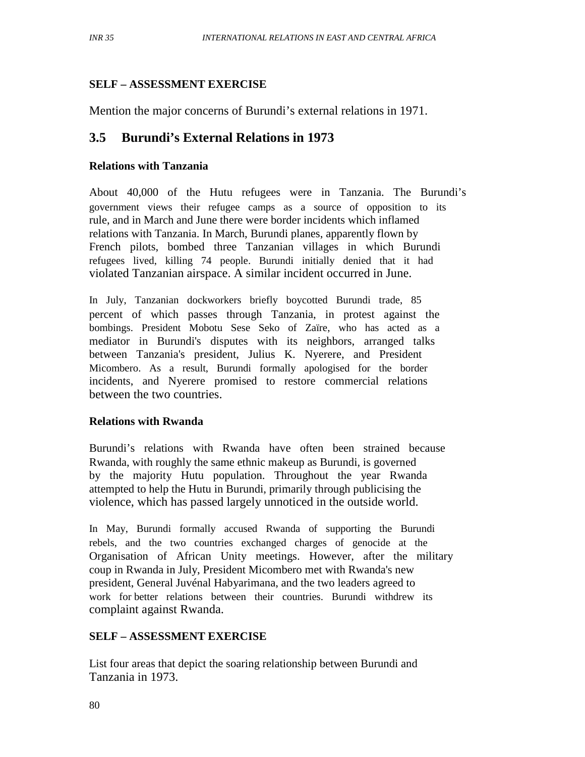#### **SELF – ASSESSMENT EXERCISE**

Mention the major concerns of Burundi's external relations in 1971.

# **3.5 Burundi's External Relations in 1973**

#### **Relations with Tanzania**

About 40,000 of the Hutu refugees were in Tanzania. The Burundi's government views their refugee camps as a source of opposition to its rule, and in March and June there were border incidents which inflamed relations with Tanzania. In March, Burundi planes, apparently flown by French pilots, bombed three Tanzanian villages in which Burundi refugees lived, killing 74 people. Burundi initially denied that it had violated Tanzanian airspace. A similar incident occurred in June.

In July, Tanzanian dockworkers briefly boycotted Burundi trade, 85 percent of which passes through Tanzania, in protest against the bombings. President Mobotu Sese Seko of Zaïre, who has acted as a mediator in Burundi's disputes with its neighbors, arranged talks between Tanzania's president, Julius K. Nyerere, and President Micombero. As a result, Burundi formally apologised for the border incidents, and Nyerere promised to restore commercial relations between the two countries.

#### **Relations with Rwanda**

Burundi's relations with Rwanda have often been strained because Rwanda, with roughly the same ethnic makeup as Burundi, is governed by the majority Hutu population. Throughout the year Rwanda attempted to help the Hutu in Burundi, primarily through publicising the violence, which has passed largely unnoticed in the outside world.

In May, Burundi formally accused Rwanda of supporting the Burundi rebels, and the two countries exchanged charges of genocide at the Organisation of African Unity meetings. However, after the military coup in Rwanda in July, President Micombero met with Rwanda's new president, General Juvénal Habyarimana, and the two leaders agreed to work for better relations between their countries. Burundi withdrew its complaint against Rwanda.

### **SELF – ASSESSMENT EXERCISE**

List four areas that depict the soaring relationship between Burundi and Tanzania in 1973.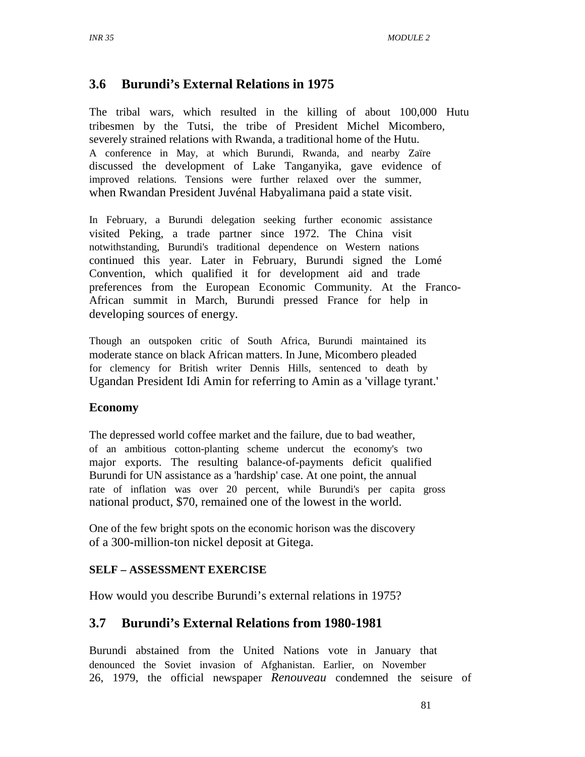### **3.6 Burundi's External Relations in 1975**

The tribal wars, which resulted in the killing of about 100,000 Hutu tribesmen by the Tutsi, the tribe of President Michel Micombero, severely strained relations with Rwanda, a traditional home of the Hutu. A conference in May, at which Burundi, Rwanda, and nearby Zaïre discussed the development of Lake Tanganyika, gave evidence of improved relations. Tensions were further relaxed over the summer, when Rwandan President Juvénal Habyalimana paid a state visit.

In February, a Burundi delegation seeking further economic assistance visited Peking, a trade partner since 1972. The China visit notwithstanding, Burundi's traditional dependence on Western nations continued this year. Later in February, Burundi signed the Lomé Convention, which qualified it for development aid and trade preferences from the European Economic Community. At the Franco-African summit in March, Burundi pressed France for help in developing sources of energy.

Though an outspoken critic of South Africa, Burundi maintained its moderate stance on black African matters. In June, Micombero pleaded for clemency for British writer Dennis Hills, sentenced to death by Ugandan President Idi Amin for referring to Amin as a 'village tyrant.'

#### **Economy**

The depressed world coffee market and the failure, due to bad weather, of an ambitious cotton-planting scheme undercut the economy's two major exports. The resulting balance-of-payments deficit qualified Burundi for UN assistance as a 'hardship' case. At one point, the annual rate of inflation was over 20 percent, while Burundi's per capita gross national product, \$70, remained one of the lowest in the world.

One of the few bright spots on the economic horison was the discovery of a 300-million-ton nickel deposit at Gitega.

#### **SELF – ASSESSMENT EXERCISE**

How would you describe Burundi's external relations in 1975?

### **3.7 Burundi's External Relations from 1980-1981**

Burundi abstained from the United Nations vote in January that denounced the Soviet invasion of Afghanistan. Earlier, on November 26, 1979, the official newspaper *Renouveau* condemned the seisure of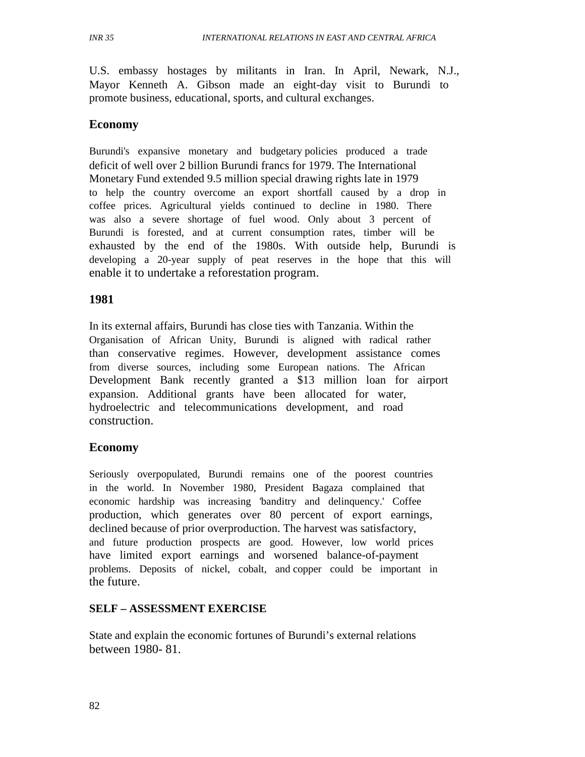U.S. embassy hostages by militants in Iran. In April, Newark, N.J., Mayor Kenneth A. Gibson made an eight-day visit to Burundi to promote business, educational, sports, and cultural exchanges.

#### **Economy**

Burundi's expansive monetary and budgetary policies produced a trade deficit of well over 2 billion Burundi francs for 1979. The International Monetary Fund extended 9.5 million special drawing rights late in 1979 to help the country overcome an export shortfall caused by a drop in coffee prices. Agricultural yields continued to decline in 1980. There was also a severe shortage of fuel wood. Only about 3 percent of Burundi is forested, and at current consumption rates, timber will be exhausted by the end of the 1980s. With outside help, Burundi is developing a 20-year supply of peat reserves in the hope that this will enable it to undertake a reforestation program.

### **1981**

In its external affairs, Burundi has close ties with Tanzania. Within the Organisation of African Unity, Burundi is aligned with radical rather than conservative regimes. However, development assistance comes from diverse sources, including some European nations. The African Development Bank recently granted a \$13 million loan for airport expansion. Additional grants have been allocated for water, hydroelectric and telecommunications development, and road construction.

#### **Economy**

Seriously overpopulated, Burundi remains one of the poorest countries in the world. In November 1980, President Bagaza complained that economic hardship was increasing 'banditry and delinquency.' Coffee production, which generates over 80 percent of export earnings, declined because of prior overproduction. The harvest was satisfactory, and future production prospects are good. However, low world prices have limited export earnings and worsened balance-of-payment problems. Deposits of nickel, cobalt, and copper could be important in the future.

#### **SELF – ASSESSMENT EXERCISE**

State and explain the economic fortunes of Burundi's external relations between 1980- 81.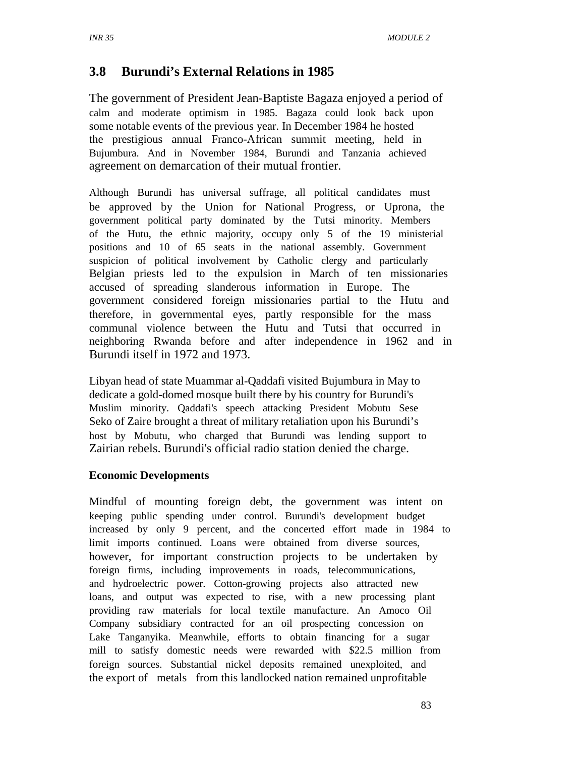# **3.8 Burundi's External Relations in 1985**

The government of President Jean-Baptiste Bagaza enjoyed a period of calm and moderate optimism in 1985. Bagaza could look back upon some notable events of the previous year. In December 1984 he hosted the prestigious annual Franco-African summit meeting, held in Bujumbura. And in November 1984, Burundi and Tanzania achieved agreement on demarcation of their mutual frontier.

Although Burundi has universal suffrage, all political candidates must be approved by the Union for National Progress, or Uprona, the government political party dominated by the Tutsi minority. Members of the Hutu, the ethnic majority, occupy only 5 of the 19 ministerial positions and 10 of 65 seats in the national assembly. Government suspicion of political involvement by Catholic clergy and particularly Belgian priests led to the expulsion in March of ten missionaries accused of spreading slanderous information in Europe. The government considered foreign missionaries partial to the Hutu and therefore, in governmental eyes, partly responsible for the mass communal violence between the Hutu and Tutsi that occurred in neighboring Rwanda before and after independence in 1962 and in Burundi itself in 1972 and 1973.

Libyan head of state Muammar al-Qaddafi visited Bujumbura in May to dedicate a gold-domed mosque built there by his country for Burundi's Muslim minority. Qaddafi's speech attacking President Mobutu Sese Seko of Zaire brought a threat of military retaliation upon his Burundi's host by Mobutu, who charged that Burundi was lending support to Zairian rebels. Burundi's official radio station denied the charge.

#### **Economic Developments**

Mindful of mounting foreign debt, the government was intent on keeping public spending under control. Burundi's development budget increased by only 9 percent, and the concerted effort made in 1984 to limit imports continued. Loans were obtained from diverse sources, however, for important construction projects to be undertaken by foreign firms, including improvements in roads, telecommunications, and hydroelectric power. Cotton-growing projects also attracted new loans, and output was expected to rise, with a new processing plant providing raw materials for local textile manufacture. An Amoco Oil Company subsidiary contracted for an oil prospecting concession on Lake Tanganyika. Meanwhile, efforts to obtain financing for a sugar mill to satisfy domestic needs were rewarded with \$22.5 million from foreign sources. Substantial nickel deposits remained unexploited, and the export of metals from this landlocked nation remained unprofitable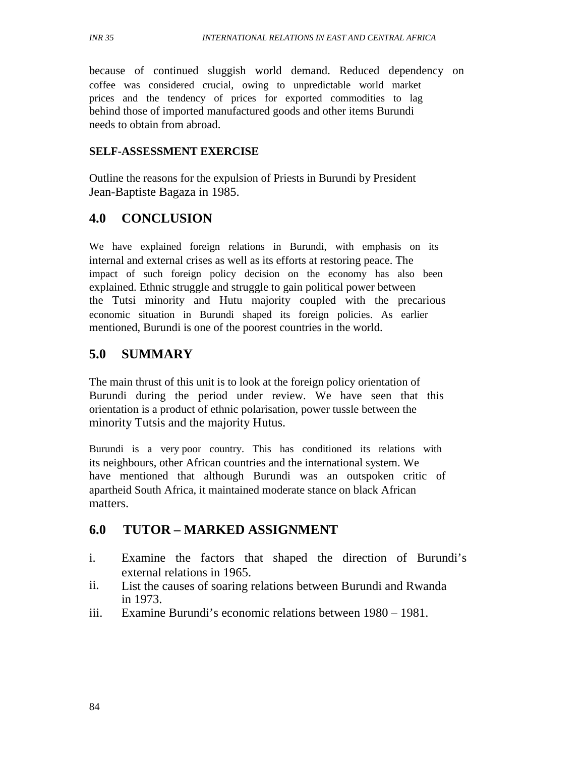because of continued sluggish world demand. Reduced dependency on coffee was considered crucial, owing to unpredictable world market prices and the tendency of prices for exported commodities to lag behind those of imported manufactured goods and other items Burundi needs to obtain from abroad.

#### **SELF-ASSESSMENT EXERCISE**

Outline the reasons for the expulsion of Priests in Burundi by President Jean-Baptiste Bagaza in 1985.

### **4.0 CONCLUSION**

We have explained foreign relations in Burundi, with emphasis on its internal and external crises as well as its efforts at restoring peace. The impact of such foreign policy decision on the economy has also been explained. Ethnic struggle and struggle to gain political power between the Tutsi minority and Hutu majority coupled with the precarious economic situation in Burundi shaped its foreign policies. As earlier mentioned, Burundi is one of the poorest countries in the world.

# **5.0 SUMMARY**

The main thrust of this unit is to look at the foreign policy orientation of Burundi during the period under review. We have seen that this orientation is a product of ethnic polarisation, power tussle between the minority Tutsis and the majority Hutus.

Burundi is a very poor country. This has conditioned its relations with its neighbours, other African countries and the international system. We have mentioned that although Burundi was an outspoken critic of apartheid South Africa, it maintained moderate stance on black African matters.

# **6.0 TUTOR – MARKED ASSIGNMENT**

- i. Examine the factors that shaped the direction of Burundi's external relations in 1965.
- ii. List the causes of soaring relations between Burundi and Rwanda in 1973.
- iii. Examine Burundi's economic relations between 1980 1981.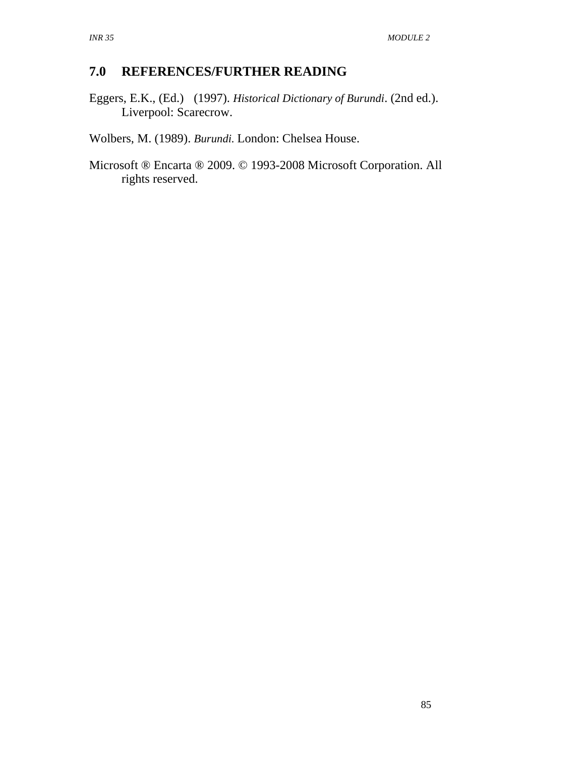# **7.0 REFERENCES/FURTHER READING**

Eggers, E.K., (Ed.) (1997). *Historical Dictionary of Burundi*. (2nd ed.). Liverpool: Scarecrow.

Wolbers, M. (1989). *Burundi.* London: Chelsea House.

Microsoft ® Encarta ® 2009. © 1993-2008 Microsoft Corporation. All rights reserved.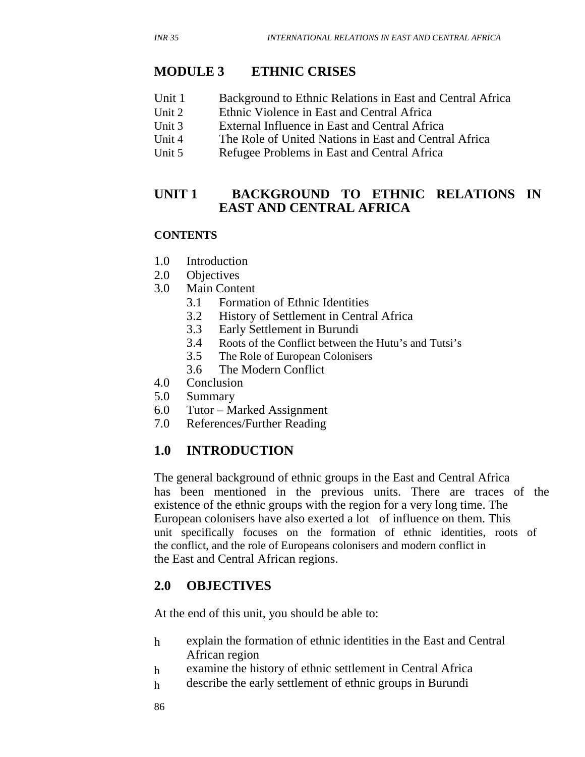- Unit 1 Background to Ethnic Relations in East and Central Africa
- Unit 2 Ethnic Violence in East and Central Africa
- Unit 3 External Influence in East and Central Africa
- Unit 4 The Role of United Nations in East and Central Africa
- Unit 5 Refugee Problems in East and Central Africa

### **UNIT 1 BACKGROUND TO ETHNIC RELATIONS IN EAST AND CENTRAL AFRICA**

#### **CONTENTS**

- 1.0 Introduction
- 2.0 Objectives
- 3.0 Main Content
	- 3.1 Formation of Ethnic Identities<br>3.2 History of Settlement in Centra
	- 3.2 History of Settlement in Central Africa
	- 3.3 Early Settlement in Burundi
	- 3.4 Roots of the Conflict between the Hutu's and Tutsi's
	- 3.5 The Role of European Colonisers
	- 3.6 The Modern Conflict
- 4.0 Conclusion
- 5.0 Summary
- 6.0 Tutor Marked Assignment
- 7.0 References/Further Reading

### **1.0 INTRODUCTION**

The general background of ethnic groups in the East and Central Africa has been mentioned in the previous units. There are traces of the existence of the ethnic groups with the region for a very long time. The European colonisers have also exerted a lot of influence on them. This unit specifically focuses on the formation of ethnic identities, roots of the conflict, and the role of Europeans colonisers and modern conflict in the East and Central African regions.

### **2.0 OBJECTIVES**

At the end of this unit, you should be able to:

- h explain the formation of ethnic identities in the East and Central African region
- h examine the history of ethnic settlement in Central Africa
- h describe the early settlement of ethnic groups in Burundi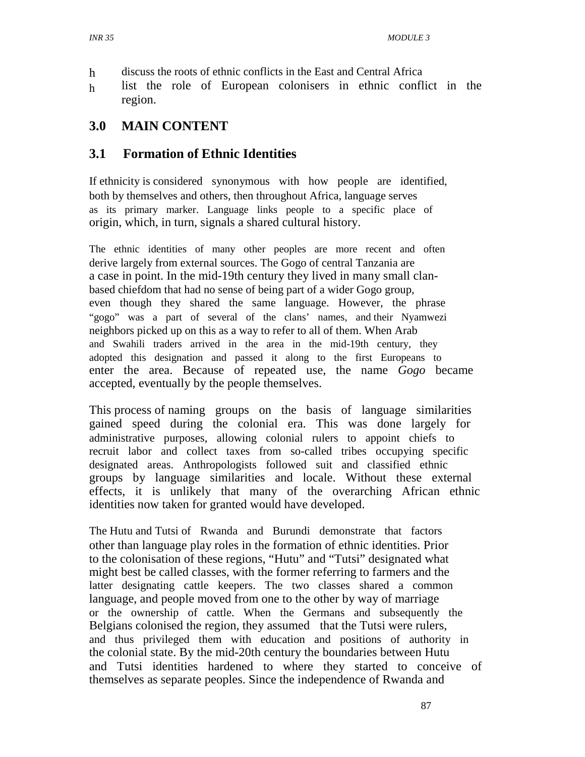- h discuss the roots of ethnic conflicts in the East and Central Africa
- h list the role of European colonisers in ethnic conflict in the region.

### **3.0 MAIN CONTENT**

### **3.1 Formation of Ethnic Identities**

If ethnicity is considered synonymous with how people are identified, both by themselves and others, then throughout Africa, language serves as its primary marker. Language links people to a specific place of origin, which, in turn, signals a shared cultural history.

The ethnic identities of many other peoples are more recent and often derive largely from external sources. The Gogo of central Tanzania are a case in point. In the mid-19th century they lived in many small clanbased chiefdom that had no sense of being part of a wider Gogo group, even though they shared the same language. However, the phrase "gogo" was a part of several of the clans' names, and their Nyamwezi neighbors picked up on this as a way to refer to all of them. When Arab and Swahili traders arrived in the area in the mid-19th century, they adopted this designation and passed it along to the first Europeans to enter the area. Because of repeated use, the name *Gogo* became accepted, eventually by the people themselves.

This process of naming groups on the basis of language similarities gained speed during the colonial era. This was done largely for administrative purposes, allowing colonial rulers to appoint chiefs to recruit labor and collect taxes from so-called tribes occupying specific designated areas. Anthropologists followed suit and classified ethnic groups by language similarities and locale. Without these external effects, it is unlikely that many of the overarching African ethnic identities now taken for granted would have developed.

The Hutu and Tutsi of Rwanda and Burundi demonstrate that factors other than language play roles in the formation of ethnic identities. Prior to the colonisation of these regions, "Hutu" and "Tutsi" designated what might best be called classes, with the former referring to farmers and the latter designating cattle keepers. The two classes shared a common language, and people moved from one to the other by way of marriage or the ownership of cattle. When the Germans and subsequently the Belgians colonised the region, they assumed that the Tutsi were rulers, and thus privileged them with education and positions of authority in the colonial state. By the mid-20th century the boundaries between Hutu and Tutsi identities hardened to where they started to conceive of themselves as separate peoples. Since the independence of Rwanda and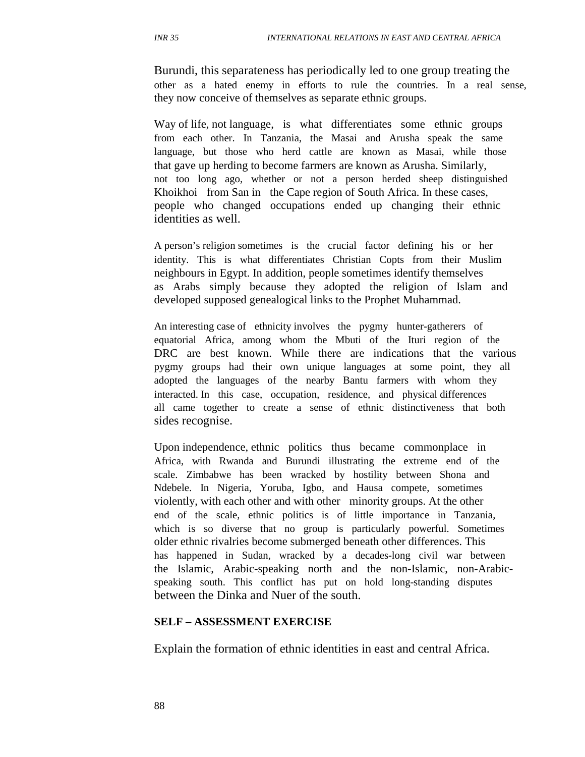Burundi, this separateness has periodically led to one group treating the other as a hated enemy in efforts to rule the countries. In a real sense, they now conceive of themselves as separate ethnic groups.

Way of life, not language, is what differentiates some ethnic groups from each other. In Tanzania, the Masai and Arusha speak the same language, but those who herd cattle are known as Masai, while those that gave up herding to become farmers are known as Arusha. Similarly, not too long ago, whether or not a person herded sheep distinguished Khoikhoi from San in the Cape region of South Africa. In these cases, people who changed occupations ended up changing their ethnic identities as well.

A person's religion sometimes is the crucial factor defining his or her identity. This is what differentiates Christian Copts from their Muslim neighbours in Egypt. In addition, people sometimes identify themselves as Arabs simply because they adopted the religion of Islam and developed supposed genealogical links to the Prophet Muhammad.

An interesting case of ethnicity involves the pygmy hunter-gatherers of equatorial Africa, among whom the Mbuti of the Ituri region of the DRC are best known. While there are indications that the various pygmy groups had their own unique languages at some point, they all adopted the languages of the nearby Bantu farmers with whom they interacted. In this case, occupation, residence, and physical differences all came together to create a sense of ethnic distinctiveness that both sides recognise.

Upon independence, ethnic politics thus became commonplace in Africa, with Rwanda and Burundi illustrating the extreme end of the scale. Zimbabwe has been wracked by hostility between Shona and Ndebele. In Nigeria, Yoruba, Igbo, and Hausa compete, sometimes violently, with each other and with other minority groups. At the other end of the scale, ethnic politics is of little importance in Tanzania, which is so diverse that no group is particularly powerful. Sometimes older ethnic rivalries become submerged beneath other differences. This has happened in Sudan, wracked by a decades-long civil war between the Islamic, Arabic-speaking north and the non-Islamic, non-Arabicspeaking south. This conflict has put on hold long-standing disputes between the Dinka and Nuer of the south.

#### **SELF – ASSESSMENT EXERCISE**

Explain the formation of ethnic identities in east and central Africa.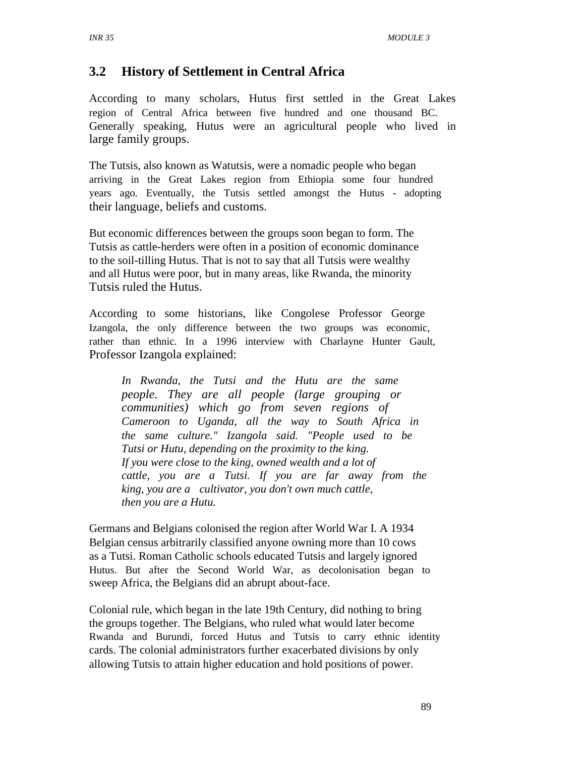### **3.2 History of Settlement in Central Africa**

According to many scholars, Hutus first settled in the Great Lakes region of Central Africa between five hundred and one thousand BC. Generally speaking, Hutus were an agricultural people who lived in large family groups.

The Tutsis, also known as Watutsis, were a nomadic people who began arriving in the Great Lakes region from Ethiopia some four hundred years ago. Eventually, the Tutsis settled amongst the Hutus - adopting their language, beliefs and customs.

But economic differences between the groups soon began to form. The Tutsis as cattle-herders were often in a position of economic dominance to the soil-tilling Hutus. That is not to say that all Tutsis were wealthy and all Hutus were poor, but in many areas, like Rwanda, the minority Tutsis ruled the Hutus.

According to some historians, like Congolese Professor George Izangola, the only difference between the two groups was economic, rather than ethnic. In a 1996 interview with Charlayne Hunter Gault, Professor Izangola explained:

*In Rwanda, the Tutsi and the Hutu are the same people. They are all people (large grouping or communities) which go from seven regions of Cameroon to Uganda, all the way to South Africa in the same culture." Izangola said. "People used to be Tutsi or Hutu, depending on the proximity to the king. If you were close to the king, owned wealth and a lot of cattle, you are a Tutsi. If you are far away from the king, you are a cultivator, you don't own much cattle, then you are a Hutu.*

Germans and Belgians colonised the region after World War I. A 1934 Belgian census arbitrarily classified anyone owning more than 10 cows as a Tutsi. Roman Catholic schools educated Tutsis and largely ignored Hutus. But after the Second World War, as decolonisation began to sweep Africa, the Belgians did an abrupt about-face.

Colonial rule, which began in the late 19th Century, did nothing to bring the groups together. The Belgians, who ruled what would later become Rwanda and Burundi, forced Hutus and Tutsis to carry ethnic identity cards. The colonial administrators further exacerbated divisions by only allowing Tutsis to attain higher education and hold positions of power.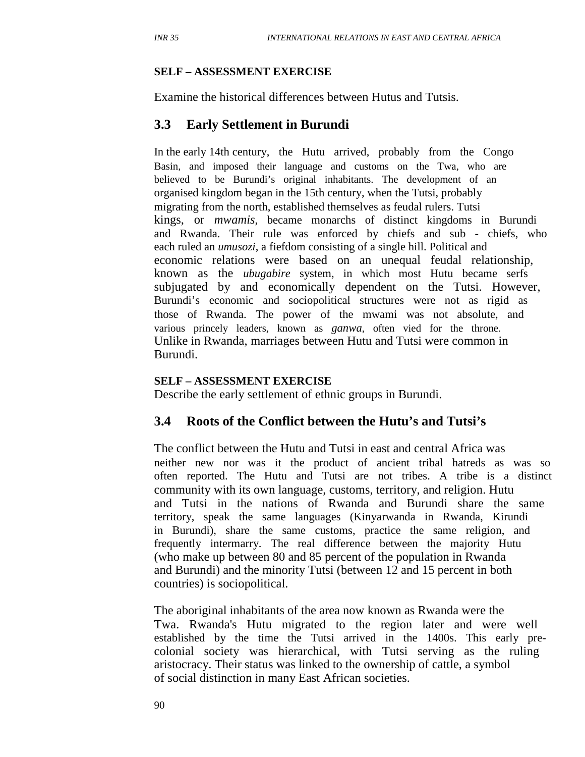#### **SELF – ASSESSMENT EXERCISE**

Examine the historical differences between Hutus and Tutsis.

### **3.3 Early Settlement in Burundi**

In the early 14th century, the Hutu arrived, probably from the Congo Basin, and imposed their language and customs on the Twa, who are believed to be Burundi's original inhabitants. The development of an organised kingdom began in the 15th century, when the Tutsi, probably migrating from the north, established themselves as feudal rulers. Tutsi kings, or *mwamis*, became monarchs of distinct kingdoms in Burundi and Rwanda. Their rule was enforced by chiefs and sub - chiefs, who each ruled an *umusozi*, a fiefdom consisting of a single hill. Political and economic relations were based on an unequal feudal relationship, known as the *ubugabire* system, in which most Hutu became serfs subjugated by and economically dependent on the Tutsi. However, Burundi's economic and sociopolitical structures were not as rigid as those of Rwanda. The power of the mwami was not absolute, and various princely leaders, known as *ganwa*, often vied for the throne. Unlike in Rwanda, marriages between Hutu and Tutsi were common in Burundi.

#### **SELF – ASSESSMENT EXERCISE**

Describe the early settlement of ethnic groups in Burundi.

#### **3.4 Roots of the Conflict between the Hutu's and Tutsi's**

The conflict between the Hutu and Tutsi in east and central Africa was neither new nor was it the product of ancient tribal hatreds as was so often reported. The Hutu and Tutsi are not tribes. A tribe is a distinct community with its own language, customs, territory, and religion. Hutu and Tutsi in the nations of Rwanda and Burundi share the same territory, speak the same languages (Kinyarwanda in Rwanda, Kirundi in Burundi), share the same customs, practice the same religion, and frequently intermarry. The real difference between the majority Hutu (who make up between 80 and 85 percent of the population in Rwanda and Burundi) and the minority Tutsi (between 12 and 15 percent in both countries) is sociopolitical.

The aboriginal inhabitants of the area now known as Rwanda were the Twa. Rwanda's Hutu migrated to the region later and were well established by the time the Tutsi arrived in the 1400s. This early precolonial society was hierarchical, with Tutsi serving as the ruling aristocracy. Their status was linked to the ownership of cattle, a symbol of social distinction in many East African societies.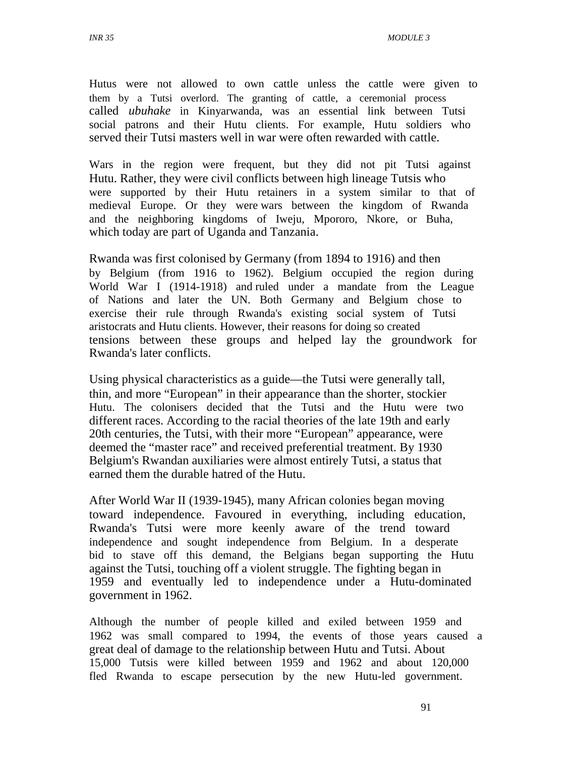Hutus were not allowed to own cattle unless the cattle were given to them by a Tutsi overlord. The granting of cattle, a ceremonial process called *ubuhake* in Kinyarwanda, was an essential link between Tutsi social patrons and their Hutu clients. For example, Hutu soldiers who served their Tutsi masters well in war were often rewarded with cattle.

Wars in the region were frequent, but they did not pit Tutsi against Hutu. Rather, they were civil conflicts between high lineage Tutsis who were supported by their Hutu retainers in a system similar to that of medieval Europe. Or they were wars between the kingdom of Rwanda and the neighboring kingdoms of Iweju, Mpororo, Nkore, or Buha, which today are part of Uganda and Tanzania.

Rwanda was first colonised by Germany (from 1894 to 1916) and then by Belgium (from 1916 to 1962). Belgium occupied the region during World War I (1914-1918) and ruled under a mandate from the League of Nations and later the UN. Both Germany and Belgium chose to exercise their rule through Rwanda's existing social system of Tutsi aristocrats and Hutu clients. However, their reasons for doing so created tensions between these groups and helped lay the groundwork for Rwanda's later conflicts.

Using physical characteristics as a guide—the Tutsi were generally tall, thin, and more "European" in their appearance than the shorter, stockier Hutu. The colonisers decided that the Tutsi and the Hutu were two different races. According to the racial theories of the late 19th and early 20th centuries, the Tutsi, with their more "European" appearance, were deemed the "master race" and received preferential treatment. By 1930 Belgium's Rwandan auxiliaries were almost entirely Tutsi, a status that earned them the durable hatred of the Hutu.

After World War II (1939-1945), many African colonies began moving toward independence. Favoured in everything, including education, Rwanda's Tutsi were more keenly aware of the trend toward independence and sought independence from Belgium. In a desperate bid to stave off this demand, the Belgians began supporting the Hutu against the Tutsi, touching off a violent struggle. The fighting began in 1959 and eventually led to independence under a Hutu-dominated government in 1962.

Although the number of people killed and exiled between 1959 and 1962 was small compared to 1994, the events of those years caused a great deal of damage to the relationship between Hutu and Tutsi. About 15,000 Tutsis were killed between 1959 and 1962 and about 120,000 fled Rwanda to escape persecution by the new Hutu-led government.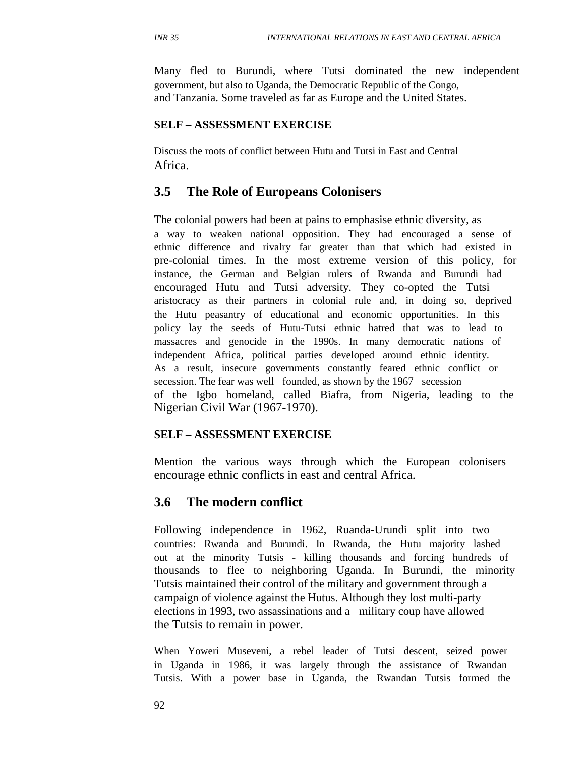Many fled to Burundi, where Tutsi dominated the new independent government, but also to Uganda, the Democratic Republic of the Congo, and Tanzania. Some traveled as far as Europe and the United States.

#### **SELF – ASSESSMENT EXERCISE**

Discuss the roots of conflict between Hutu and Tutsi in East and Central Africa.

### **3.5 The Role of Europeans Colonisers**

The colonial powers had been at pains to emphasise ethnic diversity, as a way to weaken national opposition. They had encouraged a sense of ethnic difference and rivalry far greater than that which had existed in pre-colonial times. In the most extreme version of this policy, for instance, the German and Belgian rulers of Rwanda and Burundi had encouraged Hutu and Tutsi adversity. They co-opted the Tutsi aristocracy as their partners in colonial rule and, in doing so, deprived the Hutu peasantry of educational and economic opportunities. In this policy lay the seeds of Hutu-Tutsi ethnic hatred that was to lead to massacres and genocide in the 1990s. In many democratic nations of independent Africa, political parties developed around ethnic identity. As a result, insecure governments constantly feared ethnic conflict or secession. The fear was well founded, as shown by the 1967 secession of the Igbo homeland, called Biafra, from Nigeria, leading to the Nigerian Civil War (1967-1970).

#### **SELF – ASSESSMENT EXERCISE**

Mention the various ways through which the European colonisers encourage ethnic conflicts in east and central Africa.

### **3.6 The modern conflict**

Following independence in 1962, Ruanda-Urundi split into two countries: Rwanda and Burundi. In Rwanda, the Hutu majority lashed out at the minority Tutsis - killing thousands and forcing hundreds of thousands to flee to neighboring Uganda. In Burundi, the minority Tutsis maintained their control of the military and government through a campaign of violence against the Hutus. Although they lost multi-party elections in 1993, two assassinations and a military coup have allowed the Tutsis to remain in power.

When Yoweri Museveni, a rebel leader of Tutsi descent, seized power in Uganda in 1986, it was largely through the assistance of Rwandan Tutsis. With a power base in Uganda, the Rwandan Tutsis formed the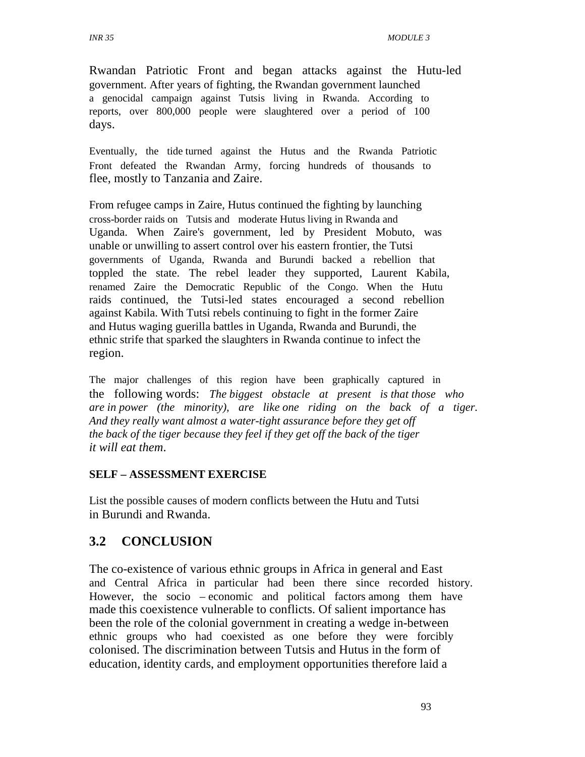Rwandan Patriotic Front and began attacks against the Hutu-led government. After years of fighting, the Rwandan government launched a genocidal campaign against Tutsis living in Rwanda. According to reports, over 800,000 people were slaughtered over a period of 100 days.

Eventually, the tide turned against the Hutus and the Rwanda Patriotic Front defeated the Rwandan Army, forcing hundreds of thousands to flee, mostly to Tanzania and Zaire.

From refugee camps in Zaire, Hutus continued the fighting by launching cross-border raids on Tutsis and moderate Hutus living in Rwanda and Uganda. When Zaire's government, led by President Mobuto, was unable or unwilling to assert control over his eastern frontier, the Tutsi governments of Uganda, Rwanda and Burundi backed a rebellion that toppled the state. The rebel leader they supported, Laurent Kabila, renamed Zaire the Democratic Republic of the Congo. When the Hutu raids continued, the Tutsi-led states encouraged a second rebellion against Kabila. With Tutsi rebels continuing to fight in the former Zaire and Hutus waging guerilla battles in Uganda, Rwanda and Burundi, the ethnic strife that sparked the slaughters in Rwanda continue to infect the region.

The major challenges of this region have been graphically captured in the following words: *The biggest obstacle at present is that those who are in power (the minority), are like one riding on the back of a tiger. And they really want almost a water-tight assurance before they get off the back of the tiger because they feel if they get off the back of the tiger it will eat them*.

#### **SELF – ASSESSMENT EXERCISE**

List the possible causes of modern conflicts between the Hutu and Tutsi in Burundi and Rwanda.

### **3.2 CONCLUSION**

The co-existence of various ethnic groups in Africa in general and East and Central Africa in particular had been there since recorded history. However, the socio – economic and political factors among them have made this coexistence vulnerable to conflicts. Of salient importance has been the role of the colonial government in creating a wedge in-between ethnic groups who had coexisted as one before they were forcibly colonised. The discrimination between Tutsis and Hutus in the form of education, identity cards, and employment opportunities therefore laid a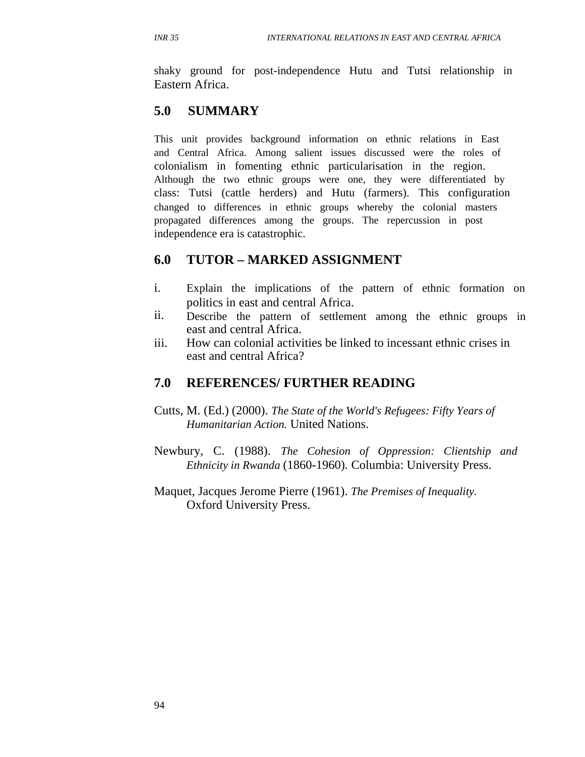shaky ground for post-independence Hutu and Tutsi relationship in Eastern Africa.

# **5.0 SUMMARY**

This unit provides background information on ethnic relations in East and Central Africa. Among salient issues discussed were the roles of colonialism in fomenting ethnic particularisation in the region. Although the two ethnic groups were one, they were differentiated by class: Tutsi (cattle herders) and Hutu (farmers). This configuration changed to differences in ethnic groups whereby the colonial masters propagated differences among the groups. The repercussion in post independence era is catastrophic.

### **6.0 TUTOR – MARKED ASSIGNMENT**

- i. Explain the implications of the pattern of ethnic formation on politics in east and central Africa.
- ii. Describe the pattern of settlement among the ethnic groups in east and central Africa.
- iii. How can colonial activities be linked to incessant ethnic crises in east and central Africa?

### **7.0 REFERENCES/ FURTHER READING**

- Cutts, M. (Ed.) (2000). *The State of the World's Refugees: Fifty Years of Humanitarian Action.* United Nations.
- Newbury, C. (1988). *The Cohesion of Oppression: Clientship and Ethnicity in Rwanda* (1860-1960)*.* Columbia: University Press.
- Maquet, Jacques Jerome Pierre (1961). *The Premises of Inequality.* Oxford University Press.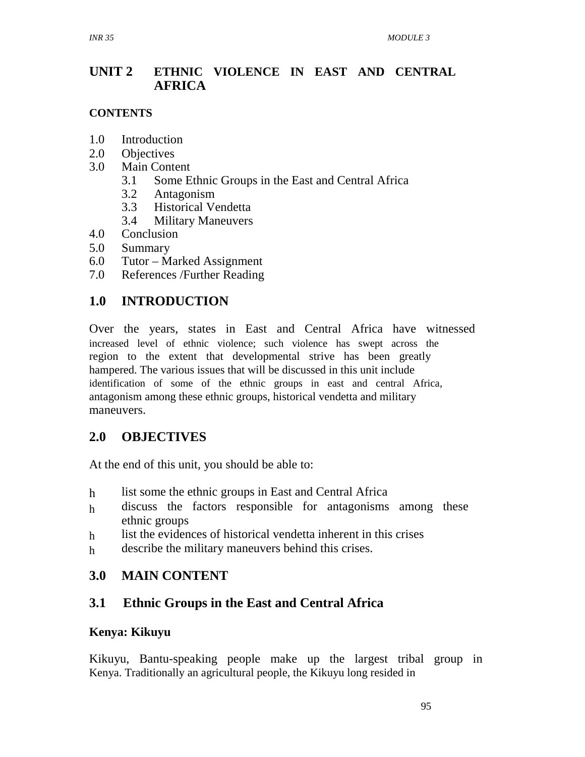#### **UNIT 2 ETHNIC VIOLENCE IN EAST AND CENTRAL AFRICA**

### **CONTENTS**

- 1.0 Introduction
- 2.0 Objectives
- 3.0 Main Content
	- 3.1 Some Ethnic Groups in the East and Central Africa
	- 3.2 Antagonism
	- 3.3 Historical Vendetta
	- 3.4 Military Maneuvers
- 4.0 Conclusion
- 5.0 Summary
- 6.0 Tutor Marked Assignment
- 7.0 References /Further Reading

### **1.0 INTRODUCTION**

Over the years, states in East and Central Africa have witnessed increased level of ethnic violence; such violence has swept across the region to the extent that developmental strive has been greatly hampered. The various issues that will be discussed in this unit include identification of some of the ethnic groups in east and central Africa, antagonism among these ethnic groups, historical vendetta and military maneuvers.

### **2.0 OBJECTIVES**

At the end of this unit, you should be able to:

- h list some the ethnic groups in East and Central Africa
- h discuss the factors responsible for antagonisms among these ethnic groups
- h list the evidences of historical vendetta inherent in this crises
- h describe the military maneuvers behind this crises.

### **3.0 MAIN CONTENT**

# **3.1 Ethnic Groups in the East and Central Africa**

### **Kenya: Kikuyu**

Kikuyu, Bantu-speaking people make up the largest tribal group in Kenya. Traditionally an agricultural people, the Kikuyu long resided in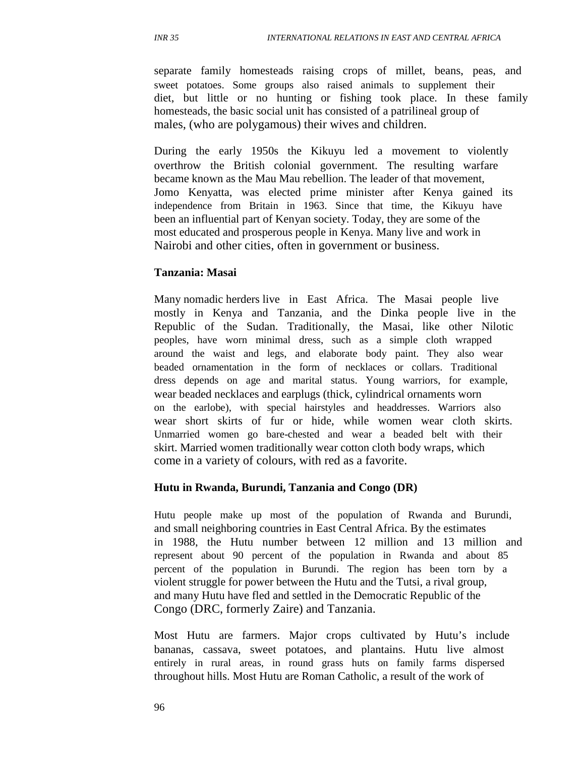separate family homesteads raising crops of millet, beans, peas, and sweet potatoes. Some groups also raised animals to supplement their diet, but little or no hunting or fishing took place. In these family homesteads, the basic social unit has consisted of a patrilineal group of males, (who are polygamous) their wives and children.

During the early 1950s the Kikuyu led a movement to violently overthrow the British colonial government. The resulting warfare became known as the Mau Mau rebellion. The leader of that movement, Jomo Kenyatta, was elected prime minister after Kenya gained its independence from Britain in 1963. Since that time, the Kikuyu have been an influential part of Kenyan society. Today, they are some of the most educated and prosperous people in Kenya. Many live and work in Nairobi and other cities, often in government or business.

#### **Tanzania: Masai**

Many nomadic herders live in East Africa. The Masai people live mostly in Kenya and Tanzania, and the Dinka people live in the Republic of the Sudan. Traditionally, the Masai, like other Nilotic peoples, have worn minimal dress, such as a simple cloth wrapped around the waist and legs, and elaborate body paint. They also wear beaded ornamentation in the form of necklaces or collars. Traditional dress depends on age and marital status. Young warriors, for example, wear beaded necklaces and earplugs (thick, cylindrical ornaments worn on the earlobe), with special hairstyles and headdresses. Warriors also wear short skirts of fur or hide, while women wear cloth skirts. Unmarried women go bare-chested and wear a beaded belt with their skirt. Married women traditionally wear cotton cloth body wraps, which come in a variety of colours, with red as a favorite.

#### **Hutu in Rwanda, Burundi, Tanzania and Congo (DR)**

Hutu people make up most of the population of Rwanda and Burundi, and small neighboring countries in East Central Africa. By the estimates in 1988, the Hutu number between 12 million and 13 million and represent about 90 percent of the population in Rwanda and about 85 percent of the population in Burundi. The region has been torn by a violent struggle for power between the Hutu and the Tutsi, a rival group, and many Hutu have fled and settled in the Democratic Republic of the Congo (DRC, formerly Zaire) and Tanzania.

Most Hutu are farmers. Major crops cultivated by Hutu's include bananas, cassava, sweet potatoes, and plantains. Hutu live almost entirely in rural areas, in round grass huts on family farms dispersed throughout hills. Most Hutu are Roman Catholic, a result of the work of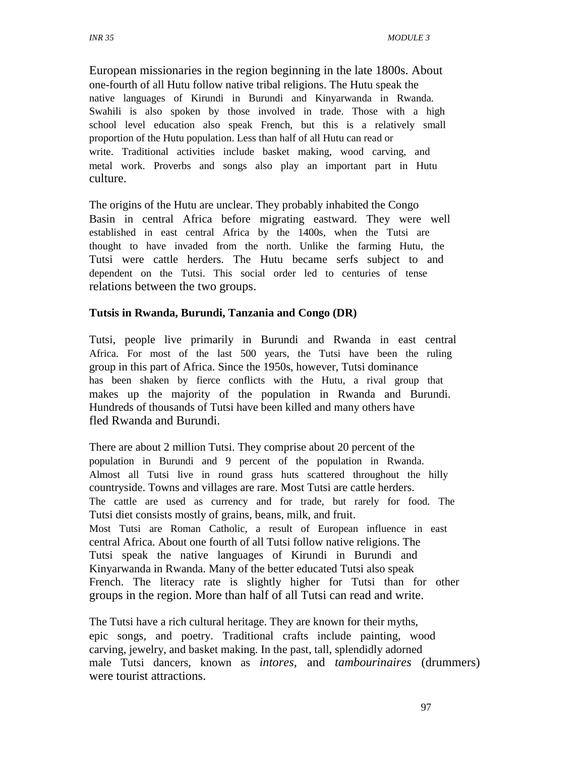European missionaries in the region beginning in the late 1800s. About one-fourth of all Hutu follow native tribal religions. The Hutu speak the native languages of Kirundi in Burundi and Kinyarwanda in Rwanda. Swahili is also spoken by those involved in trade. Those with a high school level education also speak French, but this is a relatively small proportion of the Hutu population. Less than half of all Hutu can read or write. Traditional activities include basket making, wood carving, and metal work. Proverbs and songs also play an important part in Hutu culture.

The origins of the Hutu are unclear. They probably inhabited the Congo Basin in central Africa before migrating eastward. They were well established in east central Africa by the 1400s, when the Tutsi are thought to have invaded from the north. Unlike the farming Hutu, the Tutsi were cattle herders. The Hutu became serfs subject to and dependent on the Tutsi. This social order led to centuries of tense relations between the two groups.

#### **Tutsis in Rwanda, Burundi, Tanzania and Congo (DR)**

Tutsi, people live primarily in Burundi and Rwanda in east central Africa. For most of the last 500 years, the Tutsi have been the ruling group in this part of Africa. Since the 1950s, however, Tutsi dominance has been shaken by fierce conflicts with the Hutu, a rival group that makes up the majority of the population in Rwanda and Burundi. Hundreds of thousands of Tutsi have been killed and many others have fled Rwanda and Burundi.

There are about 2 million Tutsi. They comprise about 20 percent of the population in Burundi and 9 percent of the population in Rwanda. Almost all Tutsi live in round grass huts scattered throughout the hilly countryside. Towns and villages are rare. Most Tutsi are cattle herders. The cattle are used as currency and for trade, but rarely for food. The Tutsi diet consists mostly of grains, beans, milk, and fruit. Most Tutsi are Roman Catholic, a result of European influence in east central Africa. About one fourth of all Tutsi follow native religions. The Tutsi speak the native languages of Kirundi in Burundi and Kinyarwanda in Rwanda. Many of the better educated Tutsi also speak French. The literacy rate is slightly higher for Tutsi than for other groups in the region. More than half of all Tutsi can read and write.

The Tutsi have a rich cultural heritage. They are known for their myths, epic songs, and poetry. Traditional crafts include painting, wood carving, jewelry, and basket making. In the past, tall, splendidly adorned male Tutsi dancers, known as *intores,* and *tambourinaires* (drummers) were tourist attractions.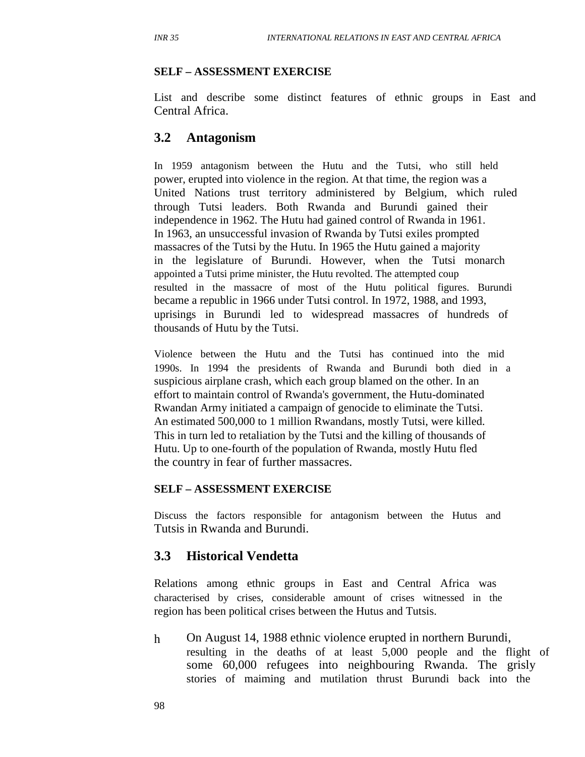#### **SELF – ASSESSMENT EXERCISE**

List and describe some distinct features of ethnic groups in East and Central Africa.

#### **3.2 Antagonism**

In 1959 antagonism between the Hutu and the Tutsi, who still held power, erupted into violence in the region. At that time, the region was a United Nations trust territory administered by Belgium, which ruled through Tutsi leaders. Both Rwanda and Burundi gained their independence in 1962. The Hutu had gained control of Rwanda in 1961. In 1963, an unsuccessful invasion of Rwanda by Tutsi exiles prompted massacres of the Tutsi by the Hutu. In 1965 the Hutu gained a majority in the legislature of Burundi. However, when the Tutsi monarch appointed a Tutsi prime minister, the Hutu revolted. The attempted coup resulted in the massacre of most of the Hutu political figures. Burundi became a republic in 1966 under Tutsi control. In 1972, 1988, and 1993, uprisings in Burundi led to widespread massacres of hundreds of thousands of Hutu by the Tutsi.

Violence between the Hutu and the Tutsi has continued into the mid 1990s. In 1994 the presidents of Rwanda and Burundi both died in a suspicious airplane crash, which each group blamed on the other. In an effort to maintain control of Rwanda's government, the Hutu-dominated Rwandan Army initiated a campaign of genocide to eliminate the Tutsi. An estimated 500,000 to 1 million Rwandans, mostly Tutsi, were killed. This in turn led to retaliation by the Tutsi and the killing of thousands of Hutu. Up to one-fourth of the population of Rwanda, mostly Hutu fled the country in fear of further massacres.

#### **SELF – ASSESSMENT EXERCISE**

Discuss the factors responsible for antagonism between the Hutus and Tutsis in Rwanda and Burundi.

#### **3.3 Historical Vendetta**

Relations among ethnic groups in East and Central Africa was characterised by crises, considerable amount of crises witnessed in the region has been political crises between the Hutus and Tutsis.

h On August 14, 1988 ethnic violence erupted in northern Burundi, resulting in the deaths of at least 5,000 people and the flight of some 60,000 refugees into neighbouring Rwanda. The grisly stories of maiming and mutilation thrust Burundi back into the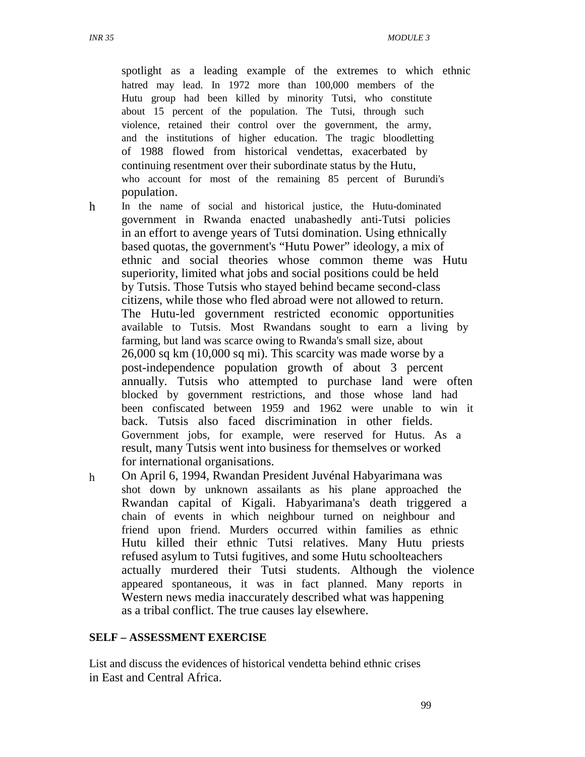*INR 35 MODULE 3* 

spotlight as a leading example of the extremes to which ethnic hatred may lead. In 1972 more than 100,000 members of the Hutu group had been killed by minority Tutsi, who constitute about 15 percent of the population. The Tutsi, through such violence, retained their control over the government, the army, and the institutions of higher education. The tragic bloodletting of 1988 flowed from historical vendettas, exacerbated by continuing resentment over their subordinate status by the Hutu, who account for most of the remaining 85 percent of Burundi's population.

- h In the name of social and historical justice, the Hutu-dominated government in Rwanda enacted unabashedly anti-Tutsi policies in an effort to avenge years of Tutsi domination. Using ethnically based quotas, the government's "Hutu Power" ideology, a mix of ethnic and social theories whose common theme was Hutu superiority, limited what jobs and social positions could be held by Tutsis. Those Tutsis who stayed behind became second-class citizens, while those who fled abroad were not allowed to return. The Hutu-led government restricted economic opportunities available to Tutsis. Most Rwandans sought to earn a living by farming, but land was scarce owing to Rwanda's small size, about 26,000 sq km (10,000 sq mi). This scarcity was made worse by a post-independence population growth of about 3 percent annually. Tutsis who attempted to purchase land were often blocked by government restrictions, and those whose land had been confiscated between 1959 and 1962 were unable to win it back. Tutsis also faced discrimination in other fields. Government jobs, for example, were reserved for Hutus. As a result, many Tutsis went into business for themselves or worked for international organisations.
- h On April 6, 1994, Rwandan President Juvénal Habyarimana was shot down by unknown assailants as his plane approached the Rwandan capital of Kigali. Habyarimana's death triggered a chain of events in which neighbour turned on neighbour and friend upon friend. Murders occurred within families as ethnic Hutu killed their ethnic Tutsi relatives. Many Hutu priests refused asylum to Tutsi fugitives, and some Hutu schoolteachers actually murdered their Tutsi students. Although the violence appeared spontaneous, it was in fact planned. Many reports in Western news media inaccurately described what was happening as a tribal conflict. The true causes lay elsewhere.

#### **SELF – ASSESSMENT EXERCISE**

List and discuss the evidences of historical vendetta behind ethnic crises in East and Central Africa.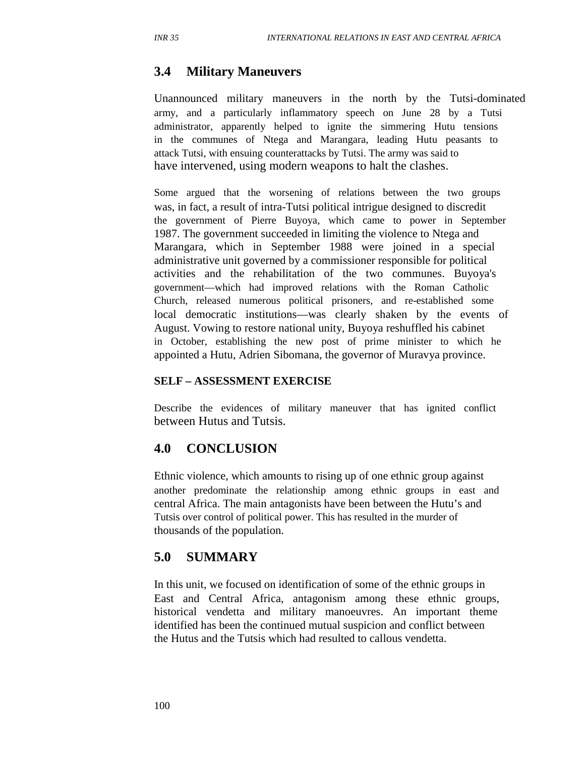## **3.4 Military Maneuvers**

Unannounced military maneuvers in the north by the Tutsi-dominated army, and a particularly inflammatory speech on June 28 by a Tutsi administrator, apparently helped to ignite the simmering Hutu tensions in the communes of Ntega and Marangara, leading Hutu peasants to attack Tutsi, with ensuing counterattacks by Tutsi. The army was said to have intervened, using modern weapons to halt the clashes.

Some argued that the worsening of relations between the two groups was, in fact, a result of intra-Tutsi political intrigue designed to discredit the government of Pierre Buyoya, which came to power in September 1987. The government succeeded in limiting the violence to Ntega and Marangara, which in September 1988 were joined in a special administrative unit governed by a commissioner responsible for political activities and the rehabilitation of the two communes. Buyoya's government—which had improved relations with the Roman Catholic Church, released numerous political prisoners, and re-established some local democratic institutions—was clearly shaken by the events of August. Vowing to restore national unity, Buyoya reshuffled his cabinet in October, establishing the new post of prime minister to which he appointed a Hutu, Adrien Sibomana, the governor of Muravya province.

#### **SELF – ASSESSMENT EXERCISE**

Describe the evidences of military maneuver that has ignited conflict between Hutus and Tutsis.

#### **4.0 CONCLUSION**

Ethnic violence, which amounts to rising up of one ethnic group against another predominate the relationship among ethnic groups in east and central Africa. The main antagonists have been between the Hutu's and Tutsis over control of political power. This has resulted in the murder of thousands of the population.

#### **5.0 SUMMARY**

In this unit, we focused on identification of some of the ethnic groups in East and Central Africa, antagonism among these ethnic groups, historical vendetta and military manoeuvres. An important theme identified has been the continued mutual suspicion and conflict between the Hutus and the Tutsis which had resulted to callous vendetta.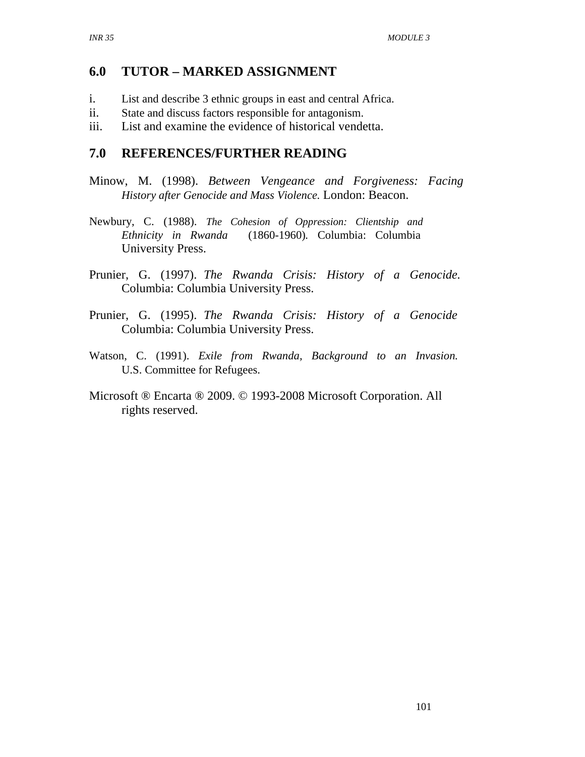## **6.0 TUTOR – MARKED ASSIGNMENT**

- i. List and describe 3 ethnic groups in east and central Africa.
- ii.<br>iii. State and discuss factors responsible for antagonism.
- List and examine the evidence of historical vendetta.

## **7.0 REFERENCES/FURTHER READING**

- Minow, M. (1998). *Between Vengeance and Forgiveness: Facing History after Genocide and Mass Violence.* London: Beacon.
- Newbury, C. (1988). *The Cohesion of Oppression: Clientship and Ethnicity in Rwanda* (1860-1960)*.* Columbia: Columbia University Press.
- Prunier, G. (1997). *The Rwanda Crisis: History of a Genocide.* Columbia: Columbia University Press.
- Prunier, G. (1995). *The Rwanda Crisis: History of a Genocide* Columbia: Columbia University Press.
- Watson, C. (1991). *Exile from Rwanda, Background to an Invasion.* U.S. Committee for Refugees.
- Microsoft ® Encarta ® 2009. © 1993-2008 Microsoft Corporation. All rights reserved.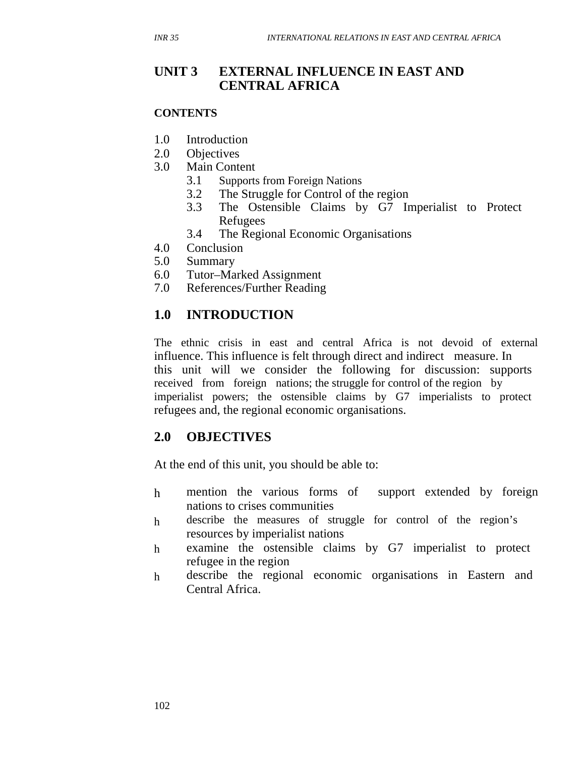## **UNIT 3 EXTERNAL INFLUENCE IN EAST AND CENTRAL AFRICA**

#### **CONTENTS**

- 1.0 Introduction
- 2.0 Objectives
- 3.0 Main Content
	- 3.1 Supports from Foreign Nations
	- 3.2 The Struggle for Control of the region
	- 3.3 The Ostensible Claims by G7 Imperialist to Protect Refugees
	- 3.4 The Regional Economic Organisations
- 4.0 Conclusion
- 5.0 Summary
- 6.0 Tutor–Marked Assignment
- 7.0 References/Further Reading

## **1.0 INTRODUCTION**

The ethnic crisis in east and central Africa is not devoid of external influence. This influence is felt through direct and indirect measure. In this unit will we consider the following for discussion: supports received from foreign nations; the struggle for control of the region by imperialist powers; the ostensible claims by G7 imperialists to protect refugees and, the regional economic organisations.

## **2.0 OBJECTIVES**

At the end of this unit, you should be able to:

- h mention the various forms of support extended by foreign nations to crises communities
- h describe the measures of struggle for control of the region's resources by imperialist nations
- h examine the ostensible claims by G7 imperialist to protect refugee in the region
- h describe the regional economic organisations in Eastern and Central Africa.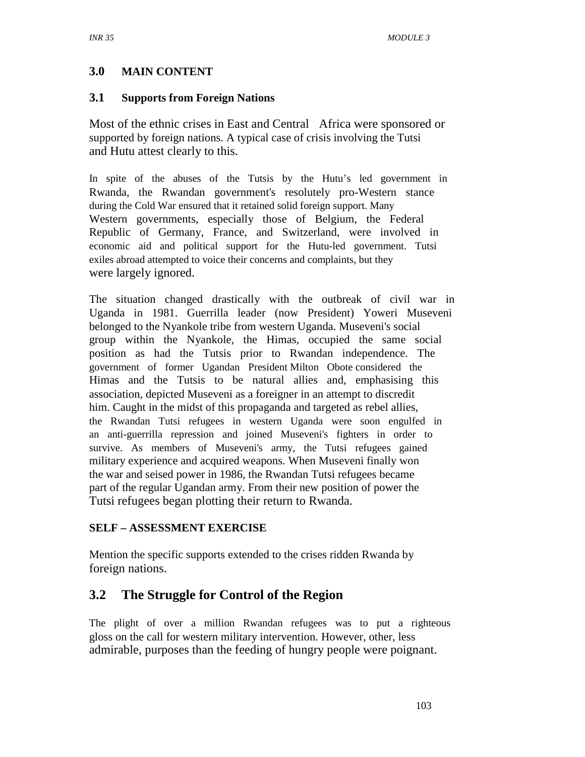#### **3.0 MAIN CONTENT**

#### **3.1 Supports from Foreign Nations**

Most of the ethnic crises in East and Central Africa were sponsored or supported by foreign nations. A typical case of crisis involving the Tutsi and Hutu attest clearly to this.

In spite of the abuses of the Tutsis by the Hutu's led government in Rwanda, the Rwandan government's resolutely pro-Western stance during the Cold War ensured that it retained solid foreign support. Many Western governments, especially those of Belgium, the Federal Republic of Germany, France, and Switzerland, were involved in economic aid and political support for the Hutu-led government. Tutsi exiles abroad attempted to voice their concerns and complaints, but they were largely ignored.

The situation changed drastically with the outbreak of civil war in Uganda in 1981. Guerrilla leader (now President) Yoweri Museveni belonged to the Nyankole tribe from western Uganda. Museveni's social group within the Nyankole, the Himas, occupied the same social position as had the Tutsis prior to Rwandan independence. The government of former Ugandan President Milton Obote considered the Himas and the Tutsis to be natural allies and, emphasising this association, depicted Museveni as a foreigner in an attempt to discredit him. Caught in the midst of this propaganda and targeted as rebel allies, the Rwandan Tutsi refugees in western Uganda were soon engulfed in an anti-guerrilla repression and joined Museveni's fighters in order to survive. As members of Museveni's army, the Tutsi refugees gained military experience and acquired weapons. When Museveni finally won the war and seised power in 1986, the Rwandan Tutsi refugees became part of the regular Ugandan army. From their new position of power the Tutsi refugees began plotting their return to Rwanda.

#### **SELF – ASSESSMENT EXERCISE**

Mention the specific supports extended to the crises ridden Rwanda by foreign nations.

## **3.2 The Struggle for Control of the Region**

The plight of over a million Rwandan refugees was to put a righteous gloss on the call for western military intervention. However, other, less admirable, purposes than the feeding of hungry people were poignant.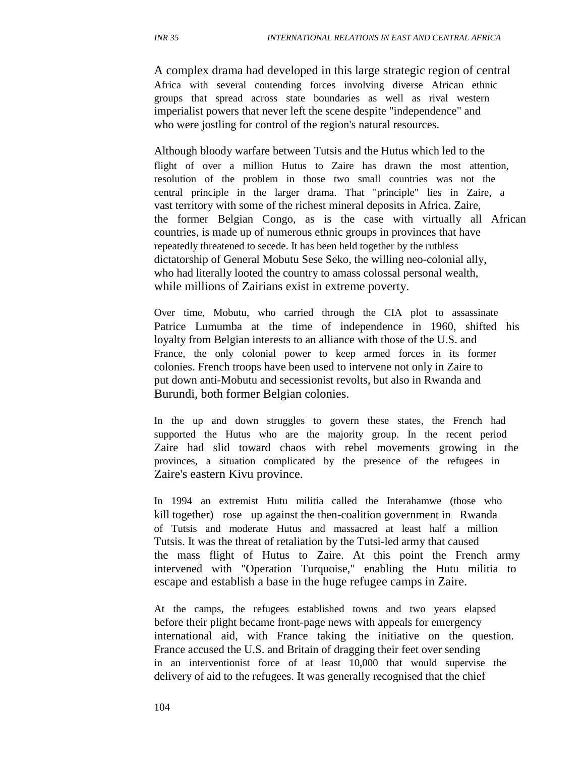A complex drama had developed in this large strategic region of central Africa with several contending forces involving diverse African ethnic groups that spread across state boundaries as well as rival western imperialist powers that never left the scene despite "independence" and who were jostling for control of the region's natural resources.

Although bloody warfare between Tutsis and the Hutus which led to the flight of over a million Hutus to Zaire has drawn the most attention, resolution of the problem in those two small countries was not the central principle in the larger drama. That "principle" lies in Zaire, a vast territory with some of the richest mineral deposits in Africa. Zaire, the former Belgian Congo, as is the case with virtually all African countries, is made up of numerous ethnic groups in provinces that have repeatedly threatened to secede. It has been held together by the ruthless dictatorship of General Mobutu Sese Seko, the willing neo-colonial ally, who had literally looted the country to amass colossal personal wealth, while millions of Zairians exist in extreme poverty.

Over time, Mobutu, who carried through the CIA plot to assassinate Patrice Lumumba at the time of independence in 1960, shifted his loyalty from Belgian interests to an alliance with those of the U.S. and France, the only colonial power to keep armed forces in its former colonies. French troops have been used to intervene not only in Zaire to put down anti-Mobutu and secessionist revolts, but also in Rwanda and Burundi, both former Belgian colonies.

In the up and down struggles to govern these states, the French had supported the Hutus who are the majority group. In the recent period Zaire had slid toward chaos with rebel movements growing in the provinces, a situation complicated by the presence of the refugees in Zaire's eastern Kivu province.

In 1994 an extremist Hutu militia called the Interahamwe (those who kill together) rose up against the then-coalition government in Rwanda of Tutsis and moderate Hutus and massacred at least half a million Tutsis. It was the threat of retaliation by the Tutsi-led army that caused the mass flight of Hutus to Zaire. At this point the French army intervened with "Operation Turquoise," enabling the Hutu militia to escape and establish a base in the huge refugee camps in Zaire.

At the camps, the refugees established towns and two years elapsed before their plight became front-page news with appeals for emergency international aid, with France taking the initiative on the question. France accused the U.S. and Britain of dragging their feet over sending in an interventionist force of at least 10,000 that would supervise the delivery of aid to the refugees. It was generally recognised that the chief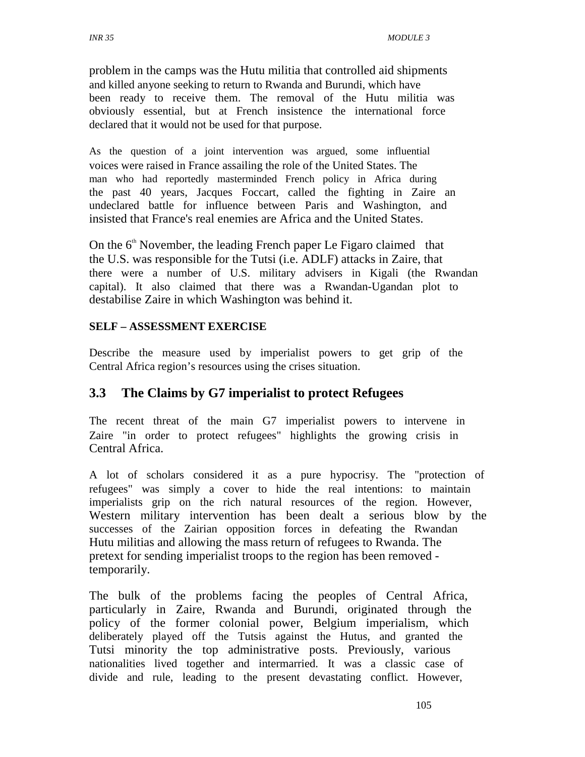problem in the camps was the Hutu militia that controlled aid shipments and killed anyone seeking to return to Rwanda and Burundi, which have been ready to receive them. The removal of the Hutu militia was obviously essential, but at French insistence the international force declared that it would not be used for that purpose.

As the question of a joint intervention was argued, some influential voices were raised in France assailing the role of the United States. The man who had reportedly masterminded French policy in Africa during the past 40 years, Jacques Foccart, called the fighting in Zaire an undeclared battle for influence between Paris and Washington, and insisted that France's real enemies are Africa and the United States.

On the  $6<sup>th</sup>$  November, the leading French paper Le Figaro claimed that the U.S. was responsible for the Tutsi (i.e. ADLF) attacks in Zaire, that there were a number of U.S. military advisers in Kigali (the Rwandan capital). It also claimed that there was a Rwandan-Ugandan plot to destabilise Zaire in which Washington was behind it.

#### **SELF – ASSESSMENT EXERCISE**

Describe the measure used by imperialist powers to get grip of the Central Africa region's resources using the crises situation.

## **3.3 The Claims by G7 imperialist to protect Refugees**

The recent threat of the main G7 imperialist powers to intervene in Zaire "in order to protect refugees" highlights the growing crisis in Central Africa.

A lot of scholars considered it as a pure hypocrisy. The "protection of refugees" was simply a cover to hide the real intentions: to maintain imperialists grip on the rich natural resources of the region. However, Western military intervention has been dealt a serious blow by the successes of the Zairian opposition forces in defeating the Rwandan Hutu militias and allowing the mass return of refugees to Rwanda. The pretext for sending imperialist troops to the region has been removed temporarily.

The bulk of the problems facing the peoples of Central Africa, particularly in Zaire, Rwanda and Burundi, originated through the policy of the former colonial power, Belgium imperialism, which deliberately played off the Tutsis against the Hutus, and granted the Tutsi minority the top administrative posts. Previously, various nationalities lived together and intermarried. It was a classic case of divide and rule, leading to the present devastating conflict. However,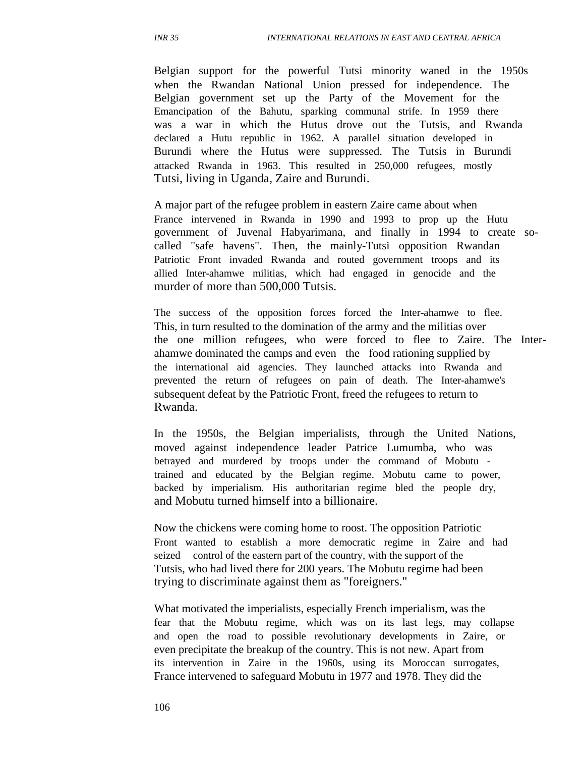Belgian support for the powerful Tutsi minority waned in the 1950s when the Rwandan National Union pressed for independence. The Belgian government set up the Party of the Movement for the Emancipation of the Bahutu, sparking communal strife. In 1959 there was a war in which the Hutus drove out the Tutsis, and Rwanda declared a Hutu republic in 1962. A parallel situation developed in Burundi where the Hutus were suppressed. The Tutsis in Burundi attacked Rwanda in 1963. This resulted in 250,000 refugees, mostly Tutsi, living in Uganda, Zaire and Burundi.

A major part of the refugee problem in eastern Zaire came about when France intervened in Rwanda in 1990 and 1993 to prop up the Hutu government of Juvenal Habyarimana, and finally in 1994 to create socalled "safe havens". Then, the mainly-Tutsi opposition Rwandan Patriotic Front invaded Rwanda and routed government troops and its allied Inter-ahamwe militias, which had engaged in genocide and the murder of more than 500,000 Tutsis.

The success of the opposition forces forced the Inter-ahamwe to flee. This, in turn resulted to the domination of the army and the militias over the one million refugees, who were forced to flee to Zaire. The Interahamwe dominated the camps and even the food rationing supplied by the international aid agencies. They launched attacks into Rwanda and prevented the return of refugees on pain of death. The Inter-ahamwe's subsequent defeat by the Patriotic Front, freed the refugees to return to Rwanda.

In the 1950s, the Belgian imperialists, through the United Nations, moved against independence leader Patrice Lumumba, who was betrayed and murdered by troops under the command of Mobutu trained and educated by the Belgian regime. Mobutu came to power, backed by imperialism. His authoritarian regime bled the people dry, and Mobutu turned himself into a billionaire.

Now the chickens were coming home to roost. The opposition Patriotic Front wanted to establish a more democratic regime in Zaire and had seized control of the eastern part of the country, with the support of the Tutsis, who had lived there for 200 years. The Mobutu regime had been trying to discriminate against them as "foreigners."

What motivated the imperialists, especially French imperialism, was the fear that the Mobutu regime, which was on its last legs, may collapse and open the road to possible revolutionary developments in Zaire, or even precipitate the breakup of the country. This is not new. Apart from its intervention in Zaire in the 1960s, using its Moroccan surrogates, France intervened to safeguard Mobutu in 1977 and 1978. They did the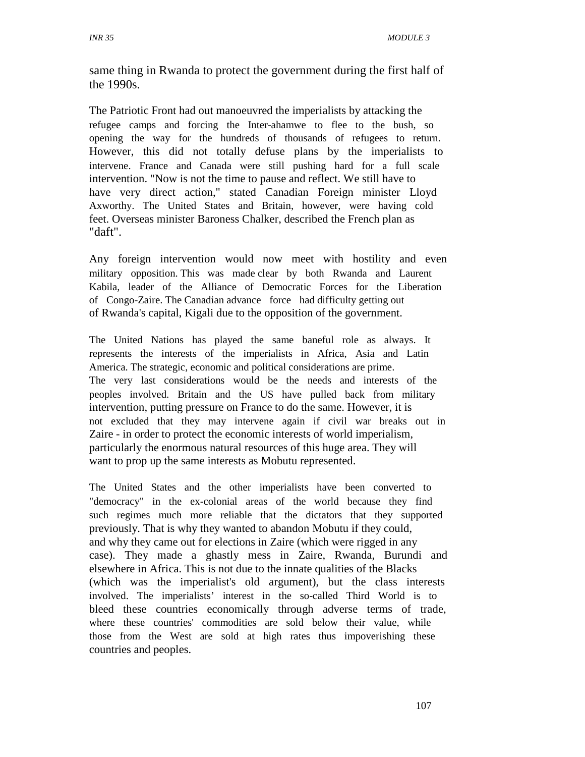same thing in Rwanda to protect the government during the first half of the 1990s.

The Patriotic Front had out manoeuvred the imperialists by attacking the refugee camps and forcing the Inter-ahamwe to flee to the bush, so opening the way for the hundreds of thousands of refugees to return. However, this did not totally defuse plans by the imperialists to intervene. France and Canada were still pushing hard for a full scale intervention. "Now is not the time to pause and reflect. We still have to have very direct action," stated Canadian Foreign minister Lloyd Axworthy. The United States and Britain, however, were having cold feet. Overseas minister Baroness Chalker, described the French plan as "daft".

Any foreign intervention would now meet with hostility and even military opposition. This was made clear by both Rwanda and Laurent Kabila, leader of the Alliance of Democratic Forces for the Liberation of Congo-Zaire. The Canadian advance force had difficulty getting out of Rwanda's capital, Kigali due to the opposition of the government.

The United Nations has played the same baneful role as always. It represents the interests of the imperialists in Africa, Asia and Latin America. The strategic, economic and political considerations are prime. The very last considerations would be the needs and interests of the peoples involved. Britain and the US have pulled back from military intervention, putting pressure on France to do the same. However, it is not excluded that they may intervene again if civil war breaks out in Zaire - in order to protect the economic interests of world imperialism, particularly the enormous natural resources of this huge area. They will want to prop up the same interests as Mobutu represented.

The United States and the other imperialists have been converted to "democracy" in the ex-colonial areas of the world because they find such regimes much more reliable that the dictators that they supported previously. That is why they wanted to abandon Mobutu if they could, and why they came out for elections in Zaire (which were rigged in any case). They made a ghastly mess in Zaire, Rwanda, Burundi and elsewhere in Africa. This is not due to the innate qualities of the Blacks (which was the imperialist's old argument), but the class interests involved. The imperialists' interest in the so-called Third World is to bleed these countries economically through adverse terms of trade, where these countries' commodities are sold below their value, while those from the West are sold at high rates thus impoverishing these countries and peoples.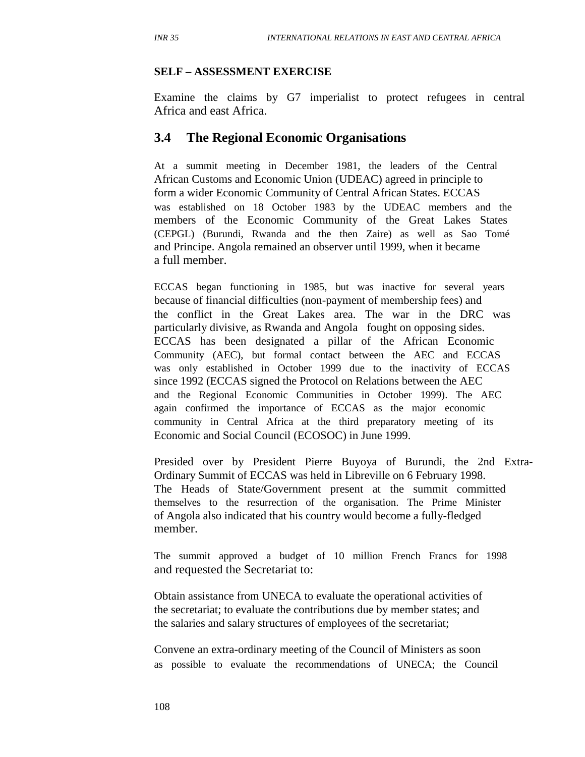#### **SELF – ASSESSMENT EXERCISE**

Examine the claims by G7 imperialist to protect refugees in central Africa and east Africa.

#### **3.4 The Regional Economic Organisations**

At a summit meeting in December 1981, the leaders of the Central African Customs and Economic Union (UDEAC) agreed in principle to form a wider Economic Community of Central African States. ECCAS was established on 18 October 1983 by the UDEAC members and the members of the Economic Community of the Great Lakes States (CEPGL) (Burundi, Rwanda and the then Zaire) as well as Sao Tomé and Principe. Angola remained an observer until 1999, when it became a full member.

ECCAS began functioning in 1985, but was inactive for several years because of financial difficulties (non-payment of membership fees) and the conflict in the Great Lakes area. The war in the DRC was particularly divisive, as Rwanda and Angola fought on opposing sides. ECCAS has been designated a pillar of the African Economic Community (AEC), but formal contact between the AEC and ECCAS was only established in October 1999 due to the inactivity of ECCAS since 1992 (ECCAS signed the Protocol on Relations between the AEC and the Regional Economic Communities in October 1999). The AEC again confirmed the importance of ECCAS as the major economic community in Central Africa at the third preparatory meeting of its Economic and Social Council (ECOSOC) in June 1999.

Presided over by President Pierre Buyoya of Burundi, the 2nd Extra-Ordinary Summit of ECCAS was held in Libreville on 6 February 1998. The Heads of State/Government present at the summit committed themselves to the resurrection of the organisation. The Prime Minister of Angola also indicated that his country would become a fully-fledged member.

The summit approved a budget of 10 million French Francs for 1998 and requested the Secretariat to:

Obtain assistance from UNECA to evaluate the operational activities of the secretariat; to evaluate the contributions due by member states; and the salaries and salary structures of employees of the secretariat;

Convene an extra-ordinary meeting of the Council of Ministers as soon as possible to evaluate the recommendations of UNECA; the Council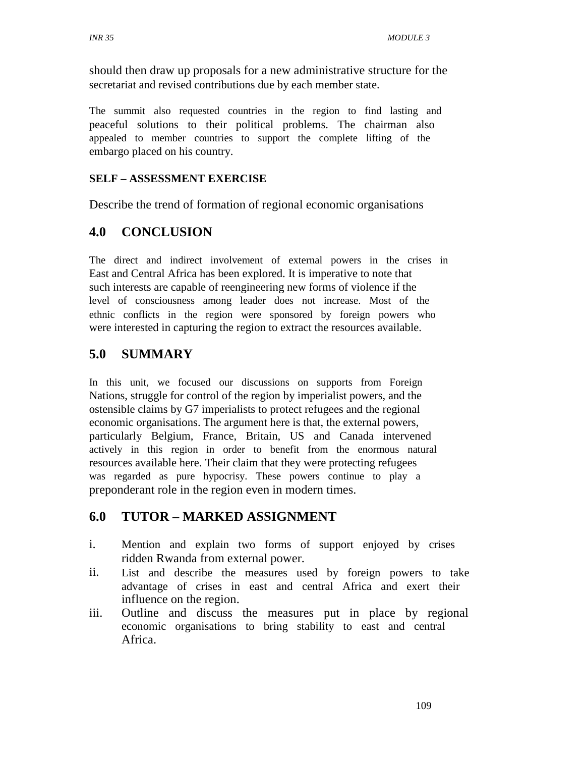should then draw up proposals for a new administrative structure for the secretariat and revised contributions due by each member state.

The summit also requested countries in the region to find lasting and peaceful solutions to their political problems. The chairman also appealed to member countries to support the complete lifting of the embargo placed on his country.

#### **SELF – ASSESSMENT EXERCISE**

Describe the trend of formation of regional economic organisations

## **4.0 CONCLUSION**

The direct and indirect involvement of external powers in the crises in East and Central Africa has been explored. It is imperative to note that such interests are capable of reengineering new forms of violence if the level of consciousness among leader does not increase. Most of the ethnic conflicts in the region were sponsored by foreign powers who were interested in capturing the region to extract the resources available.

## **5.0 SUMMARY**

In this unit, we focused our discussions on supports from Foreign Nations, struggle for control of the region by imperialist powers, and the ostensible claims by G7 imperialists to protect refugees and the regional economic organisations. The argument here is that, the external powers, particularly Belgium, France, Britain, US and Canada intervened actively in this region in order to benefit from the enormous natural resources available here. Their claim that they were protecting refugees was regarded as pure hypocrisy. These powers continue to play a preponderant role in the region even in modern times.

## **6.0 TUTOR – MARKED ASSIGNMENT**

- i. Mention and explain two forms of support enjoyed by crises ridden Rwanda from external power.
- ii. List and describe the measures used by foreign powers to take advantage of crises in east and central Africa and exert their influence on the region.
- iii. Outline and discuss the measures put in place by regional economic organisations to bring stability to east and central Africa.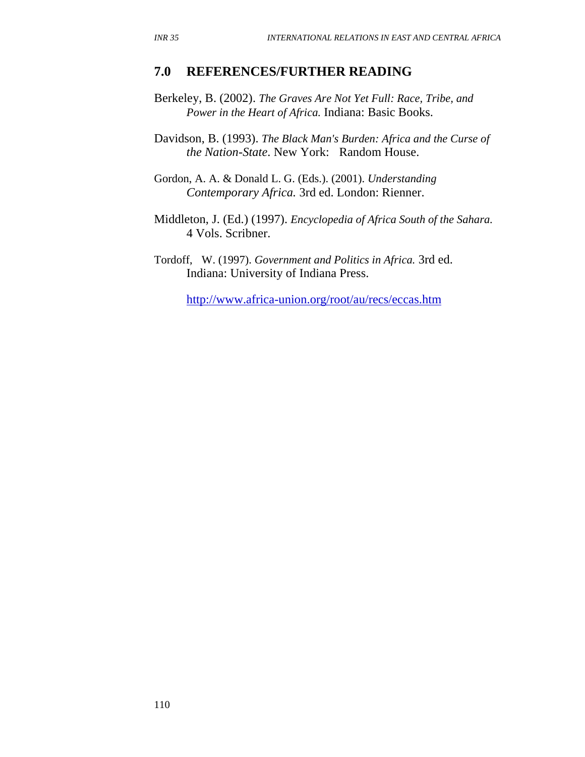#### **7.0 REFERENCES/FURTHER READING**

Berkeley, B. (2002). *The Graves Are Not Yet Full: Race, Tribe, and Power in the Heart of Africa.* Indiana: Basic Books.

Davidson, B. (1993). *The Black Man's Burden: Africa and the Curse of the Nation-State*. New York: Random House.

Gordon, A. A. & Donald L. G. (Eds.). (2001). *Understanding Contemporary Africa.* 3rd ed. London: Rienner.

Middleton, J. (Ed.) (1997). *Encyclopedia of Africa South of the Sahara.* 4 Vols. Scribner.

Tordoff, W. (1997). *Government and Politics in Africa.* 3rd ed. Indiana: University of Indiana Press.

http://www.africa-union.org/root/au/recs/eccas.htm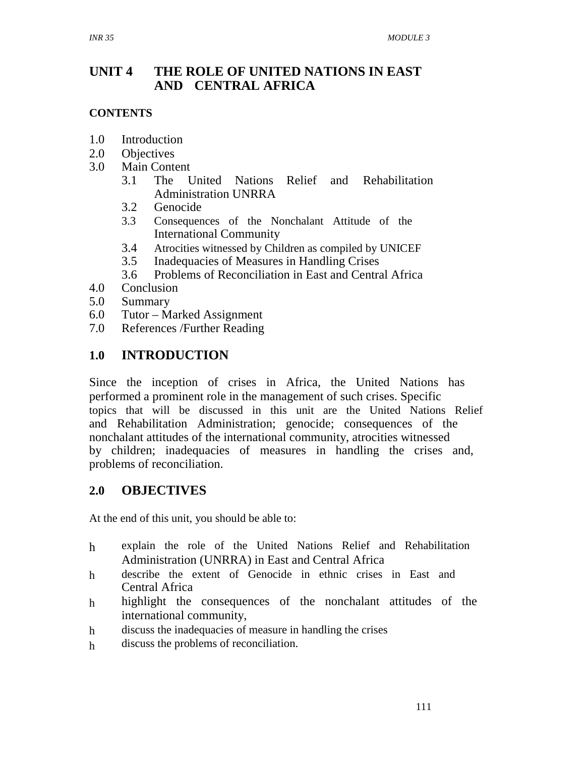## **UNIT 4 THE ROLE OF UNITED NATIONS IN EAST AND CENTRAL AFRICA**

#### **CONTENTS**

- 1.0 Introduction
- 2.0 Objectives
- 3.0 Main Content
	- 3.1 The United Nations Relief and Rehabilitation Administration UNRRA
	- 3.2 Genocide
	- 3.3 Consequences of the Nonchalant Attitude of the International Community
	- 3.4 Atrocities witnessed by Children as compiled by UNICEF
	- 3.5 Inadequacies of Measures in Handling Crises
	- 3.6 Problems of Reconciliation in East and Central Africa
- 4.0 Conclusion
- 5.0 Summary
- 6.0 Tutor Marked Assignment
- 7.0 References /Further Reading

## **1.0 INTRODUCTION**

Since the inception of crises in Africa, the United Nations has performed a prominent role in the management of such crises. Specific topics that will be discussed in this unit are the United Nations Relief and Rehabilitation Administration; genocide; consequences of the nonchalant attitudes of the international community, atrocities witnessed by children; inadequacies of measures in handling the crises and, problems of reconciliation.

#### **2.0 OBJECTIVES**

At the end of this unit, you should be able to:

- h explain the role of the United Nations Relief and Rehabilitation Administration (UNRRA) in East and Central Africa
- h describe the extent of Genocide in ethnic crises in East and Central Africa
- h highlight the consequences of the nonchalant attitudes of the international community,
- h discuss the inadequacies of measure in handling the crises
- h discuss the problems of reconciliation.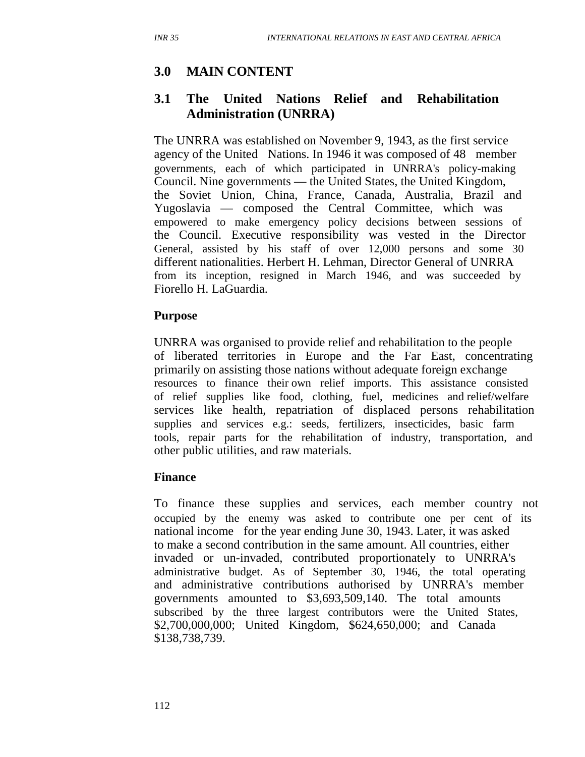## **3.0 MAIN CONTENT**

## **3.1 The United Nations Relief and Rehabilitation Administration (UNRRA)**

The UNRRA was established on November 9, 1943, as the first service agency of the United Nations. In 1946 it was composed of 48 member governments, each of which participated in UNRRA's policy-making Council. Nine governments — the United States, the United Kingdom, the Soviet Union, China, France, Canada, Australia, Brazil and Yugoslavia — composed the Central Committee, which was empowered to make emergency policy decisions between sessions of the Council. Executive responsibility was vested in the Director General, assisted by his staff of over 12,000 persons and some 30 different nationalities. Herbert H. Lehman, Director General of UNRRA from its inception, resigned in March 1946, and was succeeded by Fiorello H. LaGuardia.

#### **Purpose**

UNRRA was organised to provide relief and rehabilitation to the people of liberated territories in Europe and the Far East, concentrating primarily on assisting those nations without adequate foreign exchange resources to finance their own relief imports. This assistance consisted of relief supplies like food, clothing, fuel, medicines and relief/welfare services like health, repatriation of displaced persons rehabilitation supplies and services e.g.: seeds, fertilizers, insecticides, basic farm tools, repair parts for the rehabilitation of industry, transportation, and other public utilities, and raw materials.

#### **Finance**

To finance these supplies and services, each member country not occupied by the enemy was asked to contribute one per cent of its national income for the year ending June 30, 1943. Later, it was asked to make a second contribution in the same amount. All countries, either invaded or un-invaded, contributed proportionately to UNRRA's administrative budget. As of September 30, 1946, the total operating and administrative contributions authorised by UNRRA's member governments amounted to \$3,693,509,140. The total amounts subscribed by the three largest contributors were the United States, \$2,700,000,000; United Kingdom, \$624,650,000; and Canada \$138,738,739.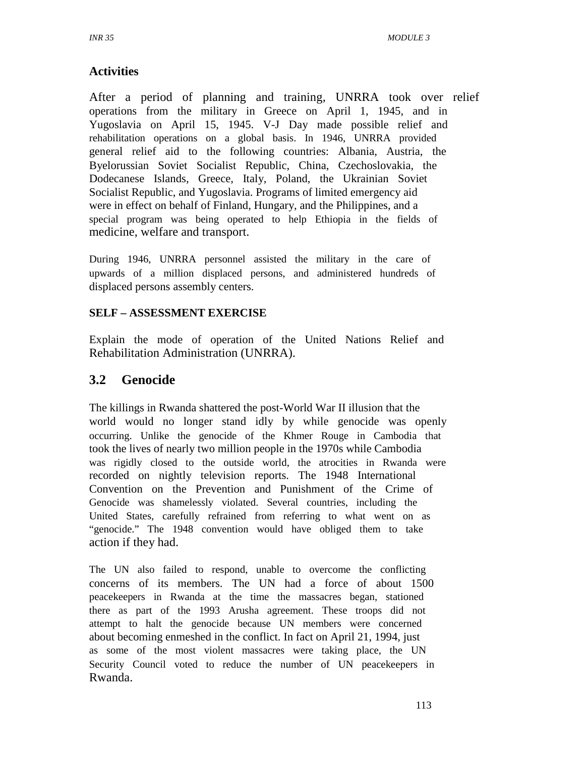## **Activities**

After a period of planning and training, UNRRA took over relief operations from the military in Greece on April 1, 1945, and in Yugoslavia on April 15, 1945. V-J Day made possible relief and rehabilitation operations on a global basis. In 1946, UNRRA provided general relief aid to the following countries: Albania, Austria, the Byelorussian Soviet Socialist Republic, China, Czechoslovakia, the Dodecanese Islands, Greece, Italy, Poland, the Ukrainian Soviet Socialist Republic, and Yugoslavia. Programs of limited emergency aid were in effect on behalf of Finland, Hungary, and the Philippines, and a special program was being operated to help Ethiopia in the fields of medicine, welfare and transport.

During 1946, UNRRA personnel assisted the military in the care of upwards of a million displaced persons, and administered hundreds of displaced persons assembly centers.

#### **SELF – ASSESSMENT EXERCISE**

Explain the mode of operation of the United Nations Relief and Rehabilitation Administration (UNRRA).

## **3.2 Genocide**

The killings in Rwanda shattered the post-World War II illusion that the world would no longer stand idly by while genocide was openly occurring. Unlike the genocide of the Khmer Rouge in Cambodia that took the lives of nearly two million people in the 1970s while Cambodia was rigidly closed to the outside world, the atrocities in Rwanda were recorded on nightly television reports. The 1948 International Convention on the Prevention and Punishment of the Crime of Genocide was shamelessly violated. Several countries, including the United States, carefully refrained from referring to what went on as "genocide." The 1948 convention would have obliged them to take action if they had.

The UN also failed to respond, unable to overcome the conflicting concerns of its members. The UN had a force of about 1500 peacekeepers in Rwanda at the time the massacres began, stationed there as part of the 1993 Arusha agreement. These troops did not attempt to halt the genocide because UN members were concerned about becoming enmeshed in the conflict. In fact on April 21, 1994, just as some of the most violent massacres were taking place, the UN Security Council voted to reduce the number of UN peacekeepers in Rwanda.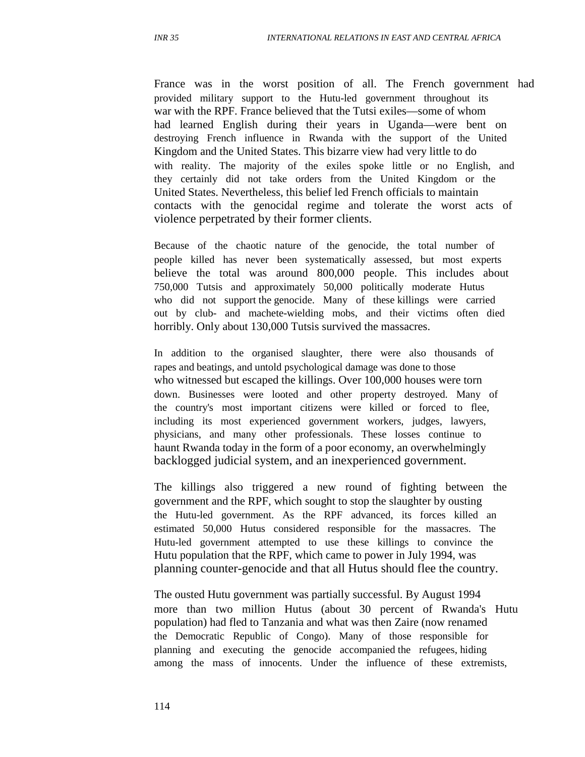France was in the worst position of all. The French government had provided military support to the Hutu-led government throughout its war with the RPF. France believed that the Tutsi exiles—some of whom had learned English during their years in Uganda—were bent on destroying French influence in Rwanda with the support of the United Kingdom and the United States. This bizarre view had very little to do with reality. The majority of the exiles spoke little or no English, and they certainly did not take orders from the United Kingdom or the United States. Nevertheless, this belief led French officials to maintain contacts with the genocidal regime and tolerate the worst acts of violence perpetrated by their former clients.

Because of the chaotic nature of the genocide, the total number of people killed has never been systematically assessed, but most experts believe the total was around 800,000 people. This includes about 750,000 Tutsis and approximately 50,000 politically moderate Hutus who did not support the genocide. Many of these killings were carried out by club- and machete-wielding mobs, and their victims often died horribly. Only about 130,000 Tutsis survived the massacres.

In addition to the organised slaughter, there were also thousands of rapes and beatings, and untold psychological damage was done to those who witnessed but escaped the killings. Over 100,000 houses were torn down. Businesses were looted and other property destroyed. Many of the country's most important citizens were killed or forced to flee, including its most experienced government workers, judges, lawyers, physicians, and many other professionals. These losses continue to haunt Rwanda today in the form of a poor economy, an overwhelmingly backlogged judicial system, and an inexperienced government.

The killings also triggered a new round of fighting between the government and the RPF, which sought to stop the slaughter by ousting the Hutu-led government. As the RPF advanced, its forces killed an estimated 50,000 Hutus considered responsible for the massacres. The Hutu-led government attempted to use these killings to convince the Hutu population that the RPF, which came to power in July 1994, was planning counter-genocide and that all Hutus should flee the country.

The ousted Hutu government was partially successful. By August 1994 more than two million Hutus (about 30 percent of Rwanda's Hutu population) had fled to Tanzania and what was then Zaire (now renamed the Democratic Republic of Congo). Many of those responsible for planning and executing the genocide accompanied the refugees, hiding among the mass of innocents. Under the influence of these extremists,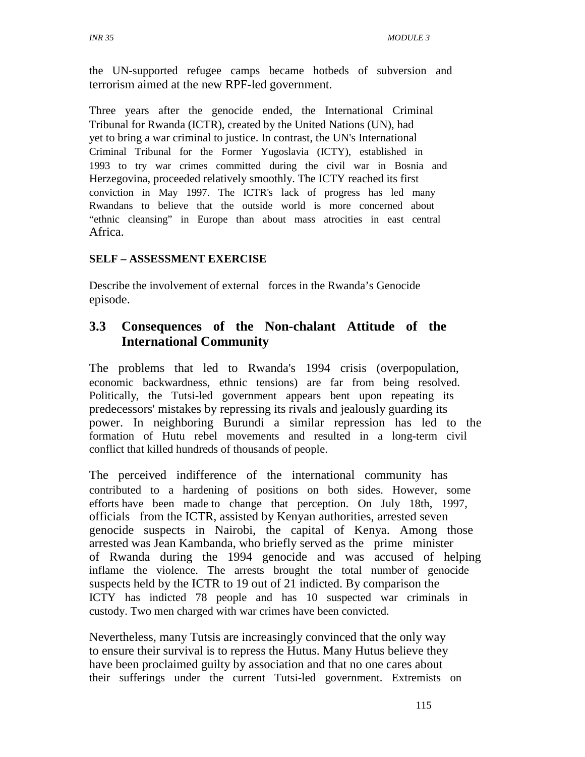the UN-supported refugee camps became hotbeds of subversion and terrorism aimed at the new RPF-led government.

Three years after the genocide ended, the International Criminal Tribunal for Rwanda (ICTR), created by the United Nations (UN), had yet to bring a war criminal to justice. In contrast, the UN's International Criminal Tribunal for the Former Yugoslavia (ICTY), established in 1993 to try war crimes committed during the civil war in Bosnia and Herzegovina, proceeded relatively smoothly. The ICTY reached its first conviction in May 1997. The ICTR's lack of progress has led many Rwandans to believe that the outside world is more concerned about "ethnic cleansing" in Europe than about mass atrocities in east central Africa.

#### **SELF – ASSESSMENT EXERCISE**

Describe the involvement of external forces in the Rwanda's Genocide episode.

## **3.3 Consequences of the Non-chalant Attitude of the International Community**

The problems that led to Rwanda's 1994 crisis (overpopulation, economic backwardness, ethnic tensions) are far from being resolved. Politically, the Tutsi-led government appears bent upon repeating its predecessors' mistakes by repressing its rivals and jealously guarding its power. In neighboring Burundi a similar repression has led to the formation of Hutu rebel movements and resulted in a long-term civil conflict that killed hundreds of thousands of people.

The perceived indifference of the international community has contributed to a hardening of positions on both sides. However, some efforts have been made to change that perception. On July 18th, 1997, officials from the ICTR, assisted by Kenyan authorities, arrested seven genocide suspects in Nairobi, the capital of Kenya. Among those arrested was Jean Kambanda, who briefly served as the prime minister of Rwanda during the 1994 genocide and was accused of helping inflame the violence. The arrests brought the total number of genocide suspects held by the ICTR to 19 out of 21 indicted. By comparison the ICTY has indicted 78 people and has 10 suspected war criminals in custody. Two men charged with war crimes have been convicted.

Nevertheless, many Tutsis are increasingly convinced that the only way to ensure their survival is to repress the Hutus. Many Hutus believe they have been proclaimed guilty by association and that no one cares about their sufferings under the current Tutsi-led government. Extremists on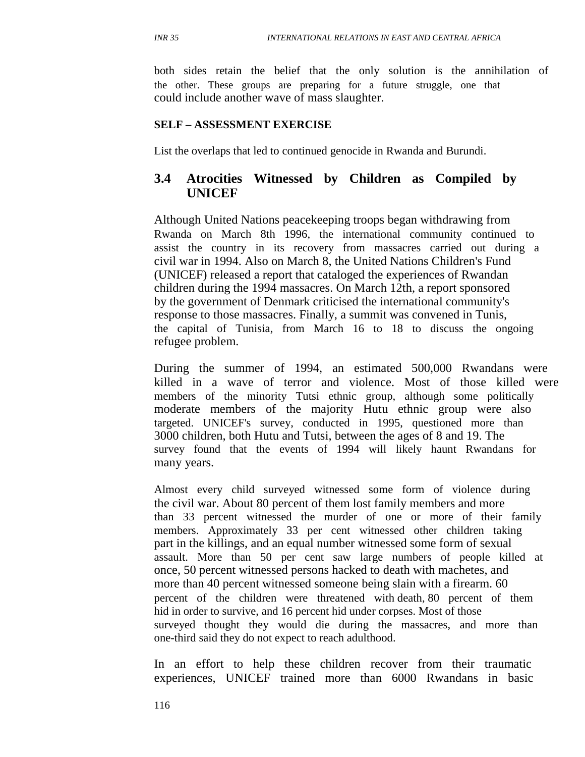both sides retain the belief that the only solution is the annihilation of the other. These groups are preparing for a future struggle, one that could include another wave of mass slaughter.

#### **SELF – ASSESSMENT EXERCISE**

List the overlaps that led to continued genocide in Rwanda and Burundi.

## **3.4 Atrocities Witnessed by Children as Compiled by UNICEF**

Although United Nations peacekeeping troops began withdrawing from Rwanda on March 8th 1996, the international community continued to assist the country in its recovery from massacres carried out during a civil war in 1994. Also on March 8, the United Nations Children's Fund (UNICEF) released a report that cataloged the experiences of Rwandan children during the 1994 massacres. On March 12th, a report sponsored by the government of Denmark criticised the international community's response to those massacres. Finally, a summit was convened in Tunis, the capital of Tunisia, from March 16 to 18 to discuss the ongoing refugee problem.

During the summer of 1994, an estimated 500,000 Rwandans were killed in a wave of terror and violence. Most of those killed were members of the minority Tutsi ethnic group, although some politically moderate members of the majority Hutu ethnic group were also targeted. UNICEF's survey, conducted in 1995, questioned more than 3000 children, both Hutu and Tutsi, between the ages of 8 and 19. The survey found that the events of 1994 will likely haunt Rwandans for many years.

Almost every child surveyed witnessed some form of violence during the civil war. About 80 percent of them lost family members and more than 33 percent witnessed the murder of one or more of their family members. Approximately 33 per cent witnessed other children taking part in the killings, and an equal number witnessed some form of sexual assault. More than 50 per cent saw large numbers of people killed at once, 50 percent witnessed persons hacked to death with machetes, and more than 40 percent witnessed someone being slain with a firearm. 60 percent of the children were threatened with death, 80 percent of them hid in order to survive, and 16 percent hid under corpses. Most of those surveyed thought they would die during the massacres, and more than one-third said they do not expect to reach adulthood.

In an effort to help these children recover from their traumatic experiences, UNICEF trained more than 6000 Rwandans in basic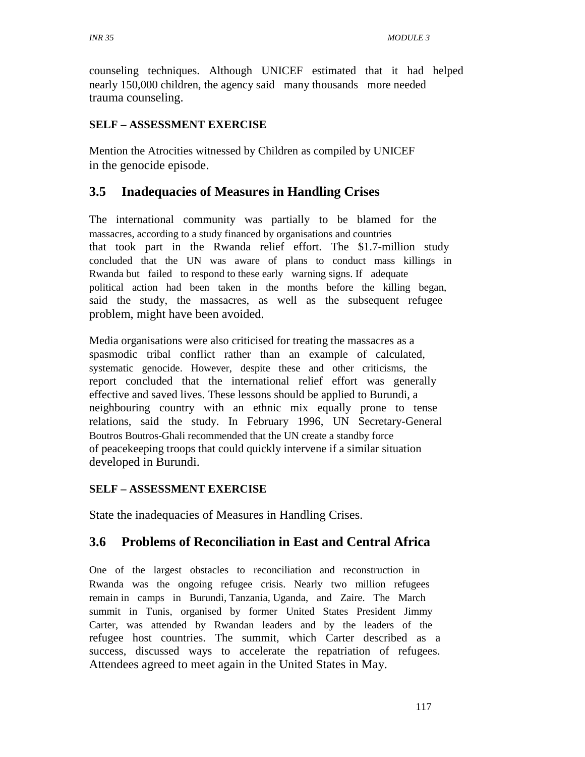counseling techniques. Although UNICEF estimated that it had helped nearly 150,000 children, the agency said many thousands more needed trauma counseling.

#### **SELF – ASSESSMENT EXERCISE**

Mention the Atrocities witnessed by Children as compiled by UNICEF in the genocide episode.

#### **3.5 Inadequacies of Measures in Handling Crises**

The international community was partially to be blamed for the massacres, according to a study financed by organisations and countries that took part in the Rwanda relief effort. The \$1.7-million study concluded that the UN was aware of plans to conduct mass killings in Rwanda but failed to respond to these early warning signs. If adequate political action had been taken in the months before the killing began, said the study, the massacres, as well as the subsequent refugee problem, might have been avoided.

Media organisations were also criticised for treating the massacres as a spasmodic tribal conflict rather than an example of calculated, systematic genocide. However, despite these and other criticisms, the report concluded that the international relief effort was generally effective and saved lives. These lessons should be applied to Burundi, a neighbouring country with an ethnic mix equally prone to tense relations, said the study. In February 1996, UN Secretary-General Boutros Boutros-Ghali recommended that the UN create a standby force of peacekeeping troops that could quickly intervene if a similar situation developed in Burundi.

#### **SELF – ASSESSMENT EXERCISE**

State the inadequacies of Measures in Handling Crises.

#### **3.6 Problems of Reconciliation in East and Central Africa**

One of the largest obstacles to reconciliation and reconstruction in Rwanda was the ongoing refugee crisis. Nearly two million refugees remain in camps in Burundi, Tanzania, Uganda, and Zaire. The March summit in Tunis, organised by former United States President Jimmy Carter, was attended by Rwandan leaders and by the leaders of the refugee host countries. The summit, which Carter described as a success, discussed ways to accelerate the repatriation of refugees. Attendees agreed to meet again in the United States in May.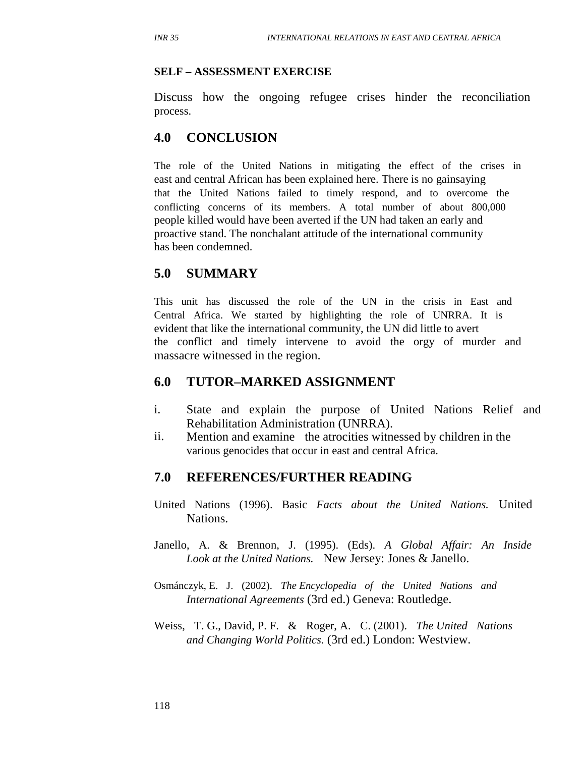#### **SELF – ASSESSMENT EXERCISE**

Discuss how the ongoing refugee crises hinder the reconciliation process.

## **4.0 CONCLUSION**

The role of the United Nations in mitigating the effect of the crises in east and central African has been explained here. There is no gainsaying that the United Nations failed to timely respond, and to overcome the conflicting concerns of its members. A total number of about 800,000 people killed would have been averted if the UN had taken an early and proactive stand. The nonchalant attitude of the international community has been condemned.

#### **5.0 SUMMARY**

This unit has discussed the role of the UN in the crisis in East and Central Africa. We started by highlighting the role of UNRRA. It is evident that like the international community, the UN did little to avert the conflict and timely intervene to avoid the orgy of murder and massacre witnessed in the region.

#### **6.0 TUTOR–MARKED ASSIGNMENT**

- i. State and explain the purpose of United Nations Relief and Rehabilitation Administration (UNRRA).
- ii. Mention and examine the atrocities witnessed by children in the various genocides that occur in east and central Africa.

#### **7.0 REFERENCES/FURTHER READING**

- United Nations (1996). Basic *Facts about the United Nations.* United Nations.
- Janello, A. & Brennon, J. (1995). (Eds). *A Global Affair: An Inside Look at the United Nations.* New Jersey: Jones & Janello.
- Osmánczyk, E. J. (2002). *The Encyclopedia of the United Nations and International Agreements* (3rd ed.) Geneva: Routledge.
- Weiss, T. G., David, P. F. & Roger, A. C. (2001). *The United Nations and Changing World Politics.* (3rd ed.) London: Westview.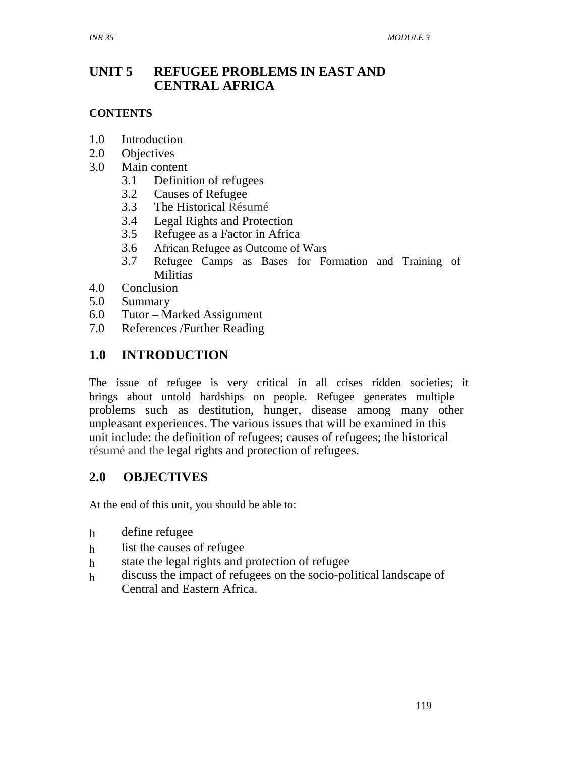#### **UNIT 5 REFUGEE PROBLEMS IN EAST AND CENTRAL AFRICA**

#### **CONTENTS**

- 1.0 Introduction
- 2.0 Objectives
- 3.0 Main content
	- 3.1 Definition of refugees
	- 3.2 Causes of Refugee
	- 3.3 The Historical Résumé
	- 3.4 Legal Rights and Protection
	- 3.5 Refugee as a Factor in Africa
	- 3.6 African Refugee as Outcome of Wars
	- 3.7 Refugee Camps as Bases for Formation and Training of **Militias**
- 4.0 Conclusion
- 5.0 Summary
- 6.0 Tutor Marked Assignment
- 7.0 References /Further Reading

## **1.0 INTRODUCTION**

The issue of refugee is very critical in all crises ridden societies; it brings about untold hardships on people. Refugee generates multiple problems such as destitution, hunger, disease among many other unpleasant experiences. The various issues that will be examined in this unit include: the definition of refugees; causes of refugees; the historical résumé and the legal rights and protection of refugees.

## **2.0 OBJECTIVES**

At the end of this unit, you should be able to:

- h define refugee
- h list the causes of refugee
- h state the legal rights and protection of refugee
- h discuss the impact of refugees on the socio-political landscape of Central and Eastern Africa.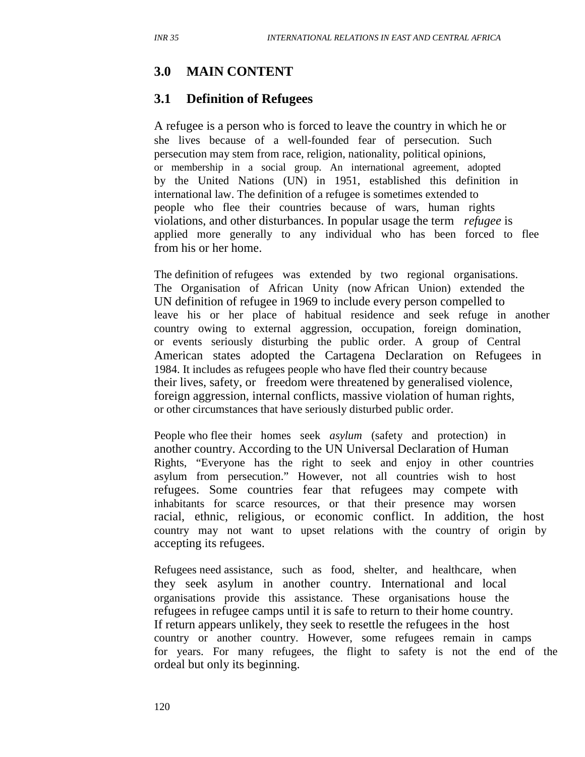## **3.0 MAIN CONTENT**

## **3.1 Definition of Refugees**

A refugee is a person who is forced to leave the country in which he or she lives because of a well-founded fear of persecution. Such persecution may stem from race, religion, nationality, political opinions, or membership in a social group. An international agreement, adopted by the United Nations (UN) in 1951, established this definition in international law. The definition of a refugee is sometimes extended to people who flee their countries because of wars, human rights violations, and other disturbances. In popular usage the term *refugee* is applied more generally to any individual who has been forced to flee from his or her home.

The definition of refugees was extended by two regional organisations. The Organisation of African Unity (now African Union) extended the UN definition of refugee in 1969 to include every person compelled to leave his or her place of habitual residence and seek refuge in another country owing to external aggression, occupation, foreign domination, or events seriously disturbing the public order. A group of Central American states adopted the Cartagena Declaration on Refugees in 1984. It includes as refugees people who have fled their country because their lives, safety, or freedom were threatened by generalised violence, foreign aggression, internal conflicts, massive violation of human rights, or other circumstances that have seriously disturbed public order.

People who flee their homes seek *asylum* (safety and protection) in another country. According to the UN Universal Declaration of Human Rights, "Everyone has the right to seek and enjoy in other countries asylum from persecution." However, not all countries wish to host refugees. Some countries fear that refugees may compete with inhabitants for scarce resources, or that their presence may worsen racial, ethnic, religious, or economic conflict. In addition, the host country may not want to upset relations with the country of origin by accepting its refugees.

Refugees need assistance, such as food, shelter, and healthcare, when they seek asylum in another country. International and local organisations provide this assistance. These organisations house the refugees in refugee camps until it is safe to return to their home country. If return appears unlikely, they seek to resettle the refugees in the host country or another country. However, some refugees remain in camps for years. For many refugees, the flight to safety is not the end of the ordeal but only its beginning.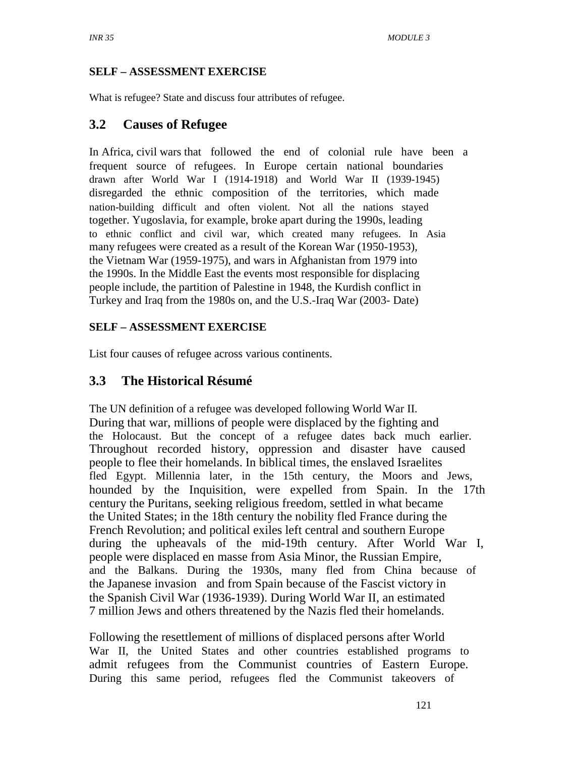#### **SELF – ASSESSMENT EXERCISE**

What is refugee? State and discuss four attributes of refugee.

## **3.2 Causes of Refugee**

In Africa, civil wars that followed the end of colonial rule have been a frequent source of refugees. In Europe certain national boundaries drawn after World War I (1914-1918) and World War II (1939-1945) disregarded the ethnic composition of the territories, which made nation-building difficult and often violent. Not all the nations stayed together. Yugoslavia, for example, broke apart during the 1990s, leading to ethnic conflict and civil war, which created many refugees. In Asia many refugees were created as a result of the Korean War (1950-1953), the Vietnam War (1959-1975), and wars in Afghanistan from 1979 into the 1990s. In the Middle East the events most responsible for displacing people include, the partition of Palestine in 1948, the Kurdish conflict in Turkey and Iraq from the 1980s on, and the U.S.-Iraq War (2003- Date)

#### **SELF – ASSESSMENT EXERCISE**

List four causes of refugee across various continents.

## **3.3 The Historical Résumé**

The UN definition of a refugee was developed following World War II. During that war, millions of people were displaced by the fighting and the Holocaust. But the concept of a refugee dates back much earlier. Throughout recorded history, oppression and disaster have caused people to flee their homelands. In biblical times, the enslaved Israelites fled Egypt. Millennia later, in the 15th century, the Moors and Jews, hounded by the Inquisition, were expelled from Spain. In the 17th century the Puritans, seeking religious freedom, settled in what became the United States; in the 18th century the nobility fled France during the French Revolution; and political exiles left central and southern Europe during the upheavals of the mid-19th century. After World War I, people were displaced en masse from Asia Minor, the Russian Empire, and the Balkans. During the 1930s, many fled from China because of the Japanese invasion and from Spain because of the Fascist victory in the Spanish Civil War (1936-1939). During World War II, an estimated 7 million Jews and others threatened by the Nazis fled their homelands.

Following the resettlement of millions of displaced persons after World War II, the United States and other countries established programs to admit refugees from the Communist countries of Eastern Europe. During this same period, refugees fled the Communist takeovers of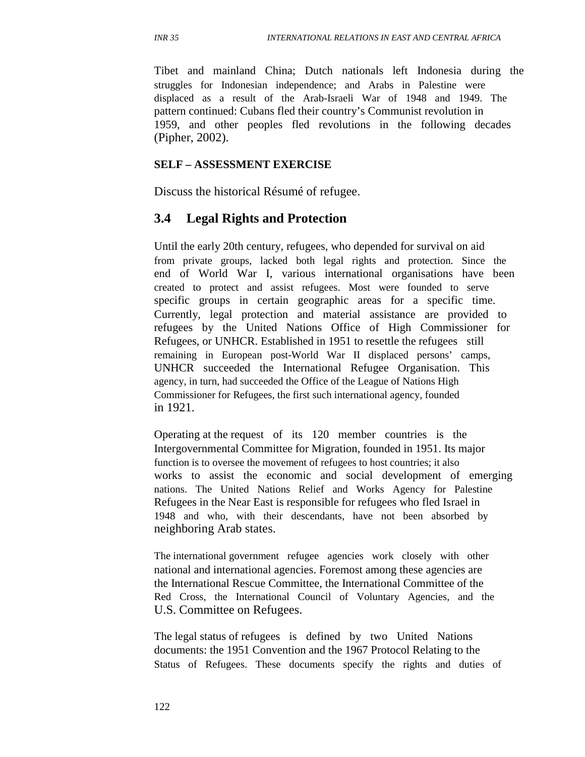Tibet and mainland China; Dutch nationals left Indonesia during the struggles for Indonesian independence; and Arabs in Palestine were displaced as a result of the Arab-Israeli War of 1948 and 1949. The pattern continued: Cubans fled their country's Communist revolution in 1959, and other peoples fled revolutions in the following decades (Pipher, 2002).

#### **SELF – ASSESSMENT EXERCISE**

Discuss the historical Résumé of refugee.

#### **3.4 Legal Rights and Protection**

Until the early 20th century, refugees, who depended for survival on aid from private groups, lacked both legal rights and protection. Since the end of World War I, various international organisations have been created to protect and assist refugees. Most were founded to serve specific groups in certain geographic areas for a specific time. Currently, legal protection and material assistance are provided to refugees by the United Nations Office of High Commissioner for Refugees, or UNHCR. Established in 1951 to resettle the refugees still remaining in European post-World War II displaced persons' camps, UNHCR succeeded the International Refugee Organisation. This agency, in turn, had succeeded the Office of the League of Nations High Commissioner for Refugees, the first such international agency, founded in 1921.

Operating at the request of its 120 member countries is the Intergovernmental Committee for Migration, founded in 1951. Its major function is to oversee the movement of refugees to host countries; it also works to assist the economic and social development of emerging nations. The United Nations Relief and Works Agency for Palestine Refugees in the Near East is responsible for refugees who fled Israel in 1948 and who, with their descendants, have not been absorbed by neighboring Arab states.

The international government refugee agencies work closely with other national and international agencies. Foremost among these agencies are the International Rescue Committee, the International Committee of the Red Cross, the International Council of Voluntary Agencies, and the U.S. Committee on Refugees.

The legal status of refugees is defined by two United Nations documents: the 1951 Convention and the 1967 Protocol Relating to the Status of Refugees. These documents specify the rights and duties of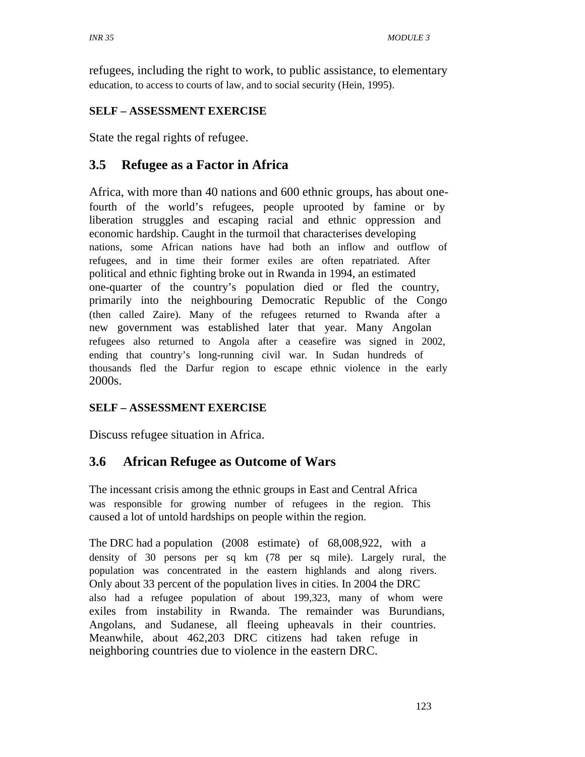refugees, including the right to work, to public assistance, to elementary education, to access to courts of law, and to social security (Hein, 1995).

## **SELF – ASSESSMENT EXERCISE**

State the regal rights of refugee.

# **3.5 Refugee as a Factor in Africa**

Africa, with more than 40 nations and 600 ethnic groups, has about onefourth of the world's refugees, people uprooted by famine or by liberation struggles and escaping racial and ethnic oppression and economic hardship. Caught in the turmoil that characterises developing nations, some African nations have had both an inflow and outflow of refugees, and in time their former exiles are often repatriated. After political and ethnic fighting broke out in Rwanda in 1994, an estimated one-quarter of the country's population died or fled the country, primarily into the neighbouring Democratic Republic of the Congo (then called Zaire). Many of the refugees returned to Rwanda after a new government was established later that year. Many Angolan refugees also returned to Angola after a ceasefire was signed in 2002, ending that country's long-running civil war. In Sudan hundreds of thousands fled the Darfur region to escape ethnic violence in the early 2000s.

## **SELF – ASSESSMENT EXERCISE**

Discuss refugee situation in Africa.

## **3.6 African Refugee as Outcome of Wars**

The incessant crisis among the ethnic groups in East and Central Africa was responsible for growing number of refugees in the region. This caused a lot of untold hardships on people within the region.

The DRC had a population (2008 estimate) of 68,008,922, with a density of 30 persons per sq km (78 per sq mile). Largely rural, the population was concentrated in the eastern highlands and along rivers. Only about 33 percent of the population lives in cities. In 2004 the DRC also had a refugee population of about 199,323, many of whom were exiles from instability in Rwanda. The remainder was Burundians, Angolans, and Sudanese, all fleeing upheavals in their countries. Meanwhile, about 462,203 DRC citizens had taken refuge in neighboring countries due to violence in the eastern DRC.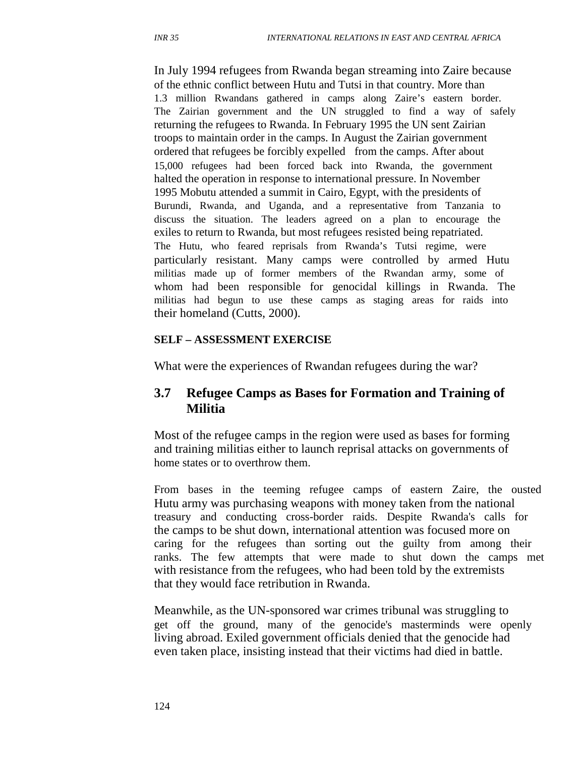In July 1994 refugees from Rwanda began streaming into Zaire because of the ethnic conflict between Hutu and Tutsi in that country. More than 1.3 million Rwandans gathered in camps along Zaire's eastern border. The Zairian government and the UN struggled to find a way of safely returning the refugees to Rwanda. In February 1995 the UN sent Zairian troops to maintain order in the camps. In August the Zairian government ordered that refugees be forcibly expelled from the camps. After about 15,000 refugees had been forced back into Rwanda, the government halted the operation in response to international pressure. In November 1995 Mobutu attended a summit in Cairo, Egypt, with the presidents of Burundi, Rwanda, and Uganda, and a representative from Tanzania to discuss the situation. The leaders agreed on a plan to encourage the exiles to return to Rwanda, but most refugees resisted being repatriated. The Hutu, who feared reprisals from Rwanda's Tutsi regime, were particularly resistant. Many camps were controlled by armed Hutu militias made up of former members of the Rwandan army, some of whom had been responsible for genocidal killings in Rwanda. The militias had begun to use these camps as staging areas for raids into their homeland (Cutts, 2000).

#### **SELF – ASSESSMENT EXERCISE**

What were the experiences of Rwandan refugees during the war?

#### **3.7 Refugee Camps as Bases for Formation and Training of Militia**

Most of the refugee camps in the region were used as bases for forming and training militias either to launch reprisal attacks on governments of home states or to overthrow them.

From bases in the teeming refugee camps of eastern Zaire, the ousted Hutu army was purchasing weapons with money taken from the national treasury and conducting cross-border raids. Despite Rwanda's calls for the camps to be shut down, international attention was focused more on caring for the refugees than sorting out the guilty from among their ranks. The few attempts that were made to shut down the camps met with resistance from the refugees, who had been told by the extremists that they would face retribution in Rwanda.

Meanwhile, as the UN-sponsored war crimes tribunal was struggling to get off the ground, many of the genocide's masterminds were openly living abroad. Exiled government officials denied that the genocide had even taken place, insisting instead that their victims had died in battle.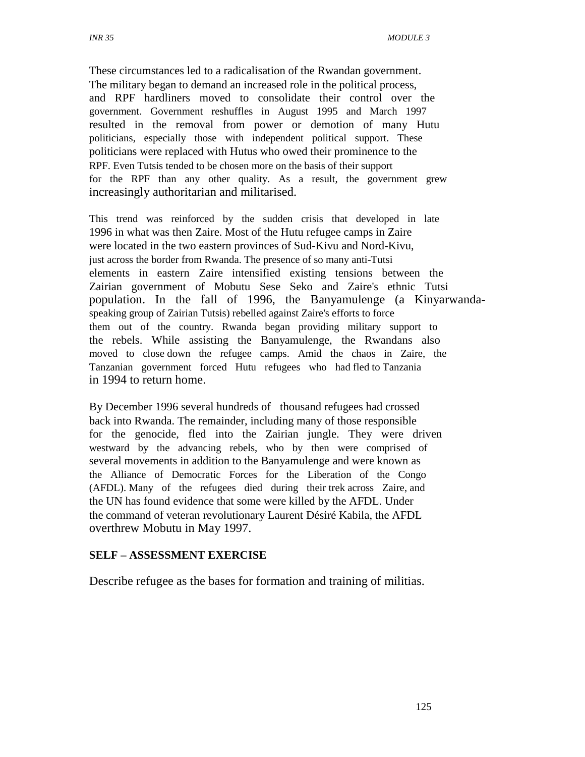These circumstances led to a radicalisation of the Rwandan government. The military began to demand an increased role in the political process, and RPF hardliners moved to consolidate their control over the government. Government reshuffles in August 1995 and March 1997 resulted in the removal from power or demotion of many Hutu politicians, especially those with independent political support. These politicians were replaced with Hutus who owed their prominence to the RPF. Even Tutsis tended to be chosen more on the basis of their support for the RPF than any other quality. As a result, the government grew increasingly authoritarian and militarised.

This trend was reinforced by the sudden crisis that developed in late 1996 in what was then Zaire. Most of the Hutu refugee camps in Zaire were located in the two eastern provinces of Sud-Kivu and Nord-Kivu, just across the border from Rwanda. The presence of so many anti-Tutsi elements in eastern Zaire intensified existing tensions between the Zairian government of Mobutu Sese Seko and Zaire's ethnic Tutsi population. In the fall of 1996, the Banyamulenge (a Kinyarwandaspeaking group of Zairian Tutsis) rebelled against Zaire's efforts to force them out of the country. Rwanda began providing military support to the rebels. While assisting the Banyamulenge, the Rwandans also moved to close down the refugee camps. Amid the chaos in Zaire, the Tanzanian government forced Hutu refugees who had fled to Tanzania in 1994 to return home.

By December 1996 several hundreds of thousand refugees had crossed back into Rwanda. The remainder, including many of those responsible for the genocide, fled into the Zairian jungle. They were driven westward by the advancing rebels, who by then were comprised of several movements in addition to the Banyamulenge and were known as the Alliance of Democratic Forces for the Liberation of the Congo (AFDL). Many of the refugees died during their trek across Zaire, and the UN has found evidence that some were killed by the AFDL. Under the command of veteran revolutionary Laurent Désiré Kabila, the AFDL overthrew Mobutu in May 1997.

#### **SELF – ASSESSMENT EXERCISE**

Describe refugee as the bases for formation and training of militias.